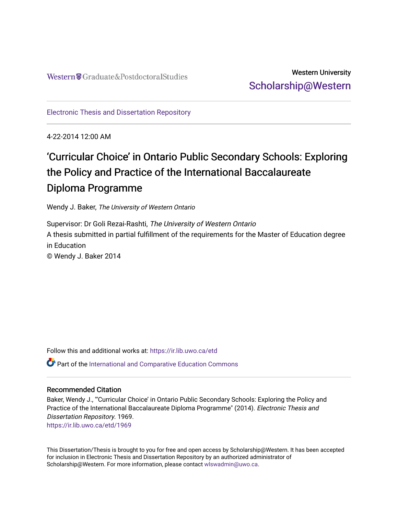# Western University [Scholarship@Western](https://ir.lib.uwo.ca/)

[Electronic Thesis and Dissertation Repository](https://ir.lib.uwo.ca/etd)

4-22-2014 12:00 AM

# 'Curricular Choice' in Ontario Public Secondary Schools: Exploring the Policy and Practice of the International Baccalaureate Diploma Programme

Wendy J. Baker, The University of Western Ontario

Supervisor: Dr Goli Rezai-Rashti, The University of Western Ontario A thesis submitted in partial fulfillment of the requirements for the Master of Education degree in Education © Wendy J. Baker 2014

Follow this and additional works at: [https://ir.lib.uwo.ca/etd](https://ir.lib.uwo.ca/etd?utm_source=ir.lib.uwo.ca%2Fetd%2F1969&utm_medium=PDF&utm_campaign=PDFCoverPages)  Part of the [International and Comparative Education Commons](http://network.bepress.com/hgg/discipline/797?utm_source=ir.lib.uwo.ca%2Fetd%2F1969&utm_medium=PDF&utm_campaign=PDFCoverPages) 

# Recommended Citation

Baker, Wendy J., "'Curricular Choice' in Ontario Public Secondary Schools: Exploring the Policy and Practice of the International Baccalaureate Diploma Programme" (2014). Electronic Thesis and Dissertation Repository. 1969. [https://ir.lib.uwo.ca/etd/1969](https://ir.lib.uwo.ca/etd/1969?utm_source=ir.lib.uwo.ca%2Fetd%2F1969&utm_medium=PDF&utm_campaign=PDFCoverPages)

This Dissertation/Thesis is brought to you for free and open access by Scholarship@Western. It has been accepted for inclusion in Electronic Thesis and Dissertation Repository by an authorized administrator of Scholarship@Western. For more information, please contact [wlswadmin@uwo.ca.](mailto:wlswadmin@uwo.ca)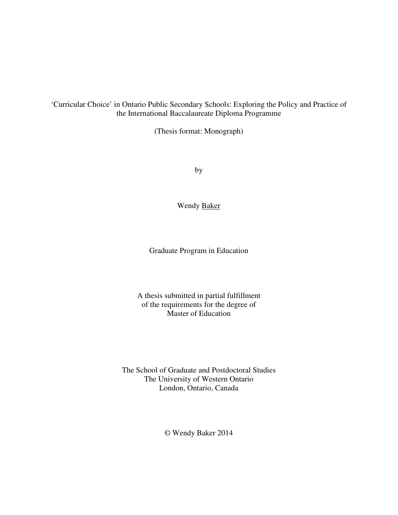'Curricular Choice' in Ontario Public Secondary Schools: Exploring the Policy and Practice of the International Baccalaureate Diploma Programme

(Thesis format: Monograph)

by

Wendy Baker

Graduate Program in Education

A thesis submitted in partial fulfillment of the requirements for the degree of Master of Education

The School of Graduate and Postdoctoral Studies The University of Western Ontario London, Ontario, Canada

© Wendy Baker 2014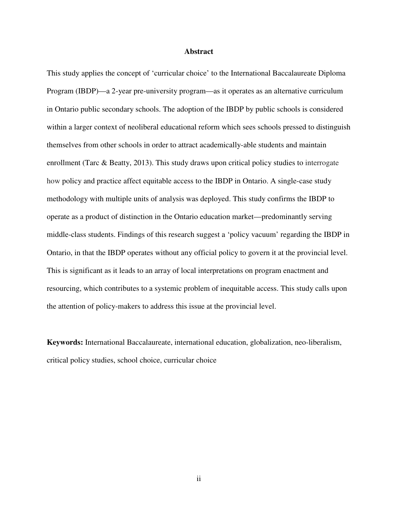#### **Abstract**

This study applies the concept of 'curricular choice' to the International Baccalaureate Diploma Program (IBDP)—a 2-year pre-university program—as it operates as an alternative curriculum in Ontario public secondary schools. The adoption of the IBDP by public schools is considered within a larger context of neoliberal educational reform which sees schools pressed to distinguish themselves from other schools in order to attract academically-able students and maintain enrollment (Tarc  $\&$  Beatty, 2013). This study draws upon critical policy studies to interrogate how policy and practice affect equitable access to the IBDP in Ontario. A single-case study methodology with multiple units of analysis was deployed. This study confirms the IBDP to operate as a product of distinction in the Ontario education market—predominantly serving middle-class students. Findings of this research suggest a 'policy vacuum' regarding the IBDP in Ontario, in that the IBDP operates without any official policy to govern it at the provincial level. This is significant as it leads to an array of local interpretations on program enactment and resourcing, which contributes to a systemic problem of inequitable access. This study calls upon the attention of policy-makers to address this issue at the provincial level.

**Keywords:** International Baccalaureate, international education, globalization, neo-liberalism, critical policy studies, school choice, curricular choice

ii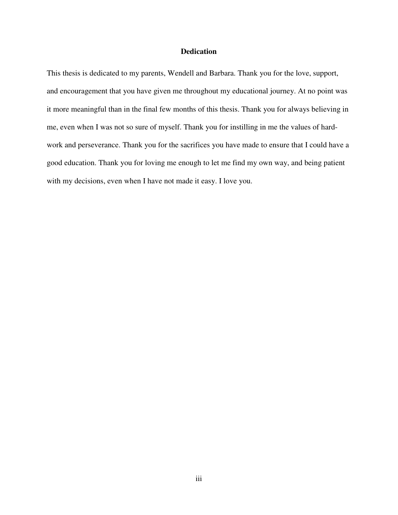# **Dedication**

This thesis is dedicated to my parents, Wendell and Barbara. Thank you for the love, support, and encouragement that you have given me throughout my educational journey. At no point was it more meaningful than in the final few months of this thesis. Thank you for always believing in me, even when I was not so sure of myself. Thank you for instilling in me the values of hardwork and perseverance. Thank you for the sacrifices you have made to ensure that I could have a good education. Thank you for loving me enough to let me find my own way, and being patient with my decisions, even when I have not made it easy. I love you.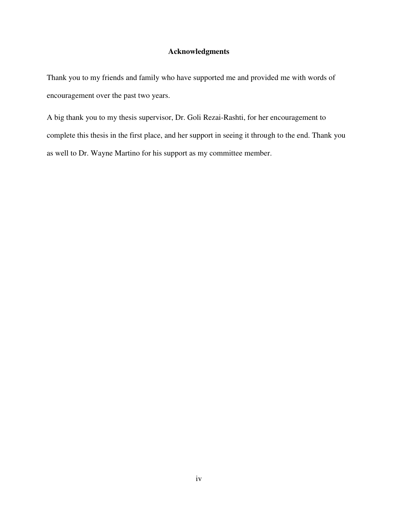# **Acknowledgments**

Thank you to my friends and family who have supported me and provided me with words of encouragement over the past two years.

A big thank you to my thesis supervisor, Dr. Goli Rezai-Rashti, for her encouragement to complete this thesis in the first place, and her support in seeing it through to the end. Thank you as well to Dr. Wayne Martino for his support as my committee member.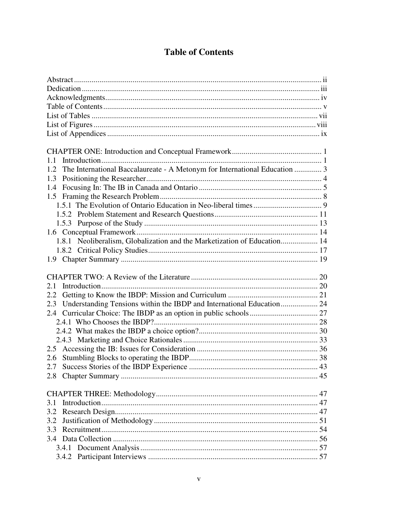# **Table of Contents**

| 1.1                                                                               |  |
|-----------------------------------------------------------------------------------|--|
| The International Baccalaureate - A Metonym for International Education  3<br>1.2 |  |
| 1.3                                                                               |  |
| 1.4                                                                               |  |
|                                                                                   |  |
|                                                                                   |  |
|                                                                                   |  |
|                                                                                   |  |
|                                                                                   |  |
| 1.8.1 Neoliberalism, Globalization and the Marketization of Education 14          |  |
|                                                                                   |  |
|                                                                                   |  |
|                                                                                   |  |
|                                                                                   |  |
|                                                                                   |  |
| 2.1                                                                               |  |
| 2.2                                                                               |  |
| 2.3                                                                               |  |
|                                                                                   |  |
|                                                                                   |  |
|                                                                                   |  |
|                                                                                   |  |
|                                                                                   |  |
| 2.6                                                                               |  |
|                                                                                   |  |
| 2.8                                                                               |  |
|                                                                                   |  |
|                                                                                   |  |
| 3.1                                                                               |  |
| 3.2                                                                               |  |
| 3.2                                                                               |  |
|                                                                                   |  |
|                                                                                   |  |
|                                                                                   |  |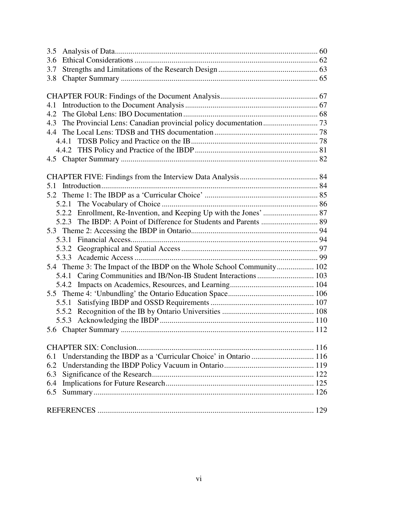| 3.5                                                                    |  |
|------------------------------------------------------------------------|--|
| 3.6                                                                    |  |
| 3.7                                                                    |  |
| 3.8                                                                    |  |
|                                                                        |  |
|                                                                        |  |
| 4.1                                                                    |  |
|                                                                        |  |
| 4.3                                                                    |  |
|                                                                        |  |
|                                                                        |  |
|                                                                        |  |
|                                                                        |  |
|                                                                        |  |
|                                                                        |  |
| 5.1                                                                    |  |
|                                                                        |  |
|                                                                        |  |
|                                                                        |  |
|                                                                        |  |
|                                                                        |  |
|                                                                        |  |
| 5.3.2                                                                  |  |
|                                                                        |  |
| 5.4 Theme 3: The Impact of the IBDP on the Whole School Community 102  |  |
|                                                                        |  |
|                                                                        |  |
|                                                                        |  |
| 5.5.1                                                                  |  |
|                                                                        |  |
|                                                                        |  |
|                                                                        |  |
|                                                                        |  |
|                                                                        |  |
| Understanding the IBDP as a 'Curricular Choice' in Ontario  116<br>6.1 |  |
| 6.2                                                                    |  |
| 6.3                                                                    |  |
| 6.4                                                                    |  |
| 6.5                                                                    |  |
|                                                                        |  |
|                                                                        |  |
|                                                                        |  |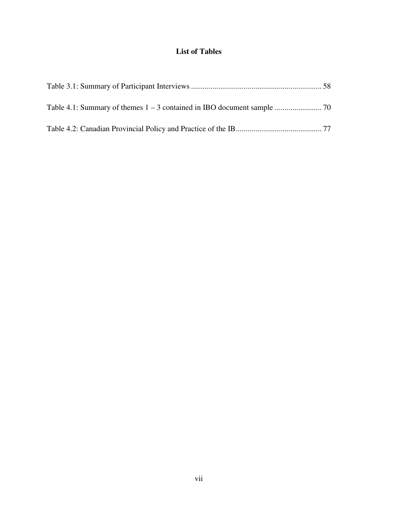# **List of Tables**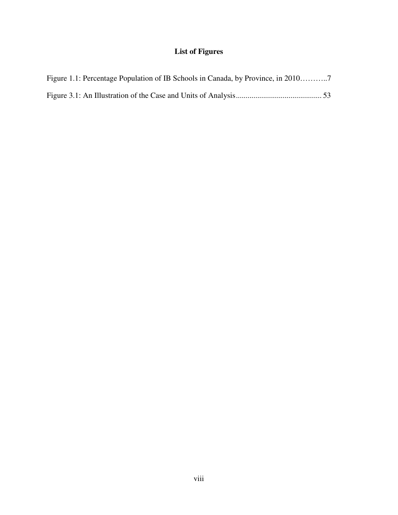# **List of Figures**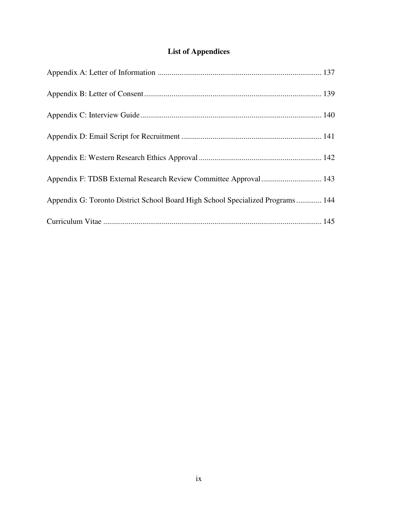# **List of Appendices**

| Appendix F: TDSB External Research Review Committee Approval 143               |  |
|--------------------------------------------------------------------------------|--|
| Appendix G: Toronto District School Board High School Specialized Programs 144 |  |
|                                                                                |  |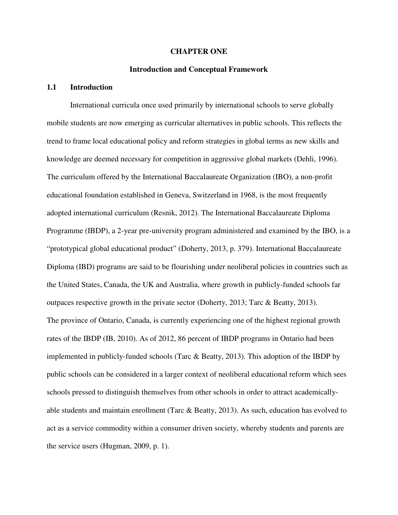#### **CHAPTER ONE**

### **Introduction and Conceptual Framework**

### **1.1 Introduction**

 International curricula once used primarily by international schools to serve globally mobile students are now emerging as curricular alternatives in public schools. This reflects the trend to frame local educational policy and reform strategies in global terms as new skills and knowledge are deemed necessary for competition in aggressive global markets (Dehli, 1996). The curriculum offered by the International Baccalaureate Organization (IBO), a non-profit educational foundation established in Geneva, Switzerland in 1968, is the most frequently adopted international curriculum (Resnik, 2012). The International Baccalaureate Diploma Programme (IBDP), a 2-year pre-university program administered and examined by the IBO, is a "prototypical global educational product" (Doherty, 2013, p. 379). International Baccalaureate Diploma (IBD) programs are said to be flourishing under neoliberal policies in countries such as the United States, Canada, the UK and Australia, where growth in publicly-funded schools far outpaces respective growth in the private sector (Doherty, 2013; Tarc & Beatty, 2013). The province of Ontario, Canada, is currently experiencing one of the highest regional growth rates of the IBDP (IB, 2010). As of 2012, 86 percent of IBDP programs in Ontario had been implemented in publicly-funded schools (Tarc & Beatty, 2013). This adoption of the IBDP by public schools can be considered in a larger context of neoliberal educational reform which sees schools pressed to distinguish themselves from other schools in order to attract academicallyable students and maintain enrollment (Tarc & Beatty, 2013). As such, education has evolved to act as a service commodity within a consumer driven society, whereby students and parents are the service users (Hugman, 2009, p. 1).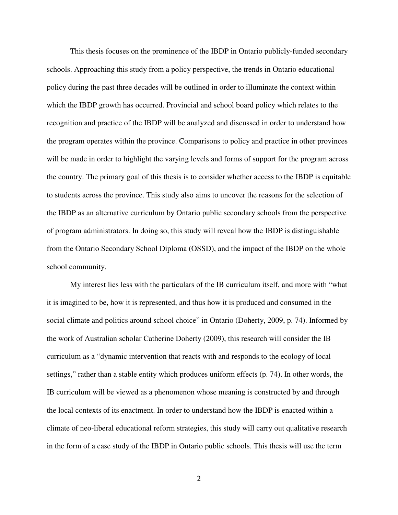This thesis focuses on the prominence of the IBDP in Ontario publicly-funded secondary schools. Approaching this study from a policy perspective, the trends in Ontario educational policy during the past three decades will be outlined in order to illuminate the context within which the IBDP growth has occurred. Provincial and school board policy which relates to the recognition and practice of the IBDP will be analyzed and discussed in order to understand how the program operates within the province. Comparisons to policy and practice in other provinces will be made in order to highlight the varying levels and forms of support for the program across the country. The primary goal of this thesis is to consider whether access to the IBDP is equitable to students across the province. This study also aims to uncover the reasons for the selection of the IBDP as an alternative curriculum by Ontario public secondary schools from the perspective of program administrators. In doing so, this study will reveal how the IBDP is distinguishable from the Ontario Secondary School Diploma (OSSD), and the impact of the IBDP on the whole school community.

 My interest lies less with the particulars of the IB curriculum itself, and more with "what it is imagined to be, how it is represented, and thus how it is produced and consumed in the social climate and politics around school choice" in Ontario (Doherty, 2009, p. 74). Informed by the work of Australian scholar Catherine Doherty (2009), this research will consider the IB curriculum as a "dynamic intervention that reacts with and responds to the ecology of local settings," rather than a stable entity which produces uniform effects (p. 74). In other words, the IB curriculum will be viewed as a phenomenon whose meaning is constructed by and through the local contexts of its enactment. In order to understand how the IBDP is enacted within a climate of neo-liberal educational reform strategies, this study will carry out qualitative research in the form of a case study of the IBDP in Ontario public schools. This thesis will use the term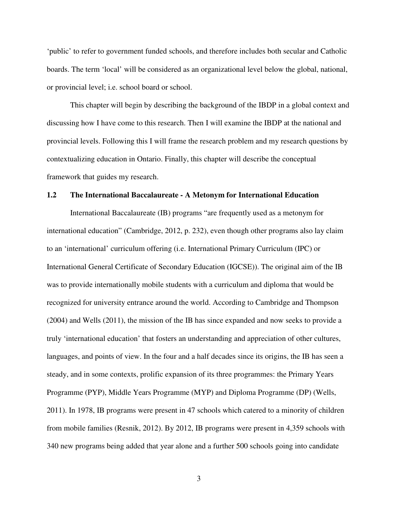'public' to refer to government funded schools, and therefore includes both secular and Catholic boards. The term 'local' will be considered as an organizational level below the global, national, or provincial level; i.e. school board or school.

This chapter will begin by describing the background of the IBDP in a global context and discussing how I have come to this research. Then I will examine the IBDP at the national and provincial levels. Following this I will frame the research problem and my research questions by contextualizing education in Ontario. Finally, this chapter will describe the conceptual framework that guides my research.

#### **1.2 The International Baccalaureate - A Metonym for International Education**

International Baccalaureate (IB) programs "are frequently used as a metonym for international education" (Cambridge, 2012, p. 232), even though other programs also lay claim to an 'international' curriculum offering (i.e. International Primary Curriculum (IPC) or International General Certificate of Secondary Education (IGCSE)). The original aim of the IB was to provide internationally mobile students with a curriculum and diploma that would be recognized for university entrance around the world. According to Cambridge and Thompson (2004) and Wells (2011), the mission of the IB has since expanded and now seeks to provide a truly 'international education' that fosters an understanding and appreciation of other cultures, languages, and points of view. In the four and a half decades since its origins, the IB has seen a steady, and in some contexts, prolific expansion of its three programmes: the Primary Years Programme (PYP), Middle Years Programme (MYP) and Diploma Programme (DP) (Wells, 2011). In 1978, IB programs were present in 47 schools which catered to a minority of children from mobile families (Resnik, 2012). By 2012, IB programs were present in 4,359 schools with 340 new programs being added that year alone and a further 500 schools going into candidate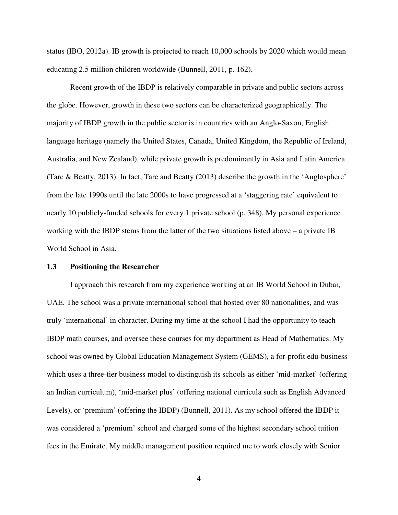status (IBO, 2012a). IB growth is projected to reach 10,000 schools by 2020 which would mean educating 2.5 million children worldwide (Bunnell, 2011, p. 162).

Recent growth of the IBDP is relatively comparable in private and public sectors across the globe. However, growth in these two sectors can be characterized geographically. The majority of IBDP growth in the public sector is in countries with an Anglo-Saxon, English language heritage (namely the United States, Canada, United Kingdom, the Republic of Ireland, Australia, and New Zealand), while private growth is predominantly in Asia and Latin America (Tarc & Beatty, 2013). In fact, Tarc and Beatty (2013) describe the growth in the 'Anglosphere' from the late 1990s until the late 2000s to have progressed at a 'staggering rate' equivalent to nearly 10 publicly-funded schools for every 1 private school (p. 348). My personal experience working with the IBDP stems from the latter of the two situations listed above – a private IB World School in Asia.

#### **1.3 Positioning the Researcher**

 I approach this research from my experience working at an IB World School in Dubai, UAE. The school was a private international school that hosted over 80 nationalities, and was truly 'international' in character. During my time at the school I had the opportunity to teach IBDP math courses, and oversee these courses for my department as Head of Mathematics. My school was owned by Global Education Management System (GEMS), a for-profit edu-business which uses a three-tier business model to distinguish its schools as either 'mid-market' (offering an Indian curriculum), 'mid-market plus' (offering national curricula such as English Advanced Levels), or 'premium' (offering the IBDP) (Bunnell, 2011). As my school offered the IBDP it was considered a 'premium' school and charged some of the highest secondary school tuition fees in the Emirate. My middle management position required me to work closely with Senior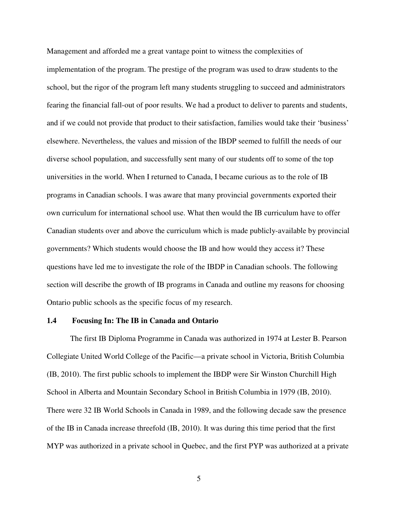Management and afforded me a great vantage point to witness the complexities of implementation of the program. The prestige of the program was used to draw students to the school, but the rigor of the program left many students struggling to succeed and administrators fearing the financial fall-out of poor results. We had a product to deliver to parents and students, and if we could not provide that product to their satisfaction, families would take their 'business' elsewhere. Nevertheless, the values and mission of the IBDP seemed to fulfill the needs of our diverse school population, and successfully sent many of our students off to some of the top universities in the world. When I returned to Canada, I became curious as to the role of IB programs in Canadian schools. I was aware that many provincial governments exported their own curriculum for international school use. What then would the IB curriculum have to offer Canadian students over and above the curriculum which is made publicly-available by provincial governments? Which students would choose the IB and how would they access it? These questions have led me to investigate the role of the IBDP in Canadian schools. The following section will describe the growth of IB programs in Canada and outline my reasons for choosing Ontario public schools as the specific focus of my research.

#### **1.4 Focusing In: The IB in Canada and Ontario**

 The first IB Diploma Programme in Canada was authorized in 1974 at Lester B. Pearson Collegiate United World College of the Pacific—a private school in Victoria, British Columbia (IB, 2010). The first public schools to implement the IBDP were Sir Winston Churchill High School in Alberta and Mountain Secondary School in British Columbia in 1979 (IB, 2010). There were 32 IB World Schools in Canada in 1989, and the following decade saw the presence of the IB in Canada increase threefold (IB, 2010). It was during this time period that the first MYP was authorized in a private school in Quebec, and the first PYP was authorized at a private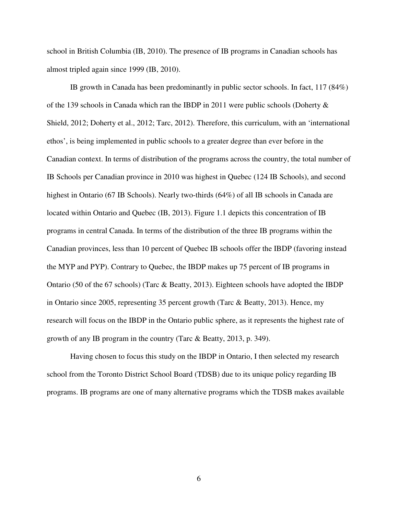school in British Columbia (IB, 2010). The presence of IB programs in Canadian schools has almost tripled again since 1999 (IB, 2010).

 IB growth in Canada has been predominantly in public sector schools. In fact, 117 (84%) of the 139 schools in Canada which ran the IBDP in 2011 were public schools (Doherty  $\&$ Shield, 2012; Doherty et al., 2012; Tarc, 2012). Therefore, this curriculum, with an 'international ethos', is being implemented in public schools to a greater degree than ever before in the Canadian context. In terms of distribution of the programs across the country, the total number of IB Schools per Canadian province in 2010 was highest in Quebec (124 IB Schools), and second highest in Ontario (67 IB Schools). Nearly two-thirds (64%) of all IB schools in Canada are located within Ontario and Quebec (IB, 2013). Figure 1.1 depicts this concentration of IB programs in central Canada. In terms of the distribution of the three IB programs within the Canadian provinces, less than 10 percent of Quebec IB schools offer the IBDP (favoring instead the MYP and PYP). Contrary to Quebec, the IBDP makes up 75 percent of IB programs in Ontario (50 of the 67 schools) (Tarc & Beatty, 2013). Eighteen schools have adopted the IBDP in Ontario since 2005, representing 35 percent growth (Tarc & Beatty, 2013). Hence, my research will focus on the IBDP in the Ontario public sphere, as it represents the highest rate of growth of any IB program in the country (Tarc & Beatty, 2013, p. 349).

 Having chosen to focus this study on the IBDP in Ontario, I then selected my research school from the Toronto District School Board (TDSB) due to its unique policy regarding IB programs. IB programs are one of many alternative programs which the TDSB makes available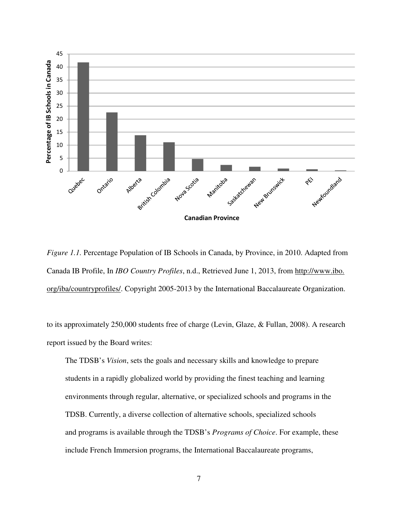

*Figure 1.1.* Percentage Population of IB Schools in Canada, by Province, in 2010. Adapted from Canada IB Profile, In *IBO Country Profiles*, n.d., Retrieved June 1, 2013, from http://www.ibo. org/iba/countryprofiles/. Copyright 2005-2013 by the International Baccalaureate Organization.

to its approximately 250,000 students free of charge (Levin, Glaze, & Fullan, 2008). A research report issued by the Board writes:

The TDSB's *Vision*, sets the goals and necessary skills and knowledge to prepare students in a rapidly globalized world by providing the finest teaching and learning environments through regular, alternative, or specialized schools and programs in the TDSB. Currently, a diverse collection of alternative schools, specialized schools and programs is available through the TDSB's *Programs of Choice*. For example, these include French Immersion programs, the International Baccalaureate programs,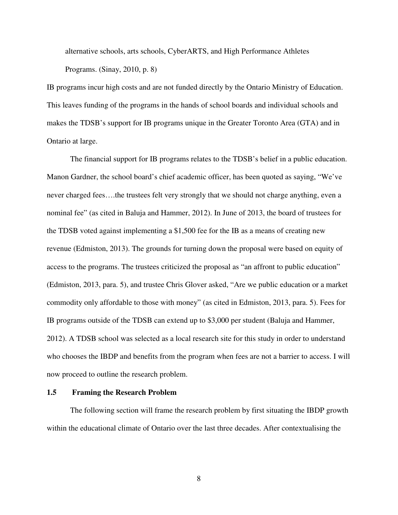alternative schools, arts schools, CyberARTS, and High Performance Athletes Programs. (Sinay, 2010, p. 8)

IB programs incur high costs and are not funded directly by the Ontario Ministry of Education. This leaves funding of the programs in the hands of school boards and individual schools and makes the TDSB's support for IB programs unique in the Greater Toronto Area (GTA) and in Ontario at large.

 The financial support for IB programs relates to the TDSB's belief in a public education. Manon Gardner, the school board's chief academic officer, has been quoted as saying, "We've never charged fees….the trustees felt very strongly that we should not charge anything, even a nominal fee" (as cited in Baluja and Hammer, 2012). In June of 2013, the board of trustees for the TDSB voted against implementing a \$1,500 fee for the IB as a means of creating new revenue (Edmiston, 2013). The grounds for turning down the proposal were based on equity of access to the programs. The trustees criticized the proposal as "an affront to public education" (Edmiston, 2013, para. 5), and trustee Chris Glover asked, "Are we public education or a market commodity only affordable to those with money" (as cited in Edmiston, 2013, para. 5). Fees for IB programs outside of the TDSB can extend up to \$3,000 per student (Baluja and Hammer, 2012). A TDSB school was selected as a local research site for this study in order to understand who chooses the IBDP and benefits from the program when fees are not a barrier to access. I will now proceed to outline the research problem.

### **1.5 Framing the Research Problem**

 The following section will frame the research problem by first situating the IBDP growth within the educational climate of Ontario over the last three decades. After contextualising the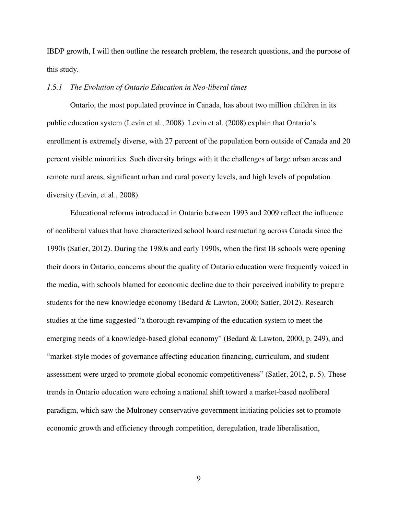IBDP growth, I will then outline the research problem, the research questions, and the purpose of this study.

### *1.*5*.1 The Evolution of Ontario Education in Neo-liberal times*

Ontario, the most populated province in Canada, has about two million children in its public education system (Levin et al., 2008). Levin et al. (2008) explain that Ontario's enrollment is extremely diverse, with 27 percent of the population born outside of Canada and 20 percent visible minorities. Such diversity brings with it the challenges of large urban areas and remote rural areas, significant urban and rural poverty levels, and high levels of population diversity (Levin, et al., 2008).

Educational reforms introduced in Ontario between 1993 and 2009 reflect the influence of neoliberal values that have characterized school board restructuring across Canada since the 1990s (Satler, 2012). During the 1980s and early 1990s, when the first IB schools were opening their doors in Ontario, concerns about the quality of Ontario education were frequently voiced in the media, with schools blamed for economic decline due to their perceived inability to prepare students for the new knowledge economy (Bedard & Lawton, 2000; Satler, 2012). Research studies at the time suggested "a thorough revamping of the education system to meet the emerging needs of a knowledge-based global economy" (Bedard & Lawton, 2000, p. 249), and "market-style modes of governance affecting education financing, curriculum, and student assessment were urged to promote global economic competitiveness" (Satler, 2012, p. 5). These trends in Ontario education were echoing a national shift toward a market-based neoliberal paradigm, which saw the Mulroney conservative government initiating policies set to promote economic growth and efficiency through competition, deregulation, trade liberalisation,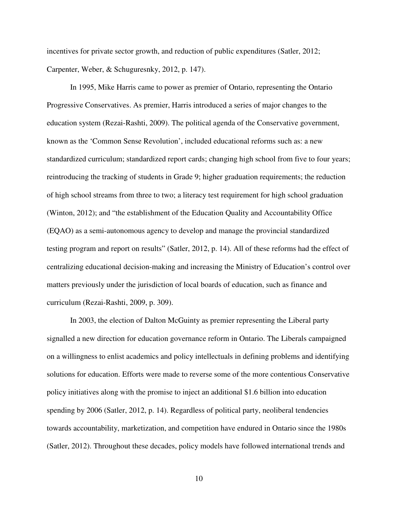incentives for private sector growth, and reduction of public expenditures (Satler, 2012; Carpenter, Weber, & Schuguresnky, 2012, p. 147).

In 1995, Mike Harris came to power as premier of Ontario, representing the Ontario Progressive Conservatives. As premier, Harris introduced a series of major changes to the education system (Rezai-Rashti, 2009). The political agenda of the Conservative government, known as the 'Common Sense Revolution', included educational reforms such as: a new standardized curriculum; standardized report cards; changing high school from five to four years; reintroducing the tracking of students in Grade 9; higher graduation requirements; the reduction of high school streams from three to two; a literacy test requirement for high school graduation (Winton, 2012); and "the establishment of the Education Quality and Accountability Office (EQAO) as a semi-autonomous agency to develop and manage the provincial standardized testing program and report on results" (Satler, 2012, p. 14). All of these reforms had the effect of centralizing educational decision-making and increasing the Ministry of Education's control over matters previously under the jurisdiction of local boards of education, such as finance and curriculum (Rezai-Rashti, 2009, p. 309).

In 2003, the election of Dalton McGuinty as premier representing the Liberal party signalled a new direction for education governance reform in Ontario. The Liberals campaigned on a willingness to enlist academics and policy intellectuals in defining problems and identifying solutions for education. Efforts were made to reverse some of the more contentious Conservative policy initiatives along with the promise to inject an additional \$1.6 billion into education spending by 2006 (Satler, 2012, p. 14). Regardless of political party, neoliberal tendencies towards accountability, marketization, and competition have endured in Ontario since the 1980s (Satler, 2012). Throughout these decades, policy models have followed international trends and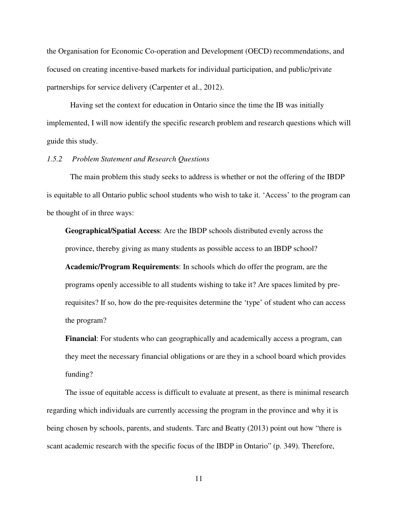the Organisation for Economic Co-operation and Development (OECD) recommendations, and focused on creating incentive-based markets for individual participation, and public/private partnerships for service delivery (Carpenter et al., 2012).

Having set the context for education in Ontario since the time the IB was initially implemented, I will now identify the specific research problem and research questions which will guide this study.

#### *1.5.2 Problem Statement and Research Questions*

The main problem this study seeks to address is whether or not the offering of the IBDP is equitable to all Ontario public school students who wish to take it. 'Access' to the program can be thought of in three ways:

**Geographical/Spatial Access**: Are the IBDP schools distributed evenly across the province, thereby giving as many students as possible access to an IBDP school?

**Academic/Program Requirements**: In schools which do offer the program, are the programs openly accessible to all students wishing to take it? Are spaces limited by prerequisites? If so, how do the pre-requisites determine the 'type' of student who can access the program?

**Financial**: For students who can geographically and academically access a program, can they meet the necessary financial obligations or are they in a school board which provides funding?

The issue of equitable access is difficult to evaluate at present, as there is minimal research regarding which individuals are currently accessing the program in the province and why it is being chosen by schools, parents, and students. Tarc and Beatty (2013) point out how "there is scant academic research with the specific focus of the IBDP in Ontario" (p. 349). Therefore,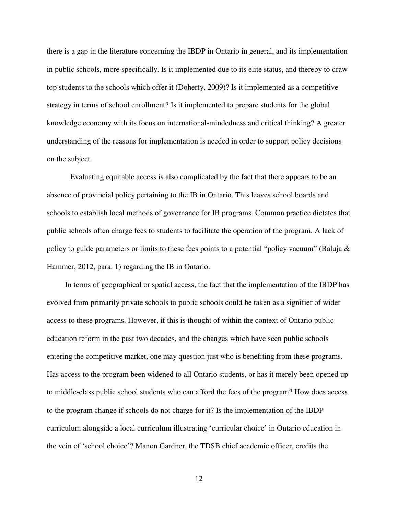there is a gap in the literature concerning the IBDP in Ontario in general, and its implementation in public schools, more specifically. Is it implemented due to its elite status, and thereby to draw top students to the schools which offer it (Doherty, 2009)? Is it implemented as a competitive strategy in terms of school enrollment? Is it implemented to prepare students for the global knowledge economy with its focus on international-mindedness and critical thinking? A greater understanding of the reasons for implementation is needed in order to support policy decisions on the subject.

 Evaluating equitable access is also complicated by the fact that there appears to be an absence of provincial policy pertaining to the IB in Ontario. This leaves school boards and schools to establish local methods of governance for IB programs. Common practice dictates that public schools often charge fees to students to facilitate the operation of the program. A lack of policy to guide parameters or limits to these fees points to a potential "policy vacuum" (Baluja & Hammer, 2012, para. 1) regarding the IB in Ontario.

In terms of geographical or spatial access, the fact that the implementation of the IBDP has evolved from primarily private schools to public schools could be taken as a signifier of wider access to these programs. However, if this is thought of within the context of Ontario public education reform in the past two decades, and the changes which have seen public schools entering the competitive market, one may question just who is benefiting from these programs. Has access to the program been widened to all Ontario students, or has it merely been opened up to middle-class public school students who can afford the fees of the program? How does access to the program change if schools do not charge for it? Is the implementation of the IBDP curriculum alongside a local curriculum illustrating 'curricular choice' in Ontario education in the vein of 'school choice'? Manon Gardner, the TDSB chief academic officer, credits the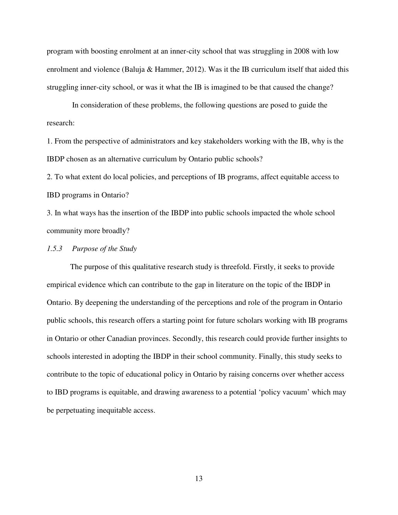program with boosting enrolment at an inner-city school that was struggling in 2008 with low enrolment and violence (Baluja & Hammer, 2012). Was it the IB curriculum itself that aided this struggling inner-city school, or was it what the IB is imagined to be that caused the change?

 In consideration of these problems, the following questions are posed to guide the research:

1. From the perspective of administrators and key stakeholders working with the IB, why is the IBDP chosen as an alternative curriculum by Ontario public schools?

2. To what extent do local policies, and perceptions of IB programs, affect equitable access to IBD programs in Ontario?

3. In what ways has the insertion of the IBDP into public schools impacted the whole school community more broadly?

*1.5.3 Purpose of the Study* 

The purpose of this qualitative research study is threefold. Firstly, it seeks to provide empirical evidence which can contribute to the gap in literature on the topic of the IBDP in Ontario. By deepening the understanding of the perceptions and role of the program in Ontario public schools, this research offers a starting point for future scholars working with IB programs in Ontario or other Canadian provinces. Secondly, this research could provide further insights to schools interested in adopting the IBDP in their school community. Finally, this study seeks to contribute to the topic of educational policy in Ontario by raising concerns over whether access to IBD programs is equitable, and drawing awareness to a potential 'policy vacuum' which may be perpetuating inequitable access.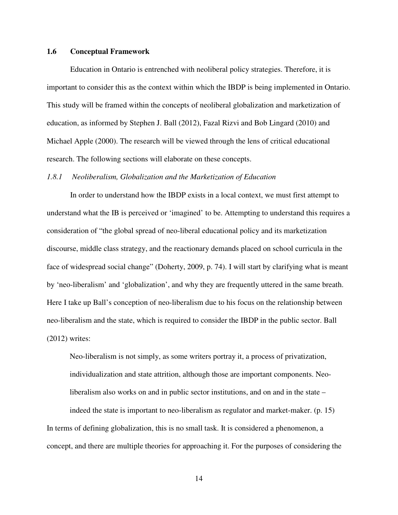#### **1.6 Conceptual Framework**

Education in Ontario is entrenched with neoliberal policy strategies. Therefore, it is important to consider this as the context within which the IBDP is being implemented in Ontario. This study will be framed within the concepts of neoliberal globalization and marketization of education, as informed by Stephen J. Ball (2012), Fazal Rizvi and Bob Lingard (2010) and Michael Apple (2000). The research will be viewed through the lens of critical educational research. The following sections will elaborate on these concepts.

#### *1.8.1 Neoliberalism, Globalization and the Marketization of Education*

In order to understand how the IBDP exists in a local context, we must first attempt to understand what the IB is perceived or 'imagined' to be. Attempting to understand this requires a consideration of "the global spread of neo-liberal educational policy and its marketization discourse, middle class strategy, and the reactionary demands placed on school curricula in the face of widespread social change" (Doherty, 2009, p. 74). I will start by clarifying what is meant by 'neo-liberalism' and 'globalization', and why they are frequently uttered in the same breath. Here I take up Ball's conception of neo-liberalism due to his focus on the relationship between neo-liberalism and the state, which is required to consider the IBDP in the public sector. Ball (2012) writes:

Neo-liberalism is not simply, as some writers portray it, a process of privatization, individualization and state attrition, although those are important components. Neoliberalism also works on and in public sector institutions, and on and in the state –

indeed the state is important to neo-liberalism as regulator and market-maker. (p. 15) In terms of defining globalization, this is no small task. It is considered a phenomenon, a concept, and there are multiple theories for approaching it. For the purposes of considering the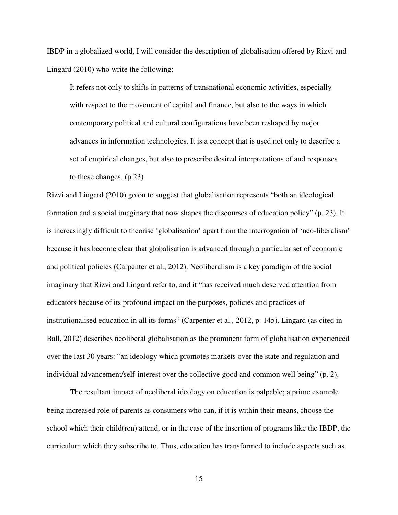IBDP in a globalized world, I will consider the description of globalisation offered by Rizvi and Lingard (2010) who write the following:

It refers not only to shifts in patterns of transnational economic activities, especially with respect to the movement of capital and finance, but also to the ways in which contemporary political and cultural configurations have been reshaped by major advances in information technologies. It is a concept that is used not only to describe a set of empirical changes, but also to prescribe desired interpretations of and responses to these changes. (p.23)

Rizvi and Lingard (2010) go on to suggest that globalisation represents "both an ideological formation and a social imaginary that now shapes the discourses of education policy" (p. 23). It is increasingly difficult to theorise 'globalisation' apart from the interrogation of 'neo-liberalism' because it has become clear that globalisation is advanced through a particular set of economic and political policies (Carpenter et al., 2012). Neoliberalism is a key paradigm of the social imaginary that Rizvi and Lingard refer to, and it "has received much deserved attention from educators because of its profound impact on the purposes, policies and practices of institutionalised education in all its forms" (Carpenter et al., 2012, p. 145). Lingard (as cited in Ball, 2012) describes neoliberal globalisation as the prominent form of globalisation experienced over the last 30 years: "an ideology which promotes markets over the state and regulation and individual advancement/self-interest over the collective good and common well being" (p. 2).

The resultant impact of neoliberal ideology on education is palpable; a prime example being increased role of parents as consumers who can, if it is within their means, choose the school which their child(ren) attend, or in the case of the insertion of programs like the IBDP, the curriculum which they subscribe to. Thus, education has transformed to include aspects such as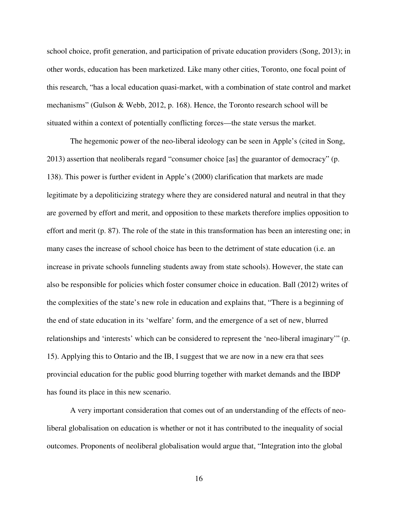school choice, profit generation, and participation of private education providers (Song, 2013); in other words, education has been marketized. Like many other cities, Toronto, one focal point of this research, "has a local education quasi-market, with a combination of state control and market mechanisms" (Gulson & Webb, 2012, p. 168). Hence, the Toronto research school will be situated within a context of potentially conflicting forces—the state versus the market.

The hegemonic power of the neo-liberal ideology can be seen in Apple's (cited in Song, 2013) assertion that neoliberals regard "consumer choice [as] the guarantor of democracy" (p. 138). This power is further evident in Apple's (2000) clarification that markets are made legitimate by a depoliticizing strategy where they are considered natural and neutral in that they are governed by effort and merit, and opposition to these markets therefore implies opposition to effort and merit (p. 87). The role of the state in this transformation has been an interesting one; in many cases the increase of school choice has been to the detriment of state education (i.e. an increase in private schools funneling students away from state schools). However, the state can also be responsible for policies which foster consumer choice in education. Ball (2012) writes of the complexities of the state's new role in education and explains that, "There is a beginning of the end of state education in its 'welfare' form, and the emergence of a set of new, blurred relationships and 'interests' which can be considered to represent the 'neo-liberal imaginary'" (p. 15). Applying this to Ontario and the IB, I suggest that we are now in a new era that sees provincial education for the public good blurring together with market demands and the IBDP has found its place in this new scenario.

A very important consideration that comes out of an understanding of the effects of neoliberal globalisation on education is whether or not it has contributed to the inequality of social outcomes. Proponents of neoliberal globalisation would argue that, "Integration into the global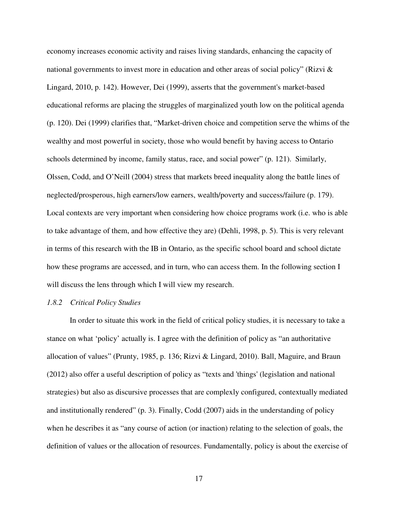economy increases economic activity and raises living standards, enhancing the capacity of national governments to invest more in education and other areas of social policy" (Rizvi & Lingard, 2010, p. 142). However, Dei (1999), asserts that the government's market-based educational reforms are placing the struggles of marginalized youth low on the political agenda (p. 120). Dei (1999) clarifies that, "Market-driven choice and competition serve the whims of the wealthy and most powerful in society, those who would benefit by having access to Ontario schools determined by income, family status, race, and social power" (p. 121). Similarly, Olssen, Codd, and O'Neill (2004) stress that markets breed inequality along the battle lines of neglected/prosperous, high earners/low earners, wealth/poverty and success/failure (p. 179). Local contexts are very important when considering how choice programs work (i.e. who is able to take advantage of them, and how effective they are) (Dehli, 1998, p. 5). This is very relevant in terms of this research with the IB in Ontario, as the specific school board and school dictate how these programs are accessed, and in turn, who can access them. In the following section I will discuss the lens through which I will view my research.

#### *1.8.2 Critical Policy Studies*

In order to situate this work in the field of critical policy studies, it is necessary to take a stance on what 'policy' actually is. I agree with the definition of policy as "an authoritative allocation of values" (Prunty, 1985, p. 136; Rizvi & Lingard, 2010). Ball, Maguire, and Braun (2012) also offer a useful description of policy as "texts and 'things' (legislation and national strategies) but also as discursive processes that are complexly configured, contextually mediated and institutionally rendered" (p. 3). Finally, Codd (2007) aids in the understanding of policy when he describes it as "any course of action (or inaction) relating to the selection of goals, the definition of values or the allocation of resources. Fundamentally, policy is about the exercise of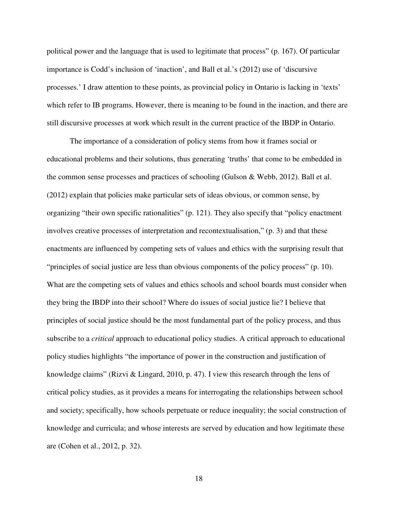political power and the language that is used to legitimate that process" (p. 167). Of particular importance is Codd's inclusion of 'inaction', and Ball et al.'s (2012) use of 'discursive processes.' I draw attention to these points, as provincial policy in Ontario is lacking in 'texts' which refer to IB programs. However, there is meaning to be found in the inaction, and there are still discursive processes at work which result in the current practice of the IBDP in Ontario.

The importance of a consideration of policy stems from how it frames social or educational problems and their solutions, thus generating 'truths' that come to be embedded in the common sense processes and practices of schooling (Gulson & Webb, 2012). Ball et al. (2012) explain that policies make particular sets of ideas obvious, or common sense, by organizing "their own specific rationalities" (p. 121). They also specify that "policy enactment involves creative processes of interpretation and recontextualisation," (p. 3) and that these enactments are influenced by competing sets of values and ethics with the surprising result that "principles of social justice are less than obvious components of the policy process" (p. 10). What are the competing sets of values and ethics schools and school boards must consider when they bring the IBDP into their school? Where do issues of social justice lie? I believe that principles of social justice should be the most fundamental part of the policy process, and thus subscribe to a *critical* approach to educational policy studies. A critical approach to educational policy studies highlights "the importance of power in the construction and justification of knowledge claims" (Rizvi & Lingard, 2010, p. 47). I view this research through the lens of critical policy studies, as it provides a means for interrogating the relationships between school and society; specifically, how schools perpetuate or reduce inequality; the social construction of knowledge and curricula; and whose interests are served by education and how legitimate these are (Cohen et al., 2012, p. 32).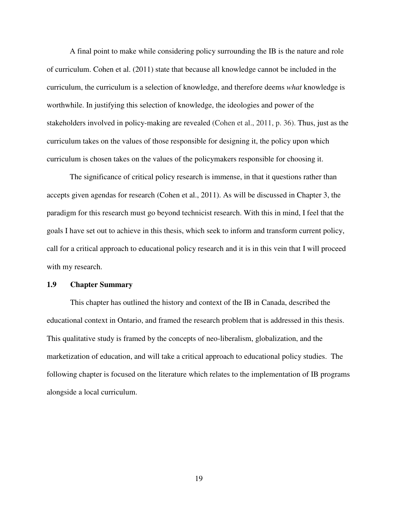A final point to make while considering policy surrounding the IB is the nature and role of curriculum. Cohen et al. (2011) state that because all knowledge cannot be included in the curriculum, the curriculum is a selection of knowledge, and therefore deems *what* knowledge is worthwhile. In justifying this selection of knowledge, the ideologies and power of the stakeholders involved in policy-making are revealed (Cohen et al., 2011, p. 36). Thus, just as the curriculum takes on the values of those responsible for designing it, the policy upon which curriculum is chosen takes on the values of the policymakers responsible for choosing it.

The significance of critical policy research is immense, in that it questions rather than accepts given agendas for research (Cohen et al., 2011). As will be discussed in Chapter 3, the paradigm for this research must go beyond technicist research. With this in mind, I feel that the goals I have set out to achieve in this thesis, which seek to inform and transform current policy, call for a critical approach to educational policy research and it is in this vein that I will proceed with my research.

# **1.9 Chapter Summary**

 This chapter has outlined the history and context of the IB in Canada, described the educational context in Ontario, and framed the research problem that is addressed in this thesis. This qualitative study is framed by the concepts of neo-liberalism, globalization, and the marketization of education, and will take a critical approach to educational policy studies. The following chapter is focused on the literature which relates to the implementation of IB programs alongside a local curriculum.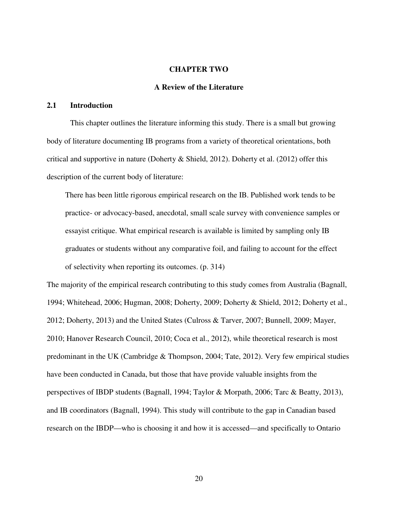#### **CHAPTER TWO**

# **A Review of the Literature**

### **2.1 Introduction**

 This chapter outlines the literature informing this study. There is a small but growing body of literature documenting IB programs from a variety of theoretical orientations, both critical and supportive in nature (Doherty & Shield, 2012). Doherty et al. (2012) offer this description of the current body of literature:

There has been little rigorous empirical research on the IB. Published work tends to be practice- or advocacy-based, anecdotal, small scale survey with convenience samples or essayist critique. What empirical research is available is limited by sampling only IB graduates or students without any comparative foil, and failing to account for the effect of selectivity when reporting its outcomes. (p. 314)

The majority of the empirical research contributing to this study comes from Australia (Bagnall, 1994; Whitehead, 2006; Hugman, 2008; Doherty, 2009; Doherty & Shield, 2012; Doherty et al., 2012; Doherty, 2013) and the United States (Culross & Tarver, 2007; Bunnell, 2009; Mayer, 2010; Hanover Research Council, 2010; Coca et al., 2012), while theoretical research is most predominant in the UK (Cambridge & Thompson, 2004; Tate, 2012). Very few empirical studies have been conducted in Canada, but those that have provide valuable insights from the perspectives of IBDP students (Bagnall, 1994; Taylor & Morpath, 2006; Tarc & Beatty, 2013), and IB coordinators (Bagnall, 1994). This study will contribute to the gap in Canadian based research on the IBDP—who is choosing it and how it is accessed—and specifically to Ontario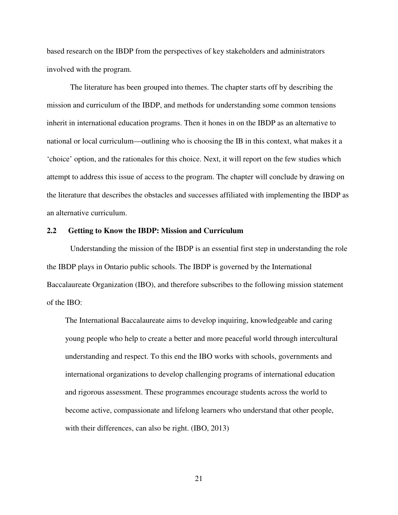based research on the IBDP from the perspectives of key stakeholders and administrators involved with the program.

The literature has been grouped into themes. The chapter starts off by describing the mission and curriculum of the IBDP, and methods for understanding some common tensions inherit in international education programs. Then it hones in on the IBDP as an alternative to national or local curriculum—outlining who is choosing the IB in this context, what makes it a 'choice' option, and the rationales for this choice. Next, it will report on the few studies which attempt to address this issue of access to the program. The chapter will conclude by drawing on the literature that describes the obstacles and successes affiliated with implementing the IBDP as an alternative curriculum.

#### **2.2 Getting to Know the IBDP: Mission and Curriculum**

Understanding the mission of the IBDP is an essential first step in understanding the role the IBDP plays in Ontario public schools. The IBDP is governed by the International Baccalaureate Organization (IBO), and therefore subscribes to the following mission statement of the IBO:

The International Baccalaureate aims to develop inquiring, knowledgeable and caring young people who help to create a better and more peaceful world through intercultural understanding and respect. To this end the IBO works with schools, governments and international organizations to develop challenging programs of international education and rigorous assessment. These programmes encourage students across the world to become active, compassionate and lifelong learners who understand that other people, with their differences, can also be right. (IBO, 2013)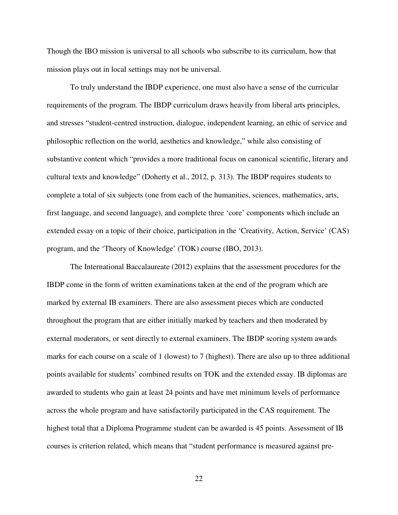Though the IBO mission is universal to all schools who subscribe to its curriculum, how that mission plays out in local settings may not be universal.

 To truly understand the IBDP experience, one must also have a sense of the curricular requirements of the program. The IBDP curriculum draws heavily from liberal arts principles, and stresses "student-centred instruction, dialogue, independent learning, an ethic of service and philosophic reflection on the world, aesthetics and knowledge," while also consisting of substantive content which "provides a more traditional focus on canonical scientific, literary and cultural texts and knowledge" (Doherty et al., 2012, p. 313). The IBDP requires students to complete a total of six subjects (one from each of the humanities, sciences, mathematics, arts, first language, and second language), and complete three 'core' components which include an extended essay on a topic of their choice, participation in the 'Creativity, Action, Service' (CAS) program, and the 'Theory of Knowledge' (TOK) course (IBO, 2013).

 The International Baccalaureate (2012) explains that the assessment procedures for the IBDP come in the form of written examinations taken at the end of the program which are marked by external IB examiners. There are also assessment pieces which are conducted throughout the program that are either initially marked by teachers and then moderated by external moderators, or sent directly to external examiners. The IBDP scoring system awards marks for each course on a scale of 1 (lowest) to 7 (highest). There are also up to three additional points available for students' combined results on TOK and the extended essay. IB diplomas are awarded to students who gain at least 24 points and have met minimum levels of performance across the whole program and have satisfactorily participated in the CAS requirement. The highest total that a Diploma Programme student can be awarded is 45 points. Assessment of IB courses is criterion related, which means that "student performance is measured against pre-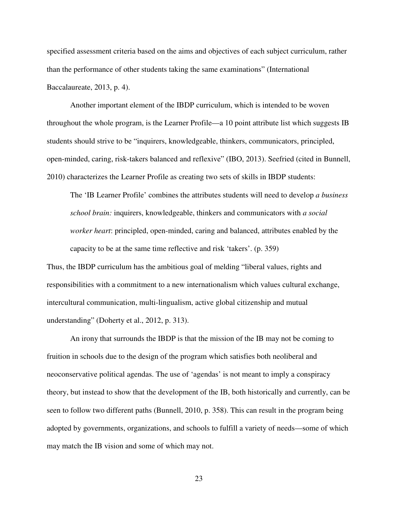specified assessment criteria based on the aims and objectives of each subject curriculum, rather than the performance of other students taking the same examinations" (International Baccalaureate, 2013, p. 4).

 Another important element of the IBDP curriculum, which is intended to be woven throughout the whole program, is the Learner Profile—a 10 point attribute list which suggests IB students should strive to be "inquirers, knowledgeable, thinkers, communicators, principled, open-minded, caring, risk-takers balanced and reflexive" (IBO, 2013). Seefried (cited in Bunnell, 2010) characterizes the Learner Profile as creating two sets of skills in IBDP students:

The 'IB Learner Profile' combines the attributes students will need to develop *a business school brain:* inquirers, knowledgeable, thinkers and communicators with *a social worker heart*: principled, open-minded, caring and balanced, attributes enabled by the capacity to be at the same time reflective and risk 'takers'. (p. 359)

Thus, the IBDP curriculum has the ambitious goal of melding "liberal values, rights and responsibilities with a commitment to a new internationalism which values cultural exchange, intercultural communication, multi-lingualism, active global citizenship and mutual understanding" (Doherty et al., 2012, p. 313).

 An irony that surrounds the IBDP is that the mission of the IB may not be coming to fruition in schools due to the design of the program which satisfies both neoliberal and neoconservative political agendas. The use of 'agendas' is not meant to imply a conspiracy theory, but instead to show that the development of the IB, both historically and currently, can be seen to follow two different paths (Bunnell, 2010, p. 358). This can result in the program being adopted by governments, organizations, and schools to fulfill a variety of needs—some of which may match the IB vision and some of which may not.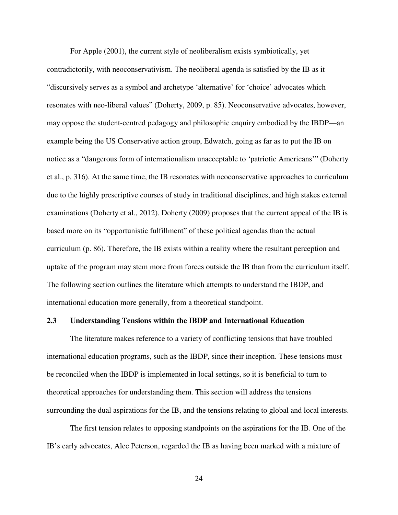For Apple (2001), the current style of neoliberalism exists symbiotically, yet contradictorily, with neoconservativism. The neoliberal agenda is satisfied by the IB as it "discursively serves as a symbol and archetype 'alternative' for 'choice' advocates which resonates with neo-liberal values" (Doherty, 2009, p. 85). Neoconservative advocates, however, may oppose the student-centred pedagogy and philosophic enquiry embodied by the IBDP—an example being the US Conservative action group, Edwatch, going as far as to put the IB on notice as a "dangerous form of internationalism unacceptable to 'patriotic Americans'" (Doherty et al., p. 316). At the same time, the IB resonates with neoconservative approaches to curriculum due to the highly prescriptive courses of study in traditional disciplines, and high stakes external examinations (Doherty et al., 2012). Doherty (2009) proposes that the current appeal of the IB is based more on its "opportunistic fulfillment" of these political agendas than the actual curriculum (p. 86). Therefore, the IB exists within a reality where the resultant perception and uptake of the program may stem more from forces outside the IB than from the curriculum itself. The following section outlines the literature which attempts to understand the IBDP, and international education more generally, from a theoretical standpoint.

#### **2.3 Understanding Tensions within the IBDP and International Education**

 The literature makes reference to a variety of conflicting tensions that have troubled international education programs, such as the IBDP, since their inception. These tensions must be reconciled when the IBDP is implemented in local settings, so it is beneficial to turn to theoretical approaches for understanding them. This section will address the tensions surrounding the dual aspirations for the IB, and the tensions relating to global and local interests.

 The first tension relates to opposing standpoints on the aspirations for the IB. One of the IB's early advocates, Alec Peterson, regarded the IB as having been marked with a mixture of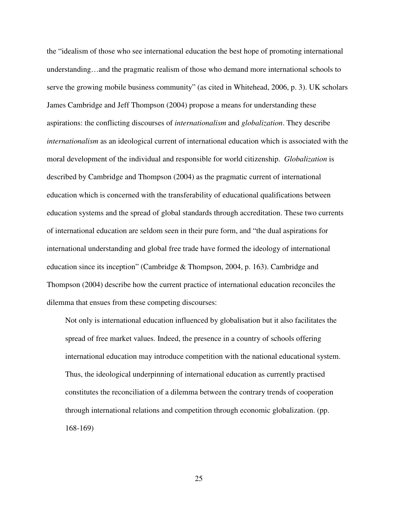the "idealism of those who see international education the best hope of promoting international understanding…and the pragmatic realism of those who demand more international schools to serve the growing mobile business community" (as cited in Whitehead, 2006, p. 3). UK scholars James Cambridge and Jeff Thompson (2004) propose a means for understanding these aspirations: the conflicting discourses of *internationalism* and *globalization*. They describe *internationalism* as an ideological current of international education which is associated with the moral development of the individual and responsible for world citizenship. *Globalization* is described by Cambridge and Thompson (2004) as the pragmatic current of international education which is concerned with the transferability of educational qualifications between education systems and the spread of global standards through accreditation. These two currents of international education are seldom seen in their pure form, and "the dual aspirations for international understanding and global free trade have formed the ideology of international education since its inception" (Cambridge & Thompson, 2004, p. 163). Cambridge and Thompson (2004) describe how the current practice of international education reconciles the dilemma that ensues from these competing discourses:

Not only is international education influenced by globalisation but it also facilitates the spread of free market values. Indeed, the presence in a country of schools offering international education may introduce competition with the national educational system. Thus, the ideological underpinning of international education as currently practised constitutes the reconciliation of a dilemma between the contrary trends of cooperation through international relations and competition through economic globalization. (pp. 168-169)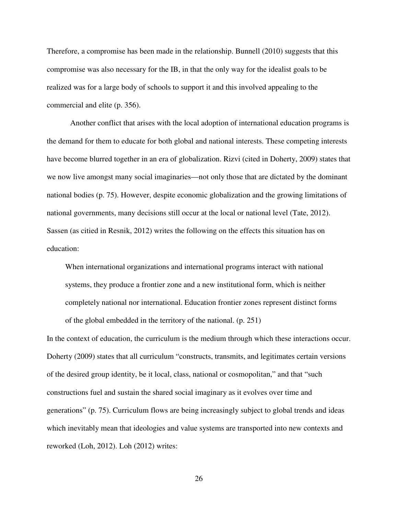Therefore, a compromise has been made in the relationship. Bunnell (2010) suggests that this compromise was also necessary for the IB, in that the only way for the idealist goals to be realized was for a large body of schools to support it and this involved appealing to the commercial and elite (p. 356).

 Another conflict that arises with the local adoption of international education programs is the demand for them to educate for both global and national interests. These competing interests have become blurred together in an era of globalization. Rizvi (cited in Doherty, 2009) states that we now live amongst many social imaginaries—not only those that are dictated by the dominant national bodies (p. 75). However, despite economic globalization and the growing limitations of national governments, many decisions still occur at the local or national level (Tate, 2012). Sassen (as citied in Resnik, 2012) writes the following on the effects this situation has on education:

When international organizations and international programs interact with national systems, they produce a frontier zone and a new institutional form, which is neither completely national nor international. Education frontier zones represent distinct forms of the global embedded in the territory of the national. (p. 251)

In the context of education, the curriculum is the medium through which these interactions occur. Doherty (2009) states that all curriculum "constructs, transmits, and legitimates certain versions of the desired group identity, be it local, class, national or cosmopolitan," and that "such constructions fuel and sustain the shared social imaginary as it evolves over time and generations" (p. 75). Curriculum flows are being increasingly subject to global trends and ideas which inevitably mean that ideologies and value systems are transported into new contexts and reworked (Loh, 2012). Loh (2012) writes: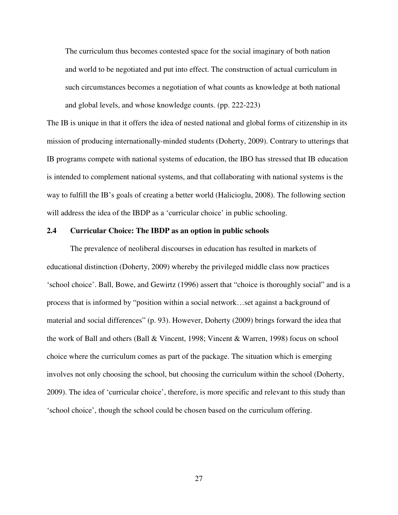The curriculum thus becomes contested space for the social imaginary of both nation and world to be negotiated and put into effect. The construction of actual curriculum in such circumstances becomes a negotiation of what counts as knowledge at both national and global levels, and whose knowledge counts. (pp. 222-223)

The IB is unique in that it offers the idea of nested national and global forms of citizenship in its mission of producing internationally-minded students (Doherty, 2009). Contrary to utterings that IB programs compete with national systems of education, the IBO has stressed that IB education is intended to complement national systems, and that collaborating with national systems is the way to fulfill the IB's goals of creating a better world (Halicioglu, 2008). The following section will address the idea of the IBDP as a 'curricular choice' in public schooling.

# **2.4 Curricular Choice: The IBDP as an option in public schools**

 The prevalence of neoliberal discourses in education has resulted in markets of educational distinction (Doherty, 2009) whereby the privileged middle class now practices 'school choice'. Ball, Bowe, and Gewirtz (1996) assert that "choice is thoroughly social" and is a process that is informed by "position within a social network…set against a background of material and social differences" (p. 93). However, Doherty (2009) brings forward the idea that the work of Ball and others (Ball & Vincent, 1998; Vincent & Warren, 1998) focus on school choice where the curriculum comes as part of the package. The situation which is emerging involves not only choosing the school, but choosing the curriculum within the school (Doherty, 2009). The idea of 'curricular choice', therefore, is more specific and relevant to this study than 'school choice', though the school could be chosen based on the curriculum offering.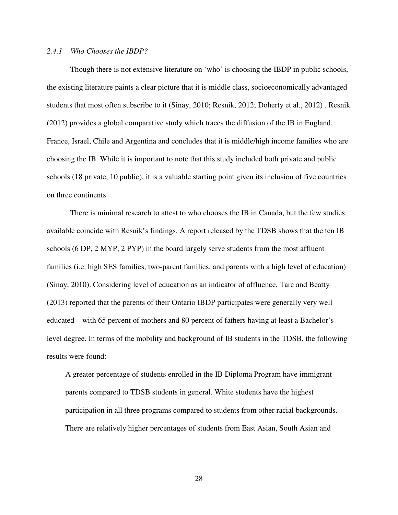### *2.4.1 Who Chooses the IBDP?*

 Though there is not extensive literature on 'who' is choosing the IBDP in public schools, the existing literature paints a clear picture that it is middle class, socioeconomically advantaged students that most often subscribe to it (Sinay, 2010; Resnik, 2012; Doherty et al., 2012) . Resnik (2012) provides a global comparative study which traces the diffusion of the IB in England, France, Israel, Chile and Argentina and concludes that it is middle/high income families who are choosing the IB. While it is important to note that this study included both private and public schools (18 private, 10 public), it is a valuable starting point given its inclusion of five countries on three continents.

 There is minimal research to attest to who chooses the IB in Canada, but the few studies available coincide with Resnik's findings. A report released by the TDSB shows that the ten IB schools (6 DP, 2 MYP, 2 PYP) in the board largely serve students from the most affluent families (i.e. high SES families, two-parent families, and parents with a high level of education) (Sinay, 2010). Considering level of education as an indicator of affluence, Tarc and Beatty (2013) reported that the parents of their Ontario IBDP participates were generally very well educated—with 65 percent of mothers and 80 percent of fathers having at least a Bachelor'slevel degree. In terms of the mobility and background of IB students in the TDSB, the following results were found:

A greater percentage of students enrolled in the IB Diploma Program have immigrant parents compared to TDSB students in general. White students have the highest participation in all three programs compared to students from other racial backgrounds. There are relatively higher percentages of students from East Asian, South Asian and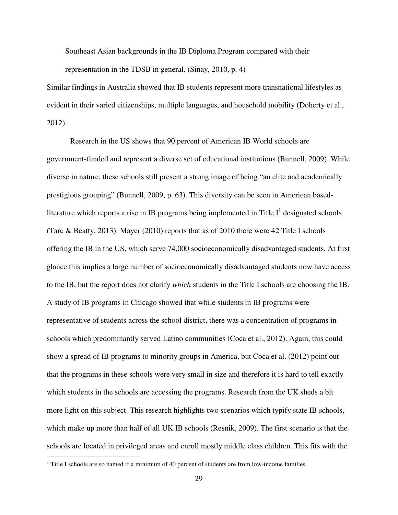Southeast Asian backgrounds in the IB Diploma Program compared with their

representation in the TDSB in general. (Sinay, 2010, p. 4)

Similar findings in Australia showed that IB students represent more transnational lifestyles as evident in their varied citizenships, multiple languages, and household mobility (Doherty et al., 2012).

 Research in the US shows that 90 percent of American IB World schools are government-funded and represent a diverse set of educational institutions (Bunnell, 2009). While diverse in nature, these schools still present a strong image of being "an elite and academically prestigious grouping" (Bunnell, 2009, p. 63). This diversity can be seen in American basedliterature which reports a rise in IB programs being implemented in Title  $I^1$  designated schools (Tarc & Beatty, 2013). Mayer (2010) reports that as of 2010 there were 42 Title I schools offering the IB in the US, which serve 74,000 socioeconomically disadvantaged students. At first glance this implies a large number of socioeconomically disadvantaged students now have access to the IB, but the report does not clarify *which* students in the Title I schools are choosing the IB. A study of IB programs in Chicago showed that while students in IB programs were representative of students across the school district, there was a concentration of programs in schools which predominantly served Latino communities (Coca et al., 2012). Again, this could show a spread of IB programs to minority groups in America, but Coca et al. (2012) point out that the programs in these schools were very small in size and therefore it is hard to tell exactly which students in the schools are accessing the programs. Research from the UK sheds a bit more light on this subject. This research highlights two scenarios which typify state IB schools, which make up more than half of all UK IB schools (Resnik, 2009). The first scenario is that the schools are located in privileged areas and enroll mostly middle class children. This fits with the

<u>.</u>

 $<sup>1</sup>$  Title I schools are so named if a minimum of 40 percent of students are from low-income families.</sup>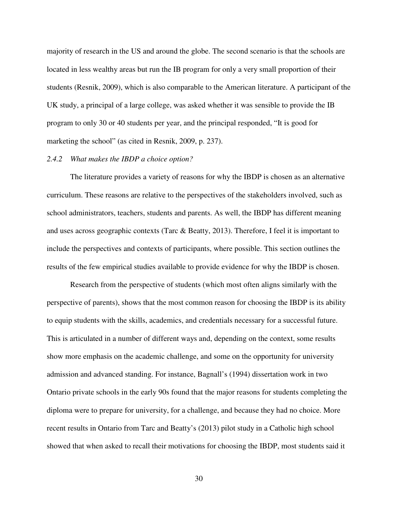majority of research in the US and around the globe. The second scenario is that the schools are located in less wealthy areas but run the IB program for only a very small proportion of their students (Resnik, 2009), which is also comparable to the American literature. A participant of the UK study, a principal of a large college, was asked whether it was sensible to provide the IB program to only 30 or 40 students per year, and the principal responded, "It is good for marketing the school" (as cited in Resnik, 2009, p. 237).

### *2.4.2 What makes the IBDP a choice option?*

 The literature provides a variety of reasons for why the IBDP is chosen as an alternative curriculum. These reasons are relative to the perspectives of the stakeholders involved, such as school administrators, teachers, students and parents. As well, the IBDP has different meaning and uses across geographic contexts (Tarc & Beatty, 2013). Therefore, I feel it is important to include the perspectives and contexts of participants, where possible. This section outlines the results of the few empirical studies available to provide evidence for why the IBDP is chosen.

 Research from the perspective of students (which most often aligns similarly with the perspective of parents), shows that the most common reason for choosing the IBDP is its ability to equip students with the skills, academics, and credentials necessary for a successful future. This is articulated in a number of different ways and, depending on the context, some results show more emphasis on the academic challenge, and some on the opportunity for university admission and advanced standing. For instance, Bagnall's (1994) dissertation work in two Ontario private schools in the early 90s found that the major reasons for students completing the diploma were to prepare for university, for a challenge, and because they had no choice. More recent results in Ontario from Tarc and Beatty's (2013) pilot study in a Catholic high school showed that when asked to recall their motivations for choosing the IBDP, most students said it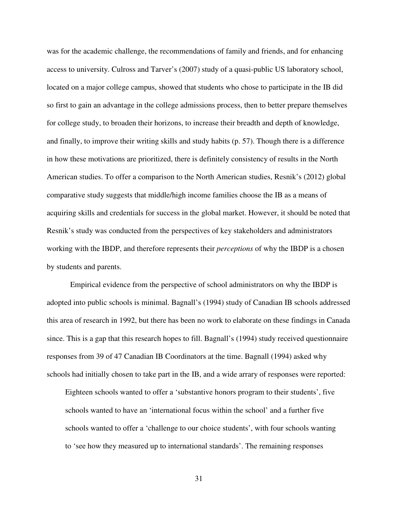was for the academic challenge, the recommendations of family and friends, and for enhancing access to university. Culross and Tarver's (2007) study of a quasi-public US laboratory school, located on a major college campus, showed that students who chose to participate in the IB did so first to gain an advantage in the college admissions process, then to better prepare themselves for college study, to broaden their horizons, to increase their breadth and depth of knowledge, and finally, to improve their writing skills and study habits (p. 57). Though there is a difference in how these motivations are prioritized, there is definitely consistency of results in the North American studies. To offer a comparison to the North American studies, Resnik's (2012) global comparative study suggests that middle/high income families choose the IB as a means of acquiring skills and credentials for success in the global market. However, it should be noted that Resnik's study was conducted from the perspectives of key stakeholders and administrators working with the IBDP, and therefore represents their *perceptions* of why the IBDP is a chosen by students and parents.

 Empirical evidence from the perspective of school administrators on why the IBDP is adopted into public schools is minimal. Bagnall's (1994) study of Canadian IB schools addressed this area of research in 1992, but there has been no work to elaborate on these findings in Canada since. This is a gap that this research hopes to fill. Bagnall's (1994) study received questionnaire responses from 39 of 47 Canadian IB Coordinators at the time. Bagnall (1994) asked why schools had initially chosen to take part in the IB, and a wide arrary of responses were reported:

Eighteen schools wanted to offer a 'substantive honors program to their students', five schools wanted to have an 'international focus within the school' and a further five schools wanted to offer a 'challenge to our choice students', with four schools wanting to 'see how they measured up to international standards'. The remaining responses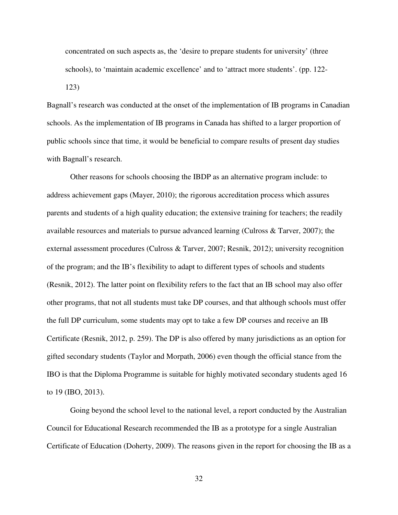concentrated on such aspects as, the 'desire to prepare students for university' (three schools), to 'maintain academic excellence' and to 'attract more students'. (pp. 122- 123)

Bagnall's research was conducted at the onset of the implementation of IB programs in Canadian schools. As the implementation of IB programs in Canada has shifted to a larger proportion of public schools since that time, it would be beneficial to compare results of present day studies with Bagnall's research.

 Other reasons for schools choosing the IBDP as an alternative program include: to address achievement gaps (Mayer, 2010); the rigorous accreditation process which assures parents and students of a high quality education; the extensive training for teachers; the readily available resources and materials to pursue advanced learning (Culross & Tarver, 2007); the external assessment procedures (Culross & Tarver, 2007; Resnik, 2012); university recognition of the program; and the IB's flexibility to adapt to different types of schools and students (Resnik, 2012). The latter point on flexibility refers to the fact that an IB school may also offer other programs, that not all students must take DP courses, and that although schools must offer the full DP curriculum, some students may opt to take a few DP courses and receive an IB Certificate (Resnik, 2012, p. 259). The DP is also offered by many jurisdictions as an option for gifted secondary students (Taylor and Morpath, 2006) even though the official stance from the IBO is that the Diploma Programme is suitable for highly motivated secondary students aged 16 to 19 (IBO, 2013).

Going beyond the school level to the national level, a report conducted by the Australian Council for Educational Research recommended the IB as a prototype for a single Australian Certificate of Education (Doherty, 2009). The reasons given in the report for choosing the IB as a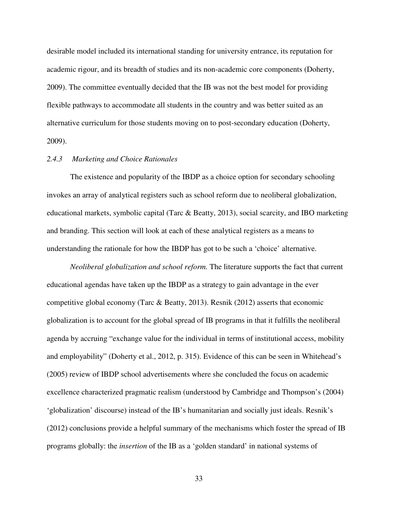desirable model included its international standing for university entrance, its reputation for academic rigour, and its breadth of studies and its non-academic core components (Doherty, 2009). The committee eventually decided that the IB was not the best model for providing flexible pathways to accommodate all students in the country and was better suited as an alternative curriculum for those students moving on to post-secondary education (Doherty, 2009).

# *2.4.3 Marketing and Choice Rationales*

 The existence and popularity of the IBDP as a choice option for secondary schooling invokes an array of analytical registers such as school reform due to neoliberal globalization, educational markets, symbolic capital (Tarc & Beatty, 2013), social scarcity, and IBO marketing and branding. This section will look at each of these analytical registers as a means to understanding the rationale for how the IBDP has got to be such a 'choice' alternative.

*Neoliberal globalization and school reform.* The literature supports the fact that current educational agendas have taken up the IBDP as a strategy to gain advantage in the ever competitive global economy (Tarc & Beatty, 2013). Resnik (2012) asserts that economic globalization is to account for the global spread of IB programs in that it fulfills the neoliberal agenda by accruing "exchange value for the individual in terms of institutional access, mobility and employability" (Doherty et al., 2012, p. 315). Evidence of this can be seen in Whitehead's (2005) review of IBDP school advertisements where she concluded the focus on academic excellence characterized pragmatic realism (understood by Cambridge and Thompson's (2004) 'globalization' discourse) instead of the IB's humanitarian and socially just ideals. Resnik's (2012) conclusions provide a helpful summary of the mechanisms which foster the spread of IB programs globally: the *insertion* of the IB as a 'golden standard' in national systems of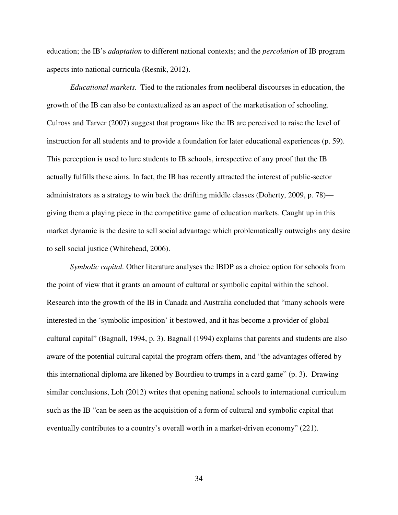education; the IB's *adaptation* to different national contexts; and the *percolation* of IB program aspects into national curricula (Resnik, 2012).

 *Educational markets.* Tied to the rationales from neoliberal discourses in education, the growth of the IB can also be contextualized as an aspect of the marketisation of schooling. Culross and Tarver (2007) suggest that programs like the IB are perceived to raise the level of instruction for all students and to provide a foundation for later educational experiences (p. 59). This perception is used to lure students to IB schools, irrespective of any proof that the IB actually fulfills these aims. In fact, the IB has recently attracted the interest of public-sector administrators as a strategy to win back the drifting middle classes (Doherty, 2009, p. 78) giving them a playing piece in the competitive game of education markets. Caught up in this market dynamic is the desire to sell social advantage which problematically outweighs any desire to sell social justice (Whitehead, 2006).

 *Symbolic capital.* Other literature analyses the IBDP as a choice option for schools from the point of view that it grants an amount of cultural or symbolic capital within the school. Research into the growth of the IB in Canada and Australia concluded that "many schools were interested in the 'symbolic imposition' it bestowed, and it has become a provider of global cultural capital" (Bagnall, 1994, p. 3). Bagnall (1994) explains that parents and students are also aware of the potential cultural capital the program offers them, and "the advantages offered by this international diploma are likened by Bourdieu to trumps in a card game" (p. 3). Drawing similar conclusions, Loh (2012) writes that opening national schools to international curriculum such as the IB "can be seen as the acquisition of a form of cultural and symbolic capital that eventually contributes to a country's overall worth in a market-driven economy" (221).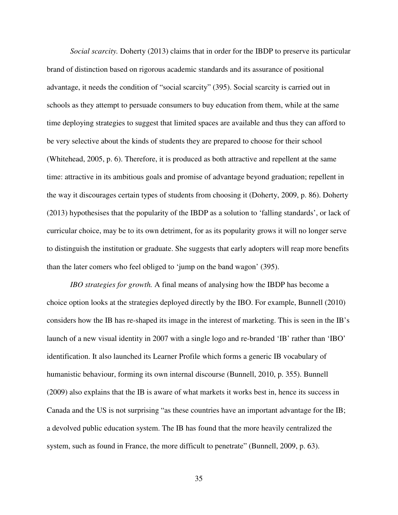*Social scarcity.* Doherty (2013) claims that in order for the IBDP to preserve its particular brand of distinction based on rigorous academic standards and its assurance of positional advantage, it needs the condition of "social scarcity" (395). Social scarcity is carried out in schools as they attempt to persuade consumers to buy education from them, while at the same time deploying strategies to suggest that limited spaces are available and thus they can afford to be very selective about the kinds of students they are prepared to choose for their school (Whitehead, 2005, p. 6). Therefore, it is produced as both attractive and repellent at the same time: attractive in its ambitious goals and promise of advantage beyond graduation; repellent in the way it discourages certain types of students from choosing it (Doherty, 2009, p. 86). Doherty (2013) hypothesises that the popularity of the IBDP as a solution to 'falling standards', or lack of curricular choice, may be to its own detriment, for as its popularity grows it will no longer serve to distinguish the institution or graduate. She suggests that early adopters will reap more benefits than the later comers who feel obliged to 'jump on the band wagon' (395).

 *IBO strategies for growth.* A final means of analysing how the IBDP has become a choice option looks at the strategies deployed directly by the IBO. For example, Bunnell (2010) considers how the IB has re-shaped its image in the interest of marketing. This is seen in the IB's launch of a new visual identity in 2007 with a single logo and re-branded 'IB' rather than 'IBO' identification. It also launched its Learner Profile which forms a generic IB vocabulary of humanistic behaviour, forming its own internal discourse (Bunnell, 2010, p. 355). Bunnell (2009) also explains that the IB is aware of what markets it works best in, hence its success in Canada and the US is not surprising "as these countries have an important advantage for the IB; a devolved public education system. The IB has found that the more heavily centralized the system, such as found in France, the more difficult to penetrate" (Bunnell, 2009, p. 63).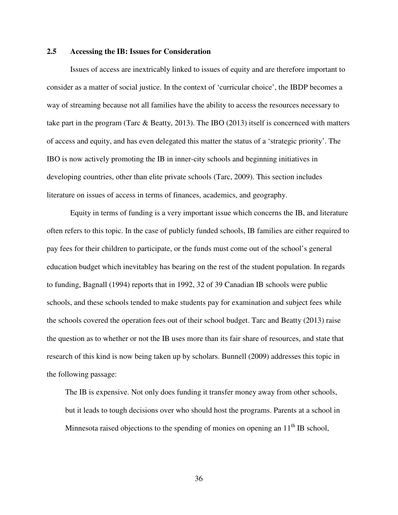# **2.5 Accessing the IB: Issues for Consideration**

 Issues of access are inextricably linked to issues of equity and are therefore important to consider as a matter of social justice. In the context of 'curricular choice', the IBDP becomes a way of streaming because not all families have the ability to access the resources necessary to take part in the program (Tarc & Beatty, 2013). The IBO (2013) itself is concernced with matters of access and equity, and has even delegated this matter the status of a 'strategic priority'. The IBO is now actively promoting the IB in inner-city schools and beginning initiatives in developing countries, other than elite private schools (Tarc, 2009). This section includes literature on issues of access in terms of finances, academics, and geography.

Equity in terms of funding is a very important issue which concerns the IB, and literature often refers to this topic. In the case of publicly funded schools, IB families are either required to pay fees for their children to participate, or the funds must come out of the school's general education budget which inevitabley has bearing on the rest of the student population. In regards to funding, Bagnall (1994) reports that in 1992, 32 of 39 Canadian IB schools were public schools, and these schools tended to make students pay for examination and subject fees while the schools covered the operation fees out of their school budget. Tarc and Beatty (2013) raise the question as to whether or not the IB uses more than its fair share of resources, and state that research of this kind is now being taken up by scholars. Bunnell (2009) addresses this topic in the following passage:

The IB is expensive. Not only does funding it transfer money away from other schools, but it leads to tough decisions over who should host the programs. Parents at a school in Minnesota raised objections to the spending of monies on opening an 11<sup>th</sup> IB school,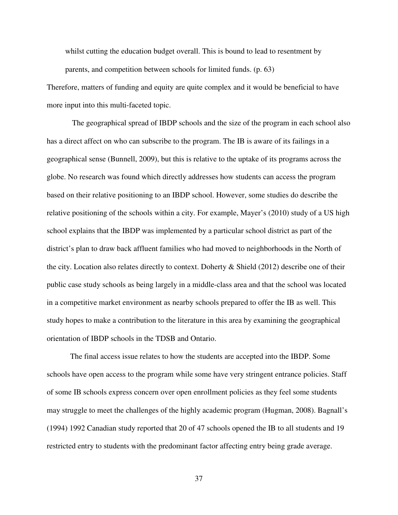whilst cutting the education budget overall. This is bound to lead to resentment by parents, and competition between schools for limited funds. (p. 63)

Therefore, matters of funding and equity are quite complex and it would be beneficial to have more input into this multi-faceted topic.

 The geographical spread of IBDP schools and the size of the program in each school also has a direct affect on who can subscribe to the program. The IB is aware of its failings in a geographical sense (Bunnell, 2009), but this is relative to the uptake of its programs across the globe. No research was found which directly addresses how students can access the program based on their relative positioning to an IBDP school. However, some studies do describe the relative positioning of the schools within a city. For example, Mayer's (2010) study of a US high school explains that the IBDP was implemented by a particular school district as part of the district's plan to draw back affluent families who had moved to neighborhoods in the North of the city. Location also relates directly to context. Doherty  $\&$  Shield (2012) describe one of their public case study schools as being largely in a middle-class area and that the school was located in a competitive market environment as nearby schools prepared to offer the IB as well. This study hopes to make a contribution to the literature in this area by examining the geographical orientation of IBDP schools in the TDSB and Ontario.

 The final access issue relates to how the students are accepted into the IBDP. Some schools have open access to the program while some have very stringent entrance policies. Staff of some IB schools express concern over open enrollment policies as they feel some students may struggle to meet the challenges of the highly academic program (Hugman, 2008). Bagnall's (1994) 1992 Canadian study reported that 20 of 47 schools opened the IB to all students and 19 restricted entry to students with the predominant factor affecting entry being grade average.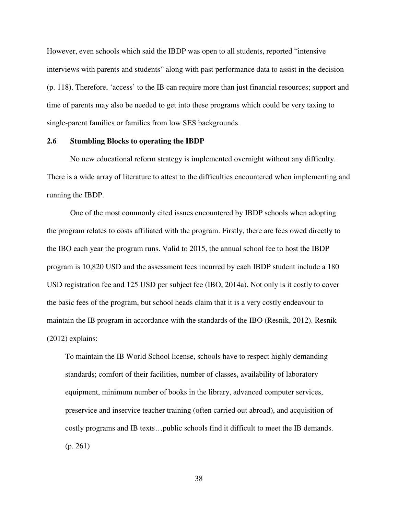However, even schools which said the IBDP was open to all students, reported "intensive interviews with parents and students" along with past performance data to assist in the decision (p. 118). Therefore, 'access' to the IB can require more than just financial resources; support and time of parents may also be needed to get into these programs which could be very taxing to single-parent families or families from low SES backgrounds.

## **2.6 Stumbling Blocks to operating the IBDP**

 No new educational reform strategy is implemented overnight without any difficulty. There is a wide array of literature to attest to the difficulties encountered when implementing and running the IBDP.

One of the most commonly cited issues encountered by IBDP schools when adopting the program relates to costs affiliated with the program. Firstly, there are fees owed directly to the IBO each year the program runs. Valid to 2015, the annual school fee to host the IBDP program is 10,820 USD and the assessment fees incurred by each IBDP student include a 180 USD registration fee and 125 USD per subject fee (IBO, 2014a). Not only is it costly to cover the basic fees of the program, but school heads claim that it is a very costly endeavour to maintain the IB program in accordance with the standards of the IBO (Resnik, 2012). Resnik (2012) explains:

To maintain the IB World School license, schools have to respect highly demanding standards; comfort of their facilities, number of classes, availability of laboratory equipment, minimum number of books in the library, advanced computer services, preservice and inservice teacher training (often carried out abroad), and acquisition of costly programs and IB texts…public schools find it difficult to meet the IB demands. (p. 261)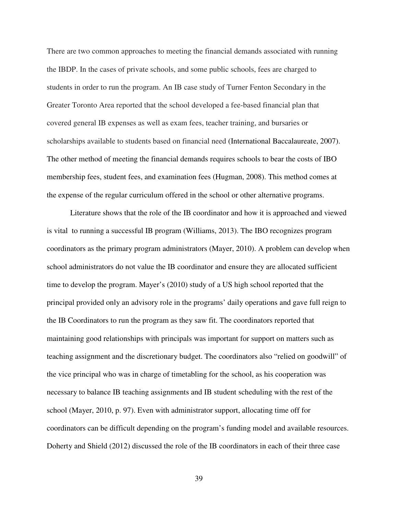There are two common approaches to meeting the financial demands associated with running the IBDP. In the cases of private schools, and some public schools, fees are charged to students in order to run the program. An IB case study of Turner Fenton Secondary in the Greater Toronto Area reported that the school developed a fee-based financial plan that covered general IB expenses as well as exam fees, teacher training, and bursaries or scholarships available to students based on financial need (International Baccalaureate, 2007). The other method of meeting the financial demands requires schools to bear the costs of IBO membership fees, student fees, and examination fees (Hugman, 2008). This method comes at the expense of the regular curriculum offered in the school or other alternative programs.

 Literature shows that the role of the IB coordinator and how it is approached and viewed is vital to running a successful IB program (Williams, 2013). The IBO recognizes program coordinators as the primary program administrators (Mayer, 2010). A problem can develop when school administrators do not value the IB coordinator and ensure they are allocated sufficient time to develop the program. Mayer's (2010) study of a US high school reported that the principal provided only an advisory role in the programs' daily operations and gave full reign to the IB Coordinators to run the program as they saw fit. The coordinators reported that maintaining good relationships with principals was important for support on matters such as teaching assignment and the discretionary budget. The coordinators also "relied on goodwill" of the vice principal who was in charge of timetabling for the school, as his cooperation was necessary to balance IB teaching assignments and IB student scheduling with the rest of the school (Mayer, 2010, p. 97). Even with administrator support, allocating time off for coordinators can be difficult depending on the program's funding model and available resources. Doherty and Shield (2012) discussed the role of the IB coordinators in each of their three case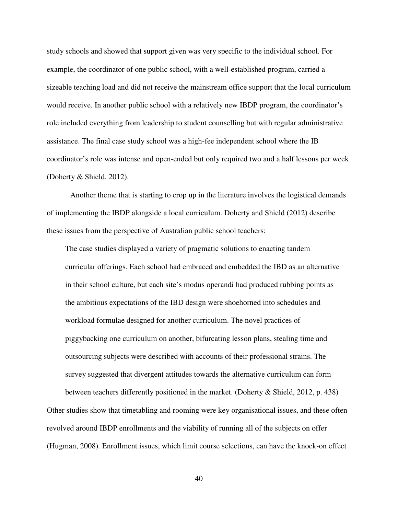study schools and showed that support given was very specific to the individual school. For example, the coordinator of one public school, with a well-established program, carried a sizeable teaching load and did not receive the mainstream office support that the local curriculum would receive. In another public school with a relatively new IBDP program, the coordinator's role included everything from leadership to student counselling but with regular administrative assistance. The final case study school was a high-fee independent school where the IB coordinator's role was intense and open-ended but only required two and a half lessons per week (Doherty & Shield, 2012).

Another theme that is starting to crop up in the literature involves the logistical demands of implementing the IBDP alongside a local curriculum. Doherty and Shield (2012) describe these issues from the perspective of Australian public school teachers:

The case studies displayed a variety of pragmatic solutions to enacting tandem curricular offerings. Each school had embraced and embedded the IBD as an alternative in their school culture, but each site's modus operandi had produced rubbing points as the ambitious expectations of the IBD design were shoehorned into schedules and workload formulae designed for another curriculum. The novel practices of piggybacking one curriculum on another, bifurcating lesson plans, stealing time and outsourcing subjects were described with accounts of their professional strains. The survey suggested that divergent attitudes towards the alternative curriculum can form

between teachers differently positioned in the market. (Doherty & Shield, 2012, p. 438) Other studies show that timetabling and rooming were key organisational issues, and these often revolved around IBDP enrollments and the viability of running all of the subjects on offer (Hugman, 2008). Enrollment issues, which limit course selections, can have the knock-on effect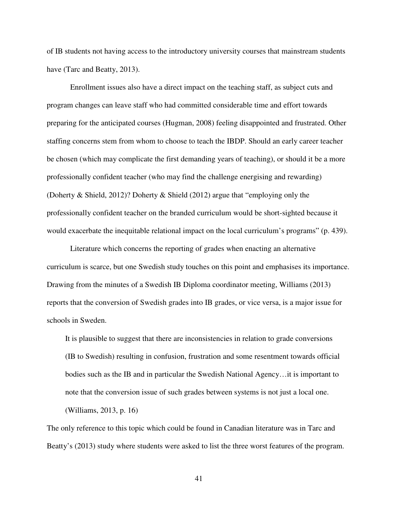of IB students not having access to the introductory university courses that mainstream students have (Tarc and Beatty, 2013).

 Enrollment issues also have a direct impact on the teaching staff, as subject cuts and program changes can leave staff who had committed considerable time and effort towards preparing for the anticipated courses (Hugman, 2008) feeling disappointed and frustrated. Other staffing concerns stem from whom to choose to teach the IBDP. Should an early career teacher be chosen (which may complicate the first demanding years of teaching), or should it be a more professionally confident teacher (who may find the challenge energising and rewarding) (Doherty & Shield, 2012)? Doherty & Shield (2012) argue that "employing only the professionally confident teacher on the branded curriculum would be short-sighted because it would exacerbate the inequitable relational impact on the local curriculum's programs" (p. 439).

 Literature which concerns the reporting of grades when enacting an alternative curriculum is scarce, but one Swedish study touches on this point and emphasises its importance. Drawing from the minutes of a Swedish IB Diploma coordinator meeting, Williams (2013) reports that the conversion of Swedish grades into IB grades, or vice versa, is a major issue for schools in Sweden.

It is plausible to suggest that there are inconsistencies in relation to grade conversions (IB to Swedish) resulting in confusion, frustration and some resentment towards official bodies such as the IB and in particular the Swedish National Agency…it is important to note that the conversion issue of such grades between systems is not just a local one. (Williams, 2013, p. 16)

The only reference to this topic which could be found in Canadian literature was in Tarc and Beatty's (2013) study where students were asked to list the three worst features of the program.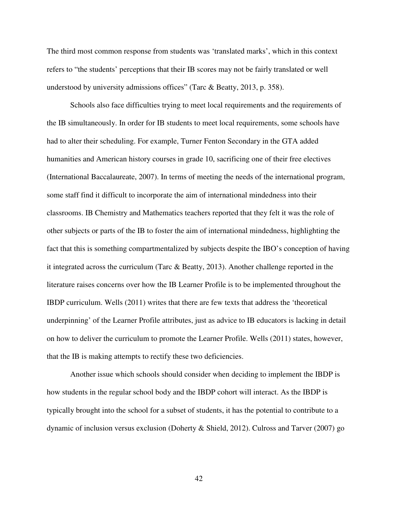The third most common response from students was 'translated marks', which in this context refers to "the students' perceptions that their IB scores may not be fairly translated or well understood by university admissions offices" (Tarc & Beatty, 2013, p. 358).

 Schools also face difficulties trying to meet local requirements and the requirements of the IB simultaneously. In order for IB students to meet local requirements, some schools have had to alter their scheduling. For example, Turner Fenton Secondary in the GTA added humanities and American history courses in grade 10, sacrificing one of their free electives (International Baccalaureate, 2007). In terms of meeting the needs of the international program, some staff find it difficult to incorporate the aim of international mindedness into their classrooms. IB Chemistry and Mathematics teachers reported that they felt it was the role of other subjects or parts of the IB to foster the aim of international mindedness, highlighting the fact that this is something compartmentalized by subjects despite the IBO's conception of having it integrated across the curriculum (Tarc & Beatty, 2013). Another challenge reported in the literature raises concerns over how the IB Learner Profile is to be implemented throughout the IBDP curriculum. Wells (2011) writes that there are few texts that address the 'theoretical underpinning' of the Learner Profile attributes, just as advice to IB educators is lacking in detail on how to deliver the curriculum to promote the Learner Profile. Wells (2011) states, however, that the IB is making attempts to rectify these two deficiencies.

 Another issue which schools should consider when deciding to implement the IBDP is how students in the regular school body and the IBDP cohort will interact. As the IBDP is typically brought into the school for a subset of students, it has the potential to contribute to a dynamic of inclusion versus exclusion (Doherty & Shield, 2012). Culross and Tarver (2007) go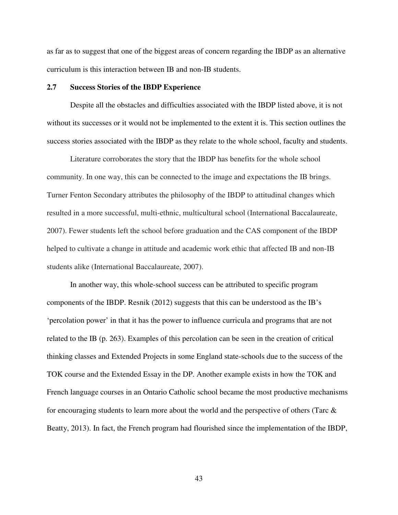as far as to suggest that one of the biggest areas of concern regarding the IBDP as an alternative curriculum is this interaction between IB and non-IB students.

# **2.7 Success Stories of the IBDP Experience**

Despite all the obstacles and difficulties associated with the IBDP listed above, it is not without its successes or it would not be implemented to the extent it is. This section outlines the success stories associated with the IBDP as they relate to the whole school, faculty and students.

 Literature corroborates the story that the IBDP has benefits for the whole school community. In one way, this can be connected to the image and expectations the IB brings. Turner Fenton Secondary attributes the philosophy of the IBDP to attitudinal changes which resulted in a more successful, multi-ethnic, multicultural school (International Baccalaureate, 2007). Fewer students left the school before graduation and the CAS component of the IBDP helped to cultivate a change in attitude and academic work ethic that affected IB and non-IB students alike (International Baccalaureate, 2007).

In another way, this whole-school success can be attributed to specific program components of the IBDP. Resnik (2012) suggests that this can be understood as the IB's 'percolation power' in that it has the power to influence curricula and programs that are not related to the IB (p. 263). Examples of this percolation can be seen in the creation of critical thinking classes and Extended Projects in some England state-schools due to the success of the TOK course and the Extended Essay in the DP. Another example exists in how the TOK and French language courses in an Ontario Catholic school became the most productive mechanisms for encouraging students to learn more about the world and the perspective of others (Tarc & Beatty, 2013). In fact, the French program had flourished since the implementation of the IBDP,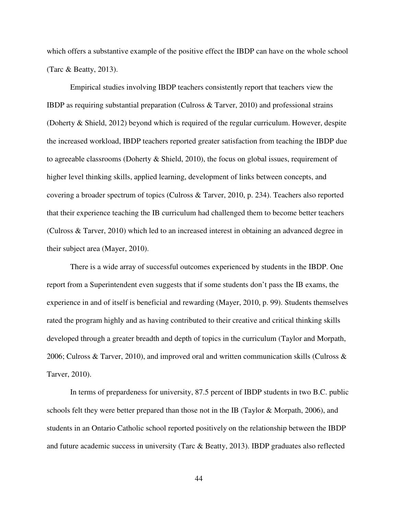which offers a substantive example of the positive effect the IBDP can have on the whole school (Tarc & Beatty, 2013).

 Empirical studies involving IBDP teachers consistently report that teachers view the IBDP as requiring substantial preparation (Culross & Tarver, 2010) and professional strains (Doherty & Shield, 2012) beyond which is required of the regular curriculum. However, despite the increased workload, IBDP teachers reported greater satisfaction from teaching the IBDP due to agreeable classrooms (Doherty & Shield, 2010), the focus on global issues, requirement of higher level thinking skills, applied learning, development of links between concepts, and covering a broader spectrum of topics (Culross & Tarver, 2010, p. 234). Teachers also reported that their experience teaching the IB curriculum had challenged them to become better teachers (Culross & Tarver, 2010) which led to an increased interest in obtaining an advanced degree in their subject area (Mayer, 2010).

 There is a wide array of successful outcomes experienced by students in the IBDP. One report from a Superintendent even suggests that if some students don't pass the IB exams, the experience in and of itself is beneficial and rewarding (Mayer, 2010, p. 99). Students themselves rated the program highly and as having contributed to their creative and critical thinking skills developed through a greater breadth and depth of topics in the curriculum (Taylor and Morpath, 2006; Culross & Tarver, 2010), and improved oral and written communication skills (Culross  $\&$ Tarver, 2010).

 In terms of prepardeness for university, 87.5 percent of IBDP students in two B.C. public schools felt they were better prepared than those not in the IB (Taylor & Morpath, 2006), and students in an Ontario Catholic school reported positively on the relationship between the IBDP and future academic success in university (Tarc & Beatty, 2013). IBDP graduates also reflected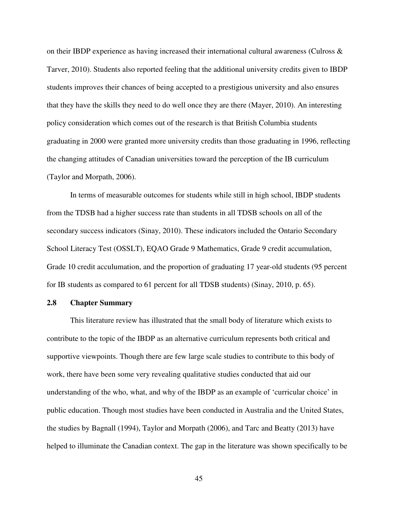on their IBDP experience as having increased their international cultural awareness (Culross  $\&$ Tarver, 2010). Students also reported feeling that the additional university credits given to IBDP students improves their chances of being accepted to a prestigious university and also ensures that they have the skills they need to do well once they are there (Mayer, 2010). An interesting policy consideration which comes out of the research is that British Columbia students graduating in 2000 were granted more university credits than those graduating in 1996, reflecting the changing attitudes of Canadian universities toward the perception of the IB curriculum (Taylor and Morpath, 2006).

 In terms of measurable outcomes for students while still in high school, IBDP students from the TDSB had a higher success rate than students in all TDSB schools on all of the secondary success indicators (Sinay, 2010). These indicators included the Ontario Secondary School Literacy Test (OSSLT), EQAO Grade 9 Mathematics, Grade 9 credit accumulation, Grade 10 credit acculumation, and the proportion of graduating 17 year-old students (95 percent for IB students as compared to 61 percent for all TDSB students) (Sinay, 2010, p. 65).

#### **2.8 Chapter Summary**

 This literature review has illustrated that the small body of literature which exists to contribute to the topic of the IBDP as an alternative curriculum represents both critical and supportive viewpoints. Though there are few large scale studies to contribute to this body of work, there have been some very revealing qualitative studies conducted that aid our understanding of the who, what, and why of the IBDP as an example of 'curricular choice' in public education. Though most studies have been conducted in Australia and the United States, the studies by Bagnall (1994), Taylor and Morpath (2006), and Tarc and Beatty (2013) have helped to illuminate the Canadian context. The gap in the literature was shown specifically to be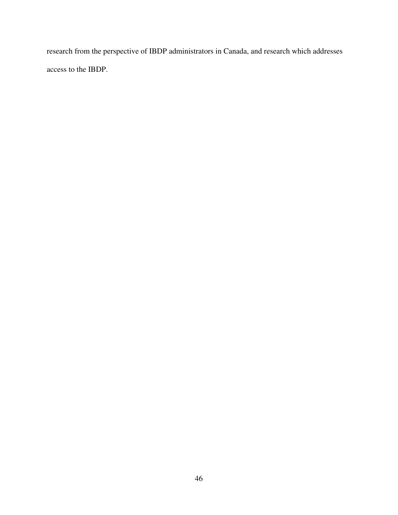research from the perspective of IBDP administrators in Canada, and research which addresses access to the IBDP.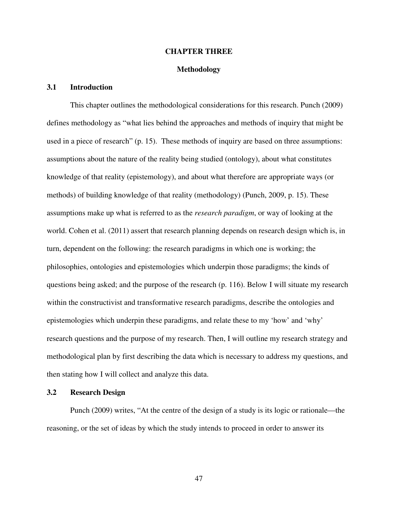## **CHAPTER THREE**

# **Methodology**

# **3.1 Introduction**

 This chapter outlines the methodological considerations for this research. Punch (2009) defines methodology as "what lies behind the approaches and methods of inquiry that might be used in a piece of research" (p. 15). These methods of inquiry are based on three assumptions: assumptions about the nature of the reality being studied (ontology), about what constitutes knowledge of that reality (epistemology), and about what therefore are appropriate ways (or methods) of building knowledge of that reality (methodology) (Punch, 2009, p. 15). These assumptions make up what is referred to as the *research paradigm*, or way of looking at the world. Cohen et al. (2011) assert that research planning depends on research design which is, in turn, dependent on the following: the research paradigms in which one is working; the philosophies, ontologies and epistemologies which underpin those paradigms; the kinds of questions being asked; and the purpose of the research (p. 116). Below I will situate my research within the constructivist and transformative research paradigms, describe the ontologies and epistemologies which underpin these paradigms, and relate these to my 'how' and 'why' research questions and the purpose of my research. Then, I will outline my research strategy and methodological plan by first describing the data which is necessary to address my questions, and then stating how I will collect and analyze this data.

## **3.2 Research Design**

Punch (2009) writes, "At the centre of the design of a study is its logic or rationale—the reasoning, or the set of ideas by which the study intends to proceed in order to answer its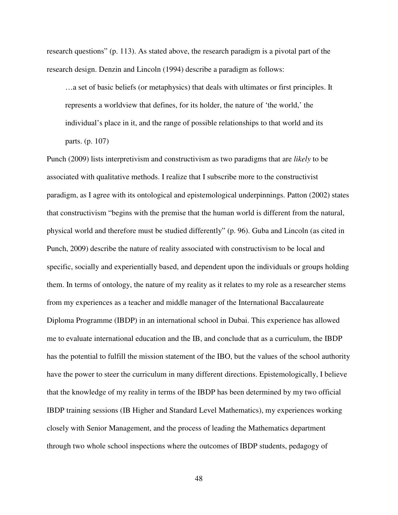research questions" (p. 113). As stated above, the research paradigm is a pivotal part of the research design. Denzin and Lincoln (1994) describe a paradigm as follows:

…a set of basic beliefs (or metaphysics) that deals with ultimates or first principles. It represents a worldview that defines, for its holder, the nature of 'the world,' the individual's place in it, and the range of possible relationships to that world and its parts. (p. 107)

Punch (2009) lists interpretivism and constructivism as two paradigms that are *likely* to be associated with qualitative methods. I realize that I subscribe more to the constructivist paradigm, as I agree with its ontological and epistemological underpinnings. Patton (2002) states that constructivism "begins with the premise that the human world is different from the natural, physical world and therefore must be studied differently" (p. 96). Guba and Lincoln (as cited in Punch, 2009) describe the nature of reality associated with constructivism to be local and specific, socially and experientially based, and dependent upon the individuals or groups holding them. In terms of ontology, the nature of my reality as it relates to my role as a researcher stems from my experiences as a teacher and middle manager of the International Baccalaureate Diploma Programme (IBDP) in an international school in Dubai. This experience has allowed me to evaluate international education and the IB, and conclude that as a curriculum, the IBDP has the potential to fulfill the mission statement of the IBO, but the values of the school authority have the power to steer the curriculum in many different directions. Epistemologically, I believe that the knowledge of my reality in terms of the IBDP has been determined by my two official IBDP training sessions (IB Higher and Standard Level Mathematics), my experiences working closely with Senior Management, and the process of leading the Mathematics department through two whole school inspections where the outcomes of IBDP students, pedagogy of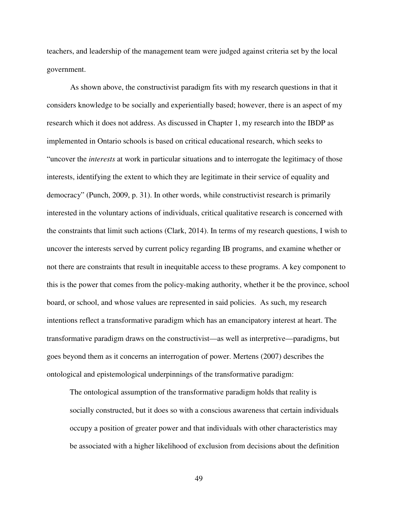teachers, and leadership of the management team were judged against criteria set by the local government.

As shown above, the constructivist paradigm fits with my research questions in that it considers knowledge to be socially and experientially based; however, there is an aspect of my research which it does not address. As discussed in Chapter 1, my research into the IBDP as implemented in Ontario schools is based on critical educational research, which seeks to "uncover the *interests* at work in particular situations and to interrogate the legitimacy of those interests, identifying the extent to which they are legitimate in their service of equality and democracy" (Punch, 2009, p. 31). In other words, while constructivist research is primarily interested in the voluntary actions of individuals, critical qualitative research is concerned with the constraints that limit such actions (Clark, 2014). In terms of my research questions, I wish to uncover the interests served by current policy regarding IB programs, and examine whether or not there are constraints that result in inequitable access to these programs. A key component to this is the power that comes from the policy-making authority, whether it be the province, school board, or school, and whose values are represented in said policies. As such, my research intentions reflect a transformative paradigm which has an emancipatory interest at heart. The transformative paradigm draws on the constructivist—as well as interpretive—paradigms, but goes beyond them as it concerns an interrogation of power. Mertens (2007) describes the ontological and epistemological underpinnings of the transformative paradigm:

The ontological assumption of the transformative paradigm holds that reality is socially constructed, but it does so with a conscious awareness that certain individuals occupy a position of greater power and that individuals with other characteristics may be associated with a higher likelihood of exclusion from decisions about the definition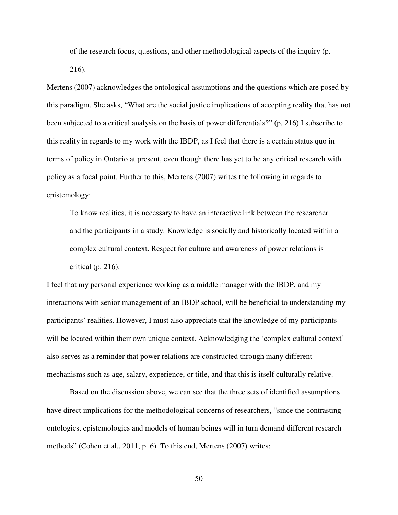of the research focus, questions, and other methodological aspects of the inquiry (p. 216).

Mertens (2007) acknowledges the ontological assumptions and the questions which are posed by this paradigm. She asks, "What are the social justice implications of accepting reality that has not been subjected to a critical analysis on the basis of power differentials?" (p. 216) I subscribe to this reality in regards to my work with the IBDP, as I feel that there is a certain status quo in terms of policy in Ontario at present, even though there has yet to be any critical research with policy as a focal point. Further to this, Mertens (2007) writes the following in regards to epistemology:

To know realities, it is necessary to have an interactive link between the researcher and the participants in a study. Knowledge is socially and historically located within a complex cultural context. Respect for culture and awareness of power relations is critical (p. 216).

I feel that my personal experience working as a middle manager with the IBDP, and my interactions with senior management of an IBDP school, will be beneficial to understanding my participants' realities. However, I must also appreciate that the knowledge of my participants will be located within their own unique context. Acknowledging the 'complex cultural context' also serves as a reminder that power relations are constructed through many different mechanisms such as age, salary, experience, or title, and that this is itself culturally relative.

Based on the discussion above, we can see that the three sets of identified assumptions have direct implications for the methodological concerns of researchers, "since the contrasting ontologies, epistemologies and models of human beings will in turn demand different research methods" (Cohen et al., 2011, p. 6). To this end, Mertens (2007) writes: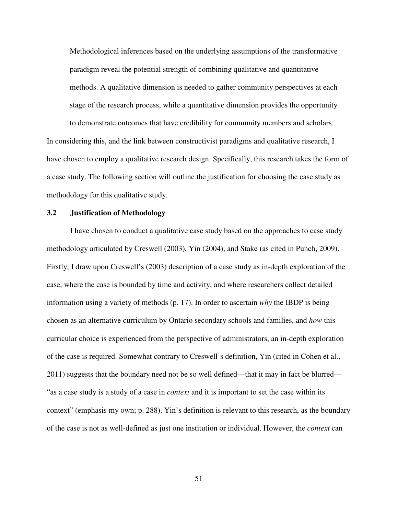Methodological inferences based on the underlying assumptions of the transformative paradigm reveal the potential strength of combining qualitative and quantitative methods. A qualitative dimension is needed to gather community perspectives at each stage of the research process, while a quantitative dimension provides the opportunity to demonstrate outcomes that have credibility for community members and scholars.

In considering this, and the link between constructivist paradigms and qualitative research, I have chosen to employ a qualitative research design. Specifically, this research takes the form of a case study. The following section will outline the justification for choosing the case study as methodology for this qualitative study.

# **3.2 Justification of Methodology**

I have chosen to conduct a qualitative case study based on the approaches to case study methodology articulated by Creswell (2003), Yin (2004), and Stake (as cited in Punch, 2009). Firstly, I draw upon Creswell's (2003) description of a case study as in-depth exploration of the case, where the case is bounded by time and activity, and where researchers collect detailed information using a variety of methods (p. 17). In order to ascertain *why* the IBDP is being chosen as an alternative curriculum by Ontario secondary schools and families, and *how* this curricular choice is experienced from the perspective of administrators, an in-depth exploration of the case is required. Somewhat contrary to Creswell's definition, Yin (cited in Cohen et al., 2011) suggests that the boundary need not be so well defined—that it may in fact be blurred— "as a case study is a study of a case in *context* and it is important to set the case within its context" (emphasis my own; p. 288). Yin's definition is relevant to this research, as the boundary of the case is not as well-defined as just one institution or individual. However, the *context* can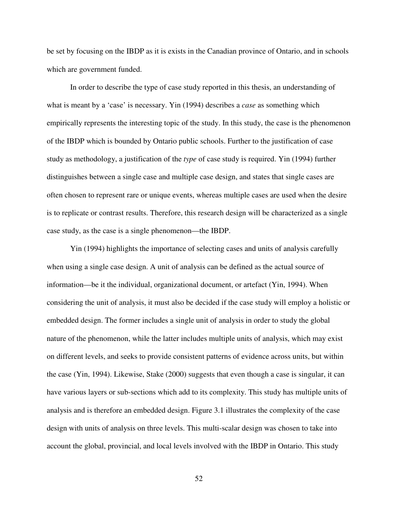be set by focusing on the IBDP as it is exists in the Canadian province of Ontario, and in schools which are government funded.

In order to describe the type of case study reported in this thesis, an understanding of what is meant by a 'case' is necessary. Yin (1994) describes a *case* as something which empirically represents the interesting topic of the study. In this study, the case is the phenomenon of the IBDP which is bounded by Ontario public schools. Further to the justification of case study as methodology, a justification of the *type* of case study is required. Yin (1994) further distinguishes between a single case and multiple case design, and states that single cases are often chosen to represent rare or unique events, whereas multiple cases are used when the desire is to replicate or contrast results. Therefore, this research design will be characterized as a single case study, as the case is a single phenomenon—the IBDP.

Yin (1994) highlights the importance of selecting cases and units of analysis carefully when using a single case design. A unit of analysis can be defined as the actual source of information—be it the individual, organizational document, or artefact (Yin, 1994). When considering the unit of analysis, it must also be decided if the case study will employ a holistic or embedded design. The former includes a single unit of analysis in order to study the global nature of the phenomenon, while the latter includes multiple units of analysis, which may exist on different levels, and seeks to provide consistent patterns of evidence across units, but within the case (Yin, 1994). Likewise, Stake (2000) suggests that even though a case is singular, it can have various layers or sub-sections which add to its complexity. This study has multiple units of analysis and is therefore an embedded design. Figure 3.1 illustrates the complexity of the case design with units of analysis on three levels. This multi-scalar design was chosen to take into account the global, provincial, and local levels involved with the IBDP in Ontario. This study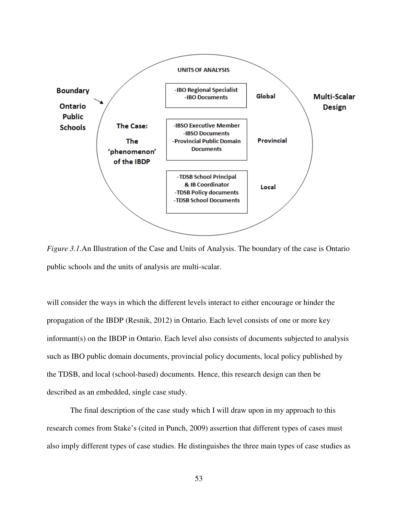

*Figure 3.1.* An Illustration of the Case and Units of Analysis. The boundary of the case is Ontario public schools and the units of analysis are multi-scalar.

will consider the ways in which the different levels interact to either encourage or hinder the propagation of the IBDP (Resnik, 2012) in Ontario. Each level consists of one or more key informant(s) on the IBDP in Ontario. Each level also consists of documents subjected to analysis such as IBO public domain documents, provincial policy documents, local policy published by the TDSB, and local (school-based) documents. Hence, this research design can then be described as an embedded, single case study.

The final description of the case study which I will draw upon in my approach to this research comes from Stake's (cited in Punch, 2009) assertion that different types of cases must also imply different types of case studies. He distinguishes the three main types of case studies as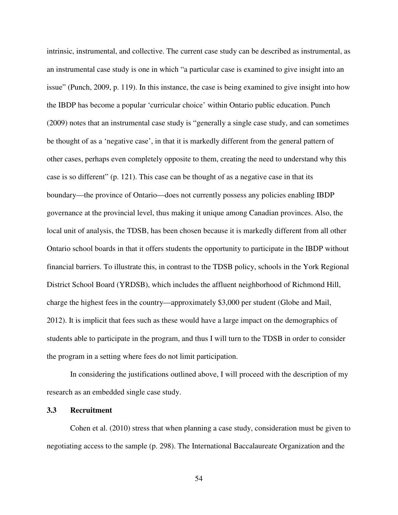intrinsic, instrumental, and collective. The current case study can be described as instrumental, as an instrumental case study is one in which "a particular case is examined to give insight into an issue" (Punch, 2009, p. 119). In this instance, the case is being examined to give insight into how the IBDP has become a popular 'curricular choice' within Ontario public education. Punch (2009) notes that an instrumental case study is "generally a single case study, and can sometimes be thought of as a 'negative case', in that it is markedly different from the general pattern of other cases, perhaps even completely opposite to them, creating the need to understand why this case is so different" (p. 121). This case can be thought of as a negative case in that its boundary—the province of Ontario—does not currently possess any policies enabling IBDP governance at the provincial level, thus making it unique among Canadian provinces. Also, the local unit of analysis, the TDSB, has been chosen because it is markedly different from all other Ontario school boards in that it offers students the opportunity to participate in the IBDP without financial barriers. To illustrate this, in contrast to the TDSB policy, schools in the York Regional District School Board (YRDSB), which includes the affluent neighborhood of Richmond Hill, charge the highest fees in the country—approximately \$3,000 per student (Globe and Mail, 2012). It is implicit that fees such as these would have a large impact on the demographics of students able to participate in the program, and thus I will turn to the TDSB in order to consider the program in a setting where fees do not limit participation.

In considering the justifications outlined above, I will proceed with the description of my research as an embedded single case study.

## **3.3 Recruitment**

Cohen et al. (2010) stress that when planning a case study, consideration must be given to negotiating access to the sample (p. 298). The International Baccalaureate Organization and the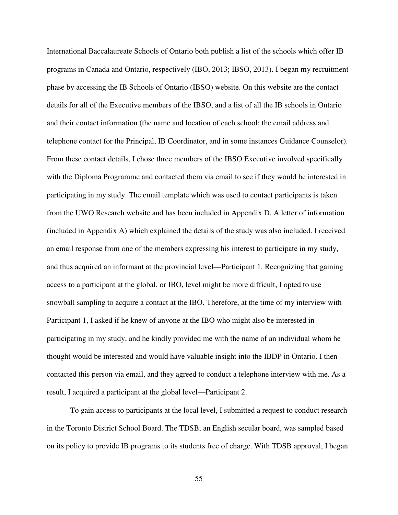International Baccalaureate Schools of Ontario both publish a list of the schools which offer IB programs in Canada and Ontario, respectively (IBO, 2013; IBSO, 2013). I began my recruitment phase by accessing the IB Schools of Ontario (IBSO) website. On this website are the contact details for all of the Executive members of the IBSO, and a list of all the IB schools in Ontario and their contact information (the name and location of each school; the email address and telephone contact for the Principal, IB Coordinator, and in some instances Guidance Counselor). From these contact details, I chose three members of the IBSO Executive involved specifically with the Diploma Programme and contacted them via email to see if they would be interested in participating in my study. The email template which was used to contact participants is taken from the UWO Research website and has been included in Appendix D. A letter of information (included in Appendix A) which explained the details of the study was also included. I received an email response from one of the members expressing his interest to participate in my study, and thus acquired an informant at the provincial level—Participant 1. Recognizing that gaining access to a participant at the global, or IBO, level might be more difficult, I opted to use snowball sampling to acquire a contact at the IBO. Therefore, at the time of my interview with Participant 1, I asked if he knew of anyone at the IBO who might also be interested in participating in my study, and he kindly provided me with the name of an individual whom he thought would be interested and would have valuable insight into the IBDP in Ontario. I then contacted this person via email, and they agreed to conduct a telephone interview with me. As a result, I acquired a participant at the global level—Participant 2.

To gain access to participants at the local level, I submitted a request to conduct research in the Toronto District School Board. The TDSB, an English secular board, was sampled based on its policy to provide IB programs to its students free of charge. With TDSB approval, I began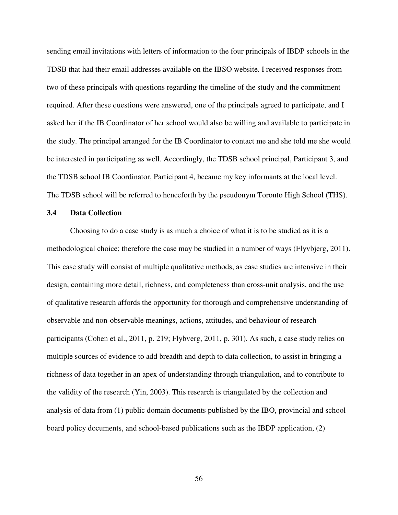sending email invitations with letters of information to the four principals of IBDP schools in the TDSB that had their email addresses available on the IBSO website. I received responses from two of these principals with questions regarding the timeline of the study and the commitment required. After these questions were answered, one of the principals agreed to participate, and I asked her if the IB Coordinator of her school would also be willing and available to participate in the study. The principal arranged for the IB Coordinator to contact me and she told me she would be interested in participating as well. Accordingly, the TDSB school principal, Participant 3, and the TDSB school IB Coordinator, Participant 4, became my key informants at the local level. The TDSB school will be referred to henceforth by the pseudonym Toronto High School (THS).

# **3.4 Data Collection**

Choosing to do a case study is as much a choice of what it is to be studied as it is a methodological choice; therefore the case may be studied in a number of ways (Flyvbjerg, 2011). This case study will consist of multiple qualitative methods, as case studies are intensive in their design, containing more detail, richness, and completeness than cross-unit analysis, and the use of qualitative research affords the opportunity for thorough and comprehensive understanding of observable and non-observable meanings, actions, attitudes, and behaviour of research participants (Cohen et al., 2011, p. 219; Flybverg, 2011, p. 301). As such, a case study relies on multiple sources of evidence to add breadth and depth to data collection, to assist in bringing a richness of data together in an apex of understanding through triangulation, and to contribute to the validity of the research (Yin, 2003). This research is triangulated by the collection and analysis of data from (1) public domain documents published by the IBO, provincial and school board policy documents, and school-based publications such as the IBDP application, (2)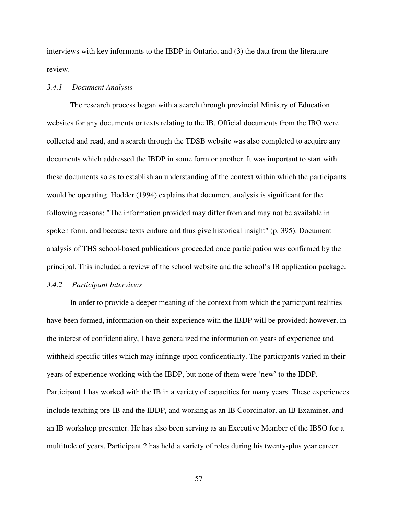interviews with key informants to the IBDP in Ontario, and (3) the data from the literature review.

## *3.4.1 Document Analysis*

The research process began with a search through provincial Ministry of Education websites for any documents or texts relating to the IB. Official documents from the IBO were collected and read, and a search through the TDSB website was also completed to acquire any documents which addressed the IBDP in some form or another. It was important to start with these documents so as to establish an understanding of the context within which the participants would be operating. Hodder (1994) explains that document analysis is significant for the following reasons: "The information provided may differ from and may not be available in spoken form, and because texts endure and thus give historical insight" (p. 395). Document analysis of THS school-based publications proceeded once participation was confirmed by the principal. This included a review of the school website and the school's IB application package.

#### *3.4.2 Participant Interviews*

In order to provide a deeper meaning of the context from which the participant realities have been formed, information on their experience with the IBDP will be provided; however, in the interest of confidentiality, I have generalized the information on years of experience and withheld specific titles which may infringe upon confidentiality. The participants varied in their years of experience working with the IBDP, but none of them were 'new' to the IBDP. Participant 1 has worked with the IB in a variety of capacities for many years. These experiences include teaching pre-IB and the IBDP, and working as an IB Coordinator, an IB Examiner, and an IB workshop presenter. He has also been serving as an Executive Member of the IBSO for a multitude of years. Participant 2 has held a variety of roles during his twenty-plus year career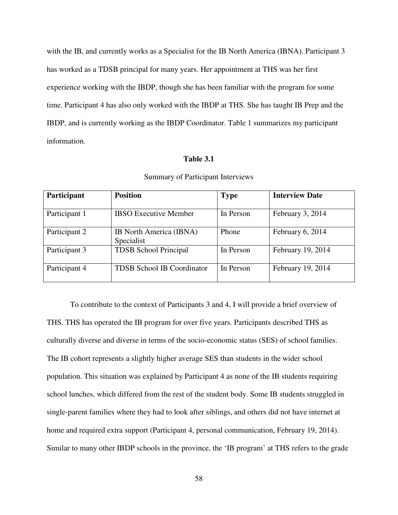with the IB, and currently works as a Specialist for the IB North America (IBNA). Participant 3 has worked as a TDSB principal for many years. Her appointment at THS was her first experience working with the IBDP, though she has been familiar with the program for some time. Participant 4 has also only worked with the IBDP at THS. She has taught IB Prep and the IBDP, and is currently working as the IBDP Coordinator. Table 1 summarizes my participant information.

## **Table 3.1**

| Participant   | <b>Position</b>                       | <b>Type</b> | <b>Interview Date</b> |
|---------------|---------------------------------------|-------------|-----------------------|
| Participant 1 | <b>IBSO</b> Executive Member          | In Person   | February 3, 2014      |
| Participant 2 | IB North America (IBNA)<br>Specialist | Phone       | February 6, 2014      |
| Participant 3 | <b>TDSB</b> School Principal          | In Person   | February 19, 2014     |
| Participant 4 | <b>TDSB School IB Coordinator</b>     | In Person   | February 19, 2014     |

# Summary of Participant Interviews

 To contribute to the context of Participants 3 and 4, I will provide a brief overview of THS. THS has operated the IB program for over five years. Participants described THS as culturally diverse and diverse in terms of the socio-economic status (SES) of school families. The IB cohort represents a slightly higher average SES than students in the wider school population. This situation was explained by Participant 4 as none of the IB students requiring school lunches, which differed from the rest of the student body. Some IB students struggled in single-parent families where they had to look after siblings, and others did not have internet at home and required extra support (Participant 4, personal communication, February 19, 2014). Similar to many other IBDP schools in the province, the 'IB program' at THS refers to the grade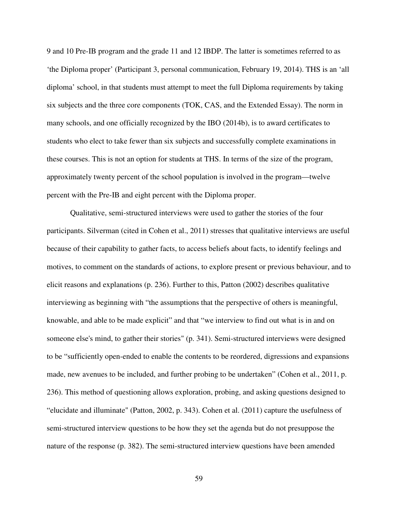9 and 10 Pre-IB program and the grade 11 and 12 IBDP. The latter is sometimes referred to as 'the Diploma proper' (Participant 3, personal communication, February 19, 2014). THS is an 'all diploma' school, in that students must attempt to meet the full Diploma requirements by taking six subjects and the three core components (TOK, CAS, and the Extended Essay). The norm in many schools, and one officially recognized by the IBO (2014b), is to award certificates to students who elect to take fewer than six subjects and successfully complete examinations in these courses. This is not an option for students at THS. In terms of the size of the program, approximately twenty percent of the school population is involved in the program—twelve percent with the Pre-IB and eight percent with the Diploma proper.

 Qualitative, semi-structured interviews were used to gather the stories of the four participants. Silverman (cited in Cohen et al., 2011) stresses that qualitative interviews are useful because of their capability to gather facts, to access beliefs about facts, to identify feelings and motives, to comment on the standards of actions, to explore present or previous behaviour, and to elicit reasons and explanations (p. 236). Further to this, Patton (2002) describes qualitative interviewing as beginning with "the assumptions that the perspective of others is meaningful, knowable, and able to be made explicit" and that "we interview to find out what is in and on someone else's mind, to gather their stories" (p. 341). Semi-structured interviews were designed to be "sufficiently open-ended to enable the contents to be reordered, digressions and expansions made, new avenues to be included, and further probing to be undertaken" (Cohen et al., 2011, p. 236). This method of questioning allows exploration, probing, and asking questions designed to "elucidate and illuminate" (Patton, 2002, p. 343). Cohen et al. (2011) capture the usefulness of semi-structured interview questions to be how they set the agenda but do not presuppose the nature of the response (p. 382). The semi-structured interview questions have been amended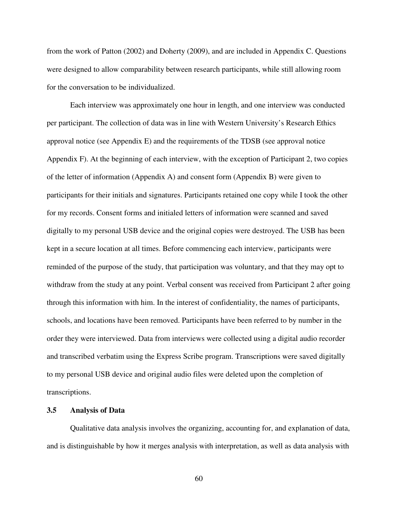from the work of Patton (2002) and Doherty (2009), and are included in Appendix C. Questions were designed to allow comparability between research participants, while still allowing room for the conversation to be individualized.

 Each interview was approximately one hour in length, and one interview was conducted per participant. The collection of data was in line with Western University's Research Ethics approval notice (see Appendix E) and the requirements of the TDSB (see approval notice Appendix F). At the beginning of each interview, with the exception of Participant 2, two copies of the letter of information (Appendix A) and consent form (Appendix B) were given to participants for their initials and signatures. Participants retained one copy while I took the other for my records. Consent forms and initialed letters of information were scanned and saved digitally to my personal USB device and the original copies were destroyed. The USB has been kept in a secure location at all times. Before commencing each interview, participants were reminded of the purpose of the study, that participation was voluntary, and that they may opt to withdraw from the study at any point. Verbal consent was received from Participant 2 after going through this information with him. In the interest of confidentiality, the names of participants, schools, and locations have been removed. Participants have been referred to by number in the order they were interviewed. Data from interviews were collected using a digital audio recorder and transcribed verbatim using the Express Scribe program. Transcriptions were saved digitally to my personal USB device and original audio files were deleted upon the completion of transcriptions.

#### **3.5 Analysis of Data**

 Qualitative data analysis involves the organizing, accounting for, and explanation of data, and is distinguishable by how it merges analysis with interpretation, as well as data analysis with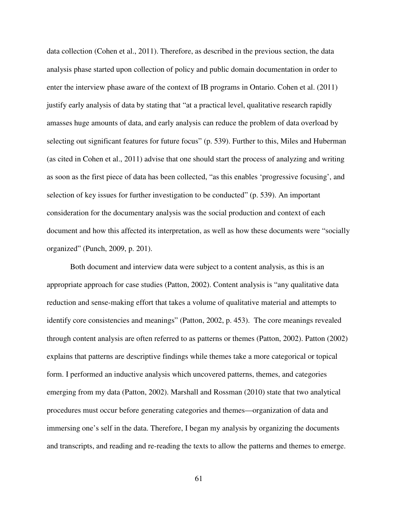data collection (Cohen et al., 2011). Therefore, as described in the previous section, the data analysis phase started upon collection of policy and public domain documentation in order to enter the interview phase aware of the context of IB programs in Ontario. Cohen et al. (2011) justify early analysis of data by stating that "at a practical level, qualitative research rapidly amasses huge amounts of data, and early analysis can reduce the problem of data overload by selecting out significant features for future focus" (p. 539). Further to this, Miles and Huberman (as cited in Cohen et al., 2011) advise that one should start the process of analyzing and writing as soon as the first piece of data has been collected, "as this enables 'progressive focusing', and selection of key issues for further investigation to be conducted" (p. 539). An important consideration for the documentary analysis was the social production and context of each document and how this affected its interpretation, as well as how these documents were "socially organized" (Punch, 2009, p. 201).

 Both document and interview data were subject to a content analysis, as this is an appropriate approach for case studies (Patton, 2002). Content analysis is "any qualitative data reduction and sense-making effort that takes a volume of qualitative material and attempts to identify core consistencies and meanings" (Patton, 2002, p. 453). The core meanings revealed through content analysis are often referred to as patterns or themes (Patton, 2002). Patton (2002) explains that patterns are descriptive findings while themes take a more categorical or topical form. I performed an inductive analysis which uncovered patterns, themes, and categories emerging from my data (Patton, 2002). Marshall and Rossman (2010) state that two analytical procedures must occur before generating categories and themes—organization of data and immersing one's self in the data. Therefore, I began my analysis by organizing the documents and transcripts, and reading and re-reading the texts to allow the patterns and themes to emerge.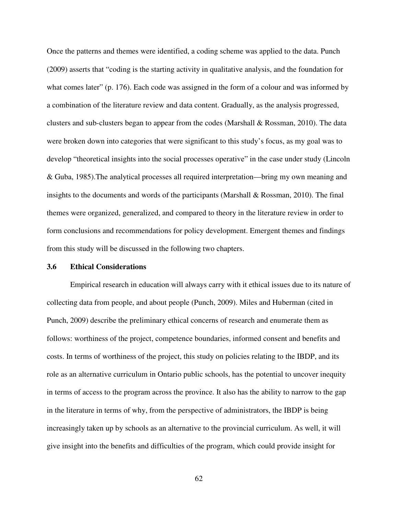Once the patterns and themes were identified, a coding scheme was applied to the data. Punch (2009) asserts that "coding is the starting activity in qualitative analysis, and the foundation for what comes later" (p. 176). Each code was assigned in the form of a colour and was informed by a combination of the literature review and data content. Gradually, as the analysis progressed, clusters and sub-clusters began to appear from the codes (Marshall & Rossman, 2010). The data were broken down into categories that were significant to this study's focus, as my goal was to develop "theoretical insights into the social processes operative" in the case under study (Lincoln & Guba, 1985).The analytical processes all required interpretation—bring my own meaning and insights to the documents and words of the participants (Marshall & Rossman, 2010). The final themes were organized, generalized, and compared to theory in the literature review in order to form conclusions and recommendations for policy development. Emergent themes and findings from this study will be discussed in the following two chapters.

## **3.6 Ethical Considerations**

Empirical research in education will always carry with it ethical issues due to its nature of collecting data from people, and about people (Punch, 2009). Miles and Huberman (cited in Punch, 2009) describe the preliminary ethical concerns of research and enumerate them as follows: worthiness of the project, competence boundaries, informed consent and benefits and costs. In terms of worthiness of the project, this study on policies relating to the IBDP, and its role as an alternative curriculum in Ontario public schools, has the potential to uncover inequity in terms of access to the program across the province. It also has the ability to narrow to the gap in the literature in terms of why, from the perspective of administrators, the IBDP is being increasingly taken up by schools as an alternative to the provincial curriculum. As well, it will give insight into the benefits and difficulties of the program, which could provide insight for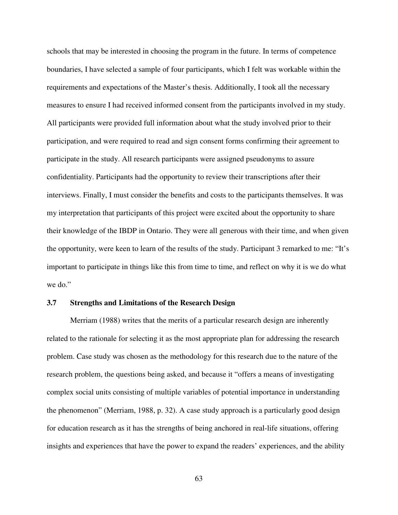schools that may be interested in choosing the program in the future. In terms of competence boundaries, I have selected a sample of four participants, which I felt was workable within the requirements and expectations of the Master's thesis. Additionally, I took all the necessary measures to ensure I had received informed consent from the participants involved in my study. All participants were provided full information about what the study involved prior to their participation, and were required to read and sign consent forms confirming their agreement to participate in the study. All research participants were assigned pseudonyms to assure confidentiality. Participants had the opportunity to review their transcriptions after their interviews. Finally, I must consider the benefits and costs to the participants themselves. It was my interpretation that participants of this project were excited about the opportunity to share their knowledge of the IBDP in Ontario. They were all generous with their time, and when given the opportunity, were keen to learn of the results of the study. Participant 3 remarked to me: "It's important to participate in things like this from time to time, and reflect on why it is we do what we do."

#### **3.7 Strengths and Limitations of the Research Design**

Merriam (1988) writes that the merits of a particular research design are inherently related to the rationale for selecting it as the most appropriate plan for addressing the research problem. Case study was chosen as the methodology for this research due to the nature of the research problem, the questions being asked, and because it "offers a means of investigating complex social units consisting of multiple variables of potential importance in understanding the phenomenon" (Merriam, 1988, p. 32). A case study approach is a particularly good design for education research as it has the strengths of being anchored in real-life situations, offering insights and experiences that have the power to expand the readers' experiences, and the ability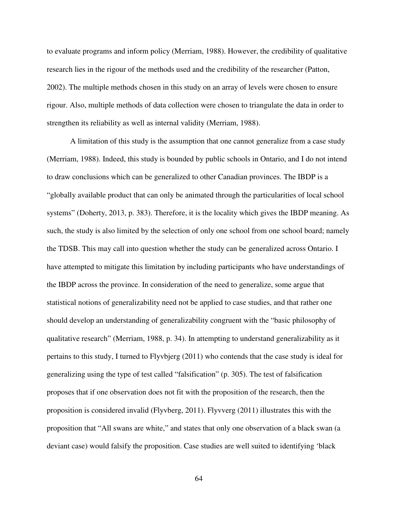to evaluate programs and inform policy (Merriam, 1988). However, the credibility of qualitative research lies in the rigour of the methods used and the credibility of the researcher (Patton, 2002). The multiple methods chosen in this study on an array of levels were chosen to ensure rigour. Also, multiple methods of data collection were chosen to triangulate the data in order to strengthen its reliability as well as internal validity (Merriam, 1988).

A limitation of this study is the assumption that one cannot generalize from a case study (Merriam, 1988). Indeed, this study is bounded by public schools in Ontario, and I do not intend to draw conclusions which can be generalized to other Canadian provinces. The IBDP is a "globally available product that can only be animated through the particularities of local school systems" (Doherty, 2013, p. 383). Therefore, it is the locality which gives the IBDP meaning. As such, the study is also limited by the selection of only one school from one school board; namely the TDSB. This may call into question whether the study can be generalized across Ontario. I have attempted to mitigate this limitation by including participants who have understandings of the IBDP across the province. In consideration of the need to generalize, some argue that statistical notions of generalizability need not be applied to case studies, and that rather one should develop an understanding of generalizability congruent with the "basic philosophy of qualitative research" (Merriam, 1988, p. 34). In attempting to understand generalizability as it pertains to this study, I turned to Flyvbjerg (2011) who contends that the case study is ideal for generalizing using the type of test called "falsification" (p. 305). The test of falsification proposes that if one observation does not fit with the proposition of the research, then the proposition is considered invalid (Flyvberg, 2011). Flyvverg (2011) illustrates this with the proposition that "All swans are white," and states that only one observation of a black swan (a deviant case) would falsify the proposition. Case studies are well suited to identifying 'black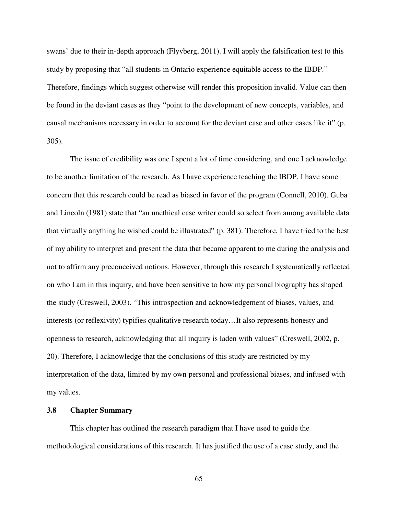swans' due to their in-depth approach (Flyvberg, 2011). I will apply the falsification test to this study by proposing that "all students in Ontario experience equitable access to the IBDP." Therefore, findings which suggest otherwise will render this proposition invalid. Value can then be found in the deviant cases as they "point to the development of new concepts, variables, and causal mechanisms necessary in order to account for the deviant case and other cases like it" (p. 305).

The issue of credibility was one I spent a lot of time considering, and one I acknowledge to be another limitation of the research. As I have experience teaching the IBDP, I have some concern that this research could be read as biased in favor of the program (Connell, 2010). Guba and Lincoln (1981) state that "an unethical case writer could so select from among available data that virtually anything he wished could be illustrated" (p. 381). Therefore, I have tried to the best of my ability to interpret and present the data that became apparent to me during the analysis and not to affirm any preconceived notions. However, through this research I systematically reflected on who I am in this inquiry, and have been sensitive to how my personal biography has shaped the study (Creswell, 2003). "This introspection and acknowledgement of biases, values, and interests (or reflexivity) typifies qualitative research today…It also represents honesty and openness to research, acknowledging that all inquiry is laden with values" (Creswell, 2002, p. 20). Therefore, I acknowledge that the conclusions of this study are restricted by my interpretation of the data, limited by my own personal and professional biases, and infused with my values.

#### **3.8 Chapter Summary**

 This chapter has outlined the research paradigm that I have used to guide the methodological considerations of this research. It has justified the use of a case study, and the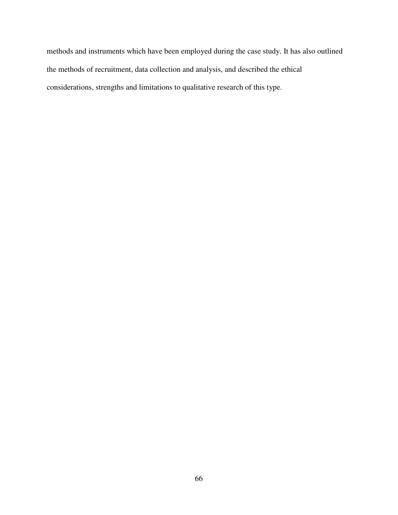methods and instruments which have been employed during the case study. It has also outlined the methods of recruitment, data collection and analysis, and described the ethical considerations, strengths and limitations to qualitative research of this type.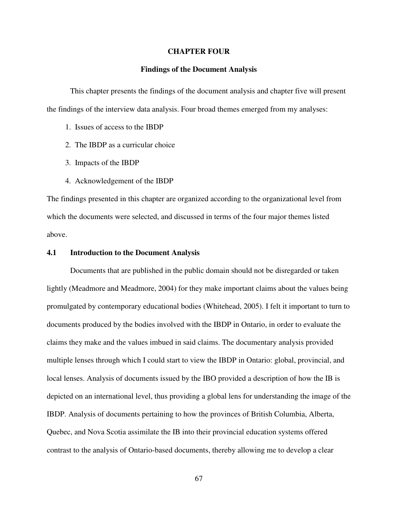#### **CHAPTER FOUR**

#### **Findings of the Document Analysis**

 This chapter presents the findings of the document analysis and chapter five will present the findings of the interview data analysis. Four broad themes emerged from my analyses:

- 1. Issues of access to the IBDP
- 2. The IBDP as a curricular choice
- 3. Impacts of the IBDP
- 4. Acknowledgement of the IBDP

The findings presented in this chapter are organized according to the organizational level from which the documents were selected, and discussed in terms of the four major themes listed above.

#### **4.1 Introduction to the Document Analysis**

 Documents that are published in the public domain should not be disregarded or taken lightly (Meadmore and Meadmore, 2004) for they make important claims about the values being promulgated by contemporary educational bodies (Whitehead, 2005). I felt it important to turn to documents produced by the bodies involved with the IBDP in Ontario, in order to evaluate the claims they make and the values imbued in said claims. The documentary analysis provided multiple lenses through which I could start to view the IBDP in Ontario: global, provincial, and local lenses. Analysis of documents issued by the IBO provided a description of how the IB is depicted on an international level, thus providing a global lens for understanding the image of the IBDP. Analysis of documents pertaining to how the provinces of British Columbia, Alberta, Quebec, and Nova Scotia assimilate the IB into their provincial education systems offered contrast to the analysis of Ontario-based documents, thereby allowing me to develop a clear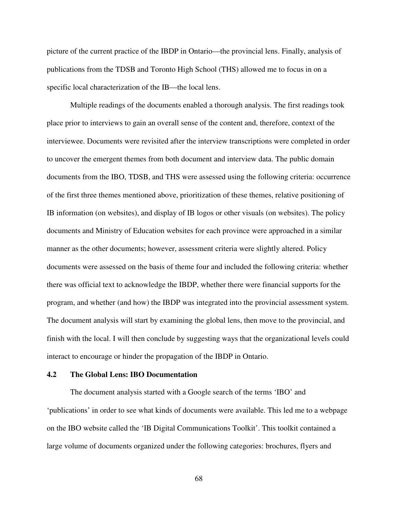picture of the current practice of the IBDP in Ontario—the provincial lens. Finally, analysis of publications from the TDSB and Toronto High School (THS) allowed me to focus in on a specific local characterization of the IB—the local lens.

 Multiple readings of the documents enabled a thorough analysis. The first readings took place prior to interviews to gain an overall sense of the content and, therefore, context of the interviewee. Documents were revisited after the interview transcriptions were completed in order to uncover the emergent themes from both document and interview data. The public domain documents from the IBO, TDSB, and THS were assessed using the following criteria: occurrence of the first three themes mentioned above, prioritization of these themes, relative positioning of IB information (on websites), and display of IB logos or other visuals (on websites). The policy documents and Ministry of Education websites for each province were approached in a similar manner as the other documents; however, assessment criteria were slightly altered. Policy documents were assessed on the basis of theme four and included the following criteria: whether there was official text to acknowledge the IBDP, whether there were financial supports for the program, and whether (and how) the IBDP was integrated into the provincial assessment system. The document analysis will start by examining the global lens, then move to the provincial, and finish with the local. I will then conclude by suggesting ways that the organizational levels could interact to encourage or hinder the propagation of the IBDP in Ontario.

# **4.2 The Global Lens: IBO Documentation**

 The document analysis started with a Google search of the terms 'IBO' and 'publications' in order to see what kinds of documents were available. This led me to a webpage on the IBO website called the 'IB Digital Communications Toolkit'. This toolkit contained a large volume of documents organized under the following categories: brochures, flyers and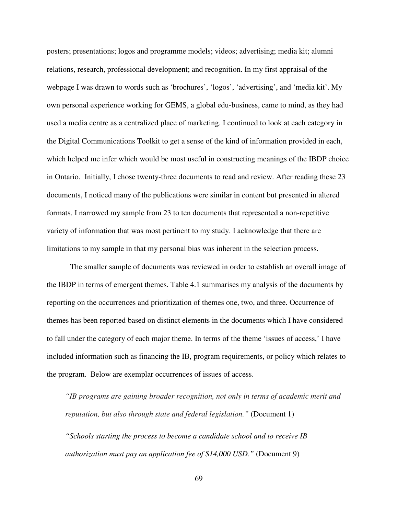posters; presentations; logos and programme models; videos; advertising; media kit; alumni relations, research, professional development; and recognition. In my first appraisal of the webpage I was drawn to words such as 'brochures', 'logos', 'advertising', and 'media kit'. My own personal experience working for GEMS, a global edu-business, came to mind, as they had used a media centre as a centralized place of marketing. I continued to look at each category in the Digital Communications Toolkit to get a sense of the kind of information provided in each, which helped me infer which would be most useful in constructing meanings of the IBDP choice in Ontario. Initially, I chose twenty-three documents to read and review. After reading these 23 documents, I noticed many of the publications were similar in content but presented in altered formats. I narrowed my sample from 23 to ten documents that represented a non-repetitive variety of information that was most pertinent to my study. I acknowledge that there are limitations to my sample in that my personal bias was inherent in the selection process.

 The smaller sample of documents was reviewed in order to establish an overall image of the IBDP in terms of emergent themes. Table 4.1 summarises my analysis of the documents by reporting on the occurrences and prioritization of themes one, two, and three. Occurrence of themes has been reported based on distinct elements in the documents which I have considered to fall under the category of each major theme. In terms of the theme 'issues of access,' I have included information such as financing the IB, program requirements, or policy which relates to the program. Below are exemplar occurrences of issues of access.

*"IB programs are gaining broader recognition, not only in terms of academic merit and reputation, but also through state and federal legislation."* (Document 1)

*"Schools starting the process to become a candidate school and to receive IB authorization must pay an application fee of \$14,000 USD."* (Document 9)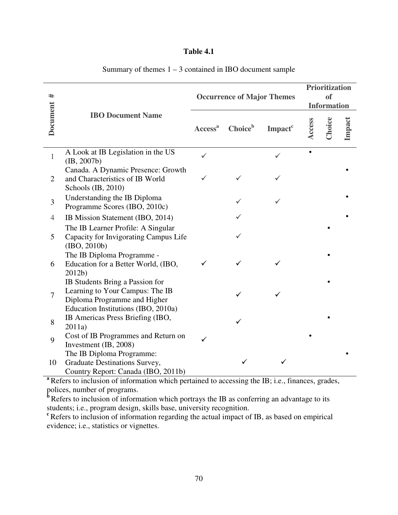# **Table 4.1**

| ⋕                                                                                                                          |                                                                                                          | <b>Occurrence of Major Themes</b> |                     |                     |        | <b>Prioritization</b><br><sub>of</sub><br><b>Information</b> |        |  |  |
|----------------------------------------------------------------------------------------------------------------------------|----------------------------------------------------------------------------------------------------------|-----------------------------------|---------------------|---------------------|--------|--------------------------------------------------------------|--------|--|--|
| <b>Document</b>                                                                                                            | <b>IBO Document Name</b>                                                                                 | Access <sup>a</sup>               | Choice <sup>b</sup> | Impact <sup>c</sup> | Access | Choice                                                       | Impact |  |  |
| $\mathbf{1}$                                                                                                               | A Look at IB Legislation in the US<br>(B, 2007b)                                                         | ✓                                 |                     |                     |        |                                                              |        |  |  |
| $\overline{2}$                                                                                                             | Canada. A Dynamic Presence: Growth<br>and Characteristics of IB World<br>Schools (IB, 2010)              |                                   |                     |                     |        |                                                              |        |  |  |
| 3                                                                                                                          | Understanding the IB Diploma<br>Programme Scores (IBO, 2010c)                                            |                                   |                     |                     |        |                                                              |        |  |  |
| $\overline{4}$                                                                                                             | IB Mission Statement (IBO, 2014)                                                                         |                                   |                     |                     |        |                                                              |        |  |  |
| 5                                                                                                                          | The IB Learner Profile: A Singular<br>Capacity for Invigorating Campus Life<br>(IBO, 2010b)              |                                   |                     |                     |        |                                                              |        |  |  |
| 6                                                                                                                          | The IB Diploma Programme -<br>Education for a Better World, (IBO,<br>2012b)                              |                                   |                     |                     |        |                                                              |        |  |  |
| 7                                                                                                                          | IB Students Bring a Passion for<br>Learning to Your Campus: The IB<br>Diploma Programme and Higher       |                                   |                     |                     |        |                                                              |        |  |  |
| 8                                                                                                                          | Education Institutions (IBO, 2010a)<br>IB Americas Press Briefing (IBO,<br>2011a)                        |                                   |                     |                     |        |                                                              |        |  |  |
| 9                                                                                                                          | Cost of IB Programmes and Return on<br>Investment (IB, 2008)                                             |                                   |                     |                     |        |                                                              |        |  |  |
| 10                                                                                                                         | The IB Diploma Programme:<br>Graduate Destinations Survey,<br>Country Report: Canada (IBO, 2011b)        |                                   |                     |                     |        |                                                              |        |  |  |
| a Refers to inclusion of information which pertained to accessing the IB; i.e., finances, grades,                          |                                                                                                          |                                   |                     |                     |        |                                                              |        |  |  |
| polices, number of programs.<br>Refers to inclusion of information which portrays the IB as conferring an advantage to its |                                                                                                          |                                   |                     |                     |        |                                                              |        |  |  |
| students; i.e., program design, skills base, university recognition.                                                       |                                                                                                          |                                   |                     |                     |        |                                                              |        |  |  |
|                                                                                                                            | <sup>c</sup> Refers to inclusion of information regarding the actual impact of IB, as based on empirical |                                   |                     |                     |        |                                                              |        |  |  |
| evidence; i.e., statistics or vignettes.                                                                                   |                                                                                                          |                                   |                     |                     |        |                                                              |        |  |  |

# Summary of themes  $1 - 3$  contained in IBO document sample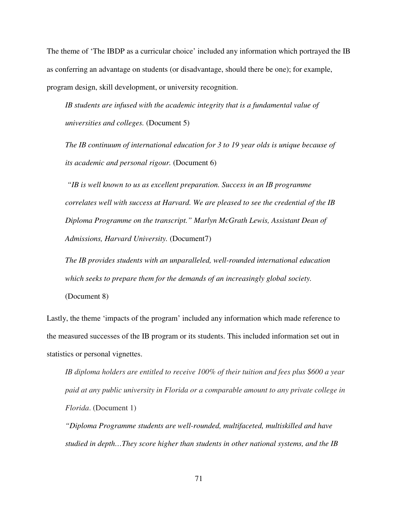The theme of 'The IBDP as a curricular choice' included any information which portrayed the IB as conferring an advantage on students (or disadvantage, should there be one); for example, program design, skill development, or university recognition.

*IB students are infused with the academic integrity that is a fundamental value of universities and colleges.* (Document 5)

*The IB continuum of international education for 3 to 19 year olds is unique because of its academic and personal rigour.* (Document 6)

 *"IB is well known to us as excellent preparation. Success in an IB programme correlates well with success at Harvard. We are pleased to see the credential of the IB Diploma Programme on the transcript." Marlyn McGrath Lewis, Assistant Dean of Admissions, Harvard University.* (Document7)

*The IB provides students with an unparalleled, well-rounded international education which seeks to prepare them for the demands of an increasingly global society.*

(Document 8)

Lastly, the theme 'impacts of the program' included any information which made reference to the measured successes of the IB program or its students. This included information set out in statistics or personal vignettes.

*IB diploma holders are entitled to receive 100% of their tuition and fees plus \$600 a year paid at any public university in Florida or a comparable amount to any private college in Florida*. (Document 1)

*"Diploma Programme students are well-rounded, multifaceted, multiskilled and have studied in depth…They score higher than students in other national systems, and the IB*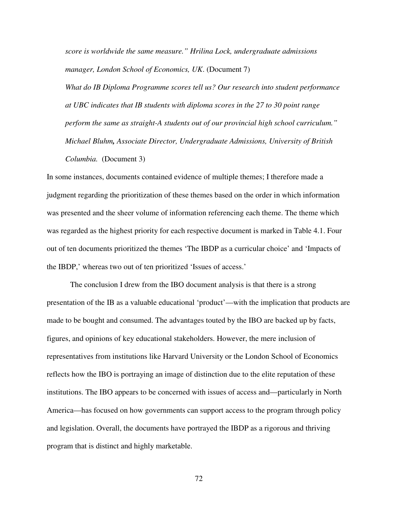*score is worldwide the same measure." Hrilina Lock, undergraduate admissions manager, London School of Economics, UK*. (Document 7)

*What do IB Diploma Programme scores tell us? Our research into student performance at UBC indicates that IB students with diploma scores in the 27 to 30 point range perform the same as straight-A students out of our provincial high school curriculum." Michael Bluhm, Associate Director, Undergraduate Admissions, University of British Columbia.* (Document 3)

In some instances, documents contained evidence of multiple themes; I therefore made a judgment regarding the prioritization of these themes based on the order in which information was presented and the sheer volume of information referencing each theme. The theme which was regarded as the highest priority for each respective document is marked in Table 4.1. Four out of ten documents prioritized the themes 'The IBDP as a curricular choice' and 'Impacts of the IBDP,' whereas two out of ten prioritized 'Issues of access.'

 The conclusion I drew from the IBO document analysis is that there is a strong presentation of the IB as a valuable educational 'product'—with the implication that products are made to be bought and consumed. The advantages touted by the IBO are backed up by facts, figures, and opinions of key educational stakeholders. However, the mere inclusion of representatives from institutions like Harvard University or the London School of Economics reflects how the IBO is portraying an image of distinction due to the elite reputation of these institutions. The IBO appears to be concerned with issues of access and—particularly in North America—has focused on how governments can support access to the program through policy and legislation. Overall, the documents have portrayed the IBDP as a rigorous and thriving program that is distinct and highly marketable.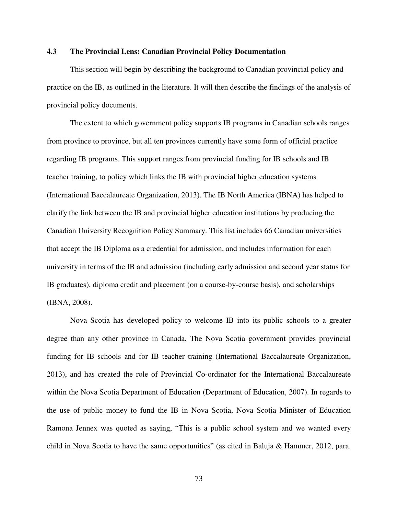## **4.3 The Provincial Lens: Canadian Provincial Policy Documentation**

This section will begin by describing the background to Canadian provincial policy and practice on the IB, as outlined in the literature. It will then describe the findings of the analysis of provincial policy documents.

 The extent to which government policy supports IB programs in Canadian schools ranges from province to province, but all ten provinces currently have some form of official practice regarding IB programs. This support ranges from provincial funding for IB schools and IB teacher training, to policy which links the IB with provincial higher education systems (International Baccalaureate Organization, 2013). The IB North America (IBNA) has helped to clarify the link between the IB and provincial higher education institutions by producing the Canadian University Recognition Policy Summary. This list includes 66 Canadian universities that accept the IB Diploma as a credential for admission, and includes information for each university in terms of the IB and admission (including early admission and second year status for IB graduates), diploma credit and placement (on a course-by-course basis), and scholarships (IBNA, 2008).

Nova Scotia has developed policy to welcome IB into its public schools to a greater degree than any other province in Canada. The Nova Scotia government provides provincial funding for IB schools and for IB teacher training (International Baccalaureate Organization, 2013), and has created the role of Provincial Co-ordinator for the International Baccalaureate within the Nova Scotia Department of Education (Department of Education, 2007). In regards to the use of public money to fund the IB in Nova Scotia, Nova Scotia Minister of Education Ramona Jennex was quoted as saying, "This is a public school system and we wanted every child in Nova Scotia to have the same opportunities" (as cited in Baluja & Hammer, 2012, para.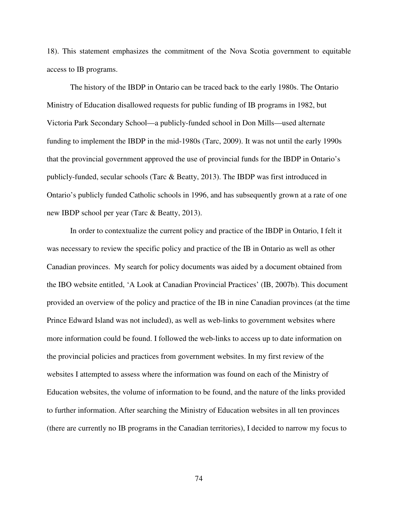18). This statement emphasizes the commitment of the Nova Scotia government to equitable access to IB programs.

 The history of the IBDP in Ontario can be traced back to the early 1980s. The Ontario Ministry of Education disallowed requests for public funding of IB programs in 1982, but Victoria Park Secondary School—a publicly-funded school in Don Mills—used alternate funding to implement the IBDP in the mid-1980s (Tarc, 2009). It was not until the early 1990s that the provincial government approved the use of provincial funds for the IBDP in Ontario's publicly-funded, secular schools (Tarc & Beatty, 2013). The IBDP was first introduced in Ontario's publicly funded Catholic schools in 1996, and has subsequently grown at a rate of one new IBDP school per year (Tarc & Beatty, 2013).

In order to contextualize the current policy and practice of the IBDP in Ontario, I felt it was necessary to review the specific policy and practice of the IB in Ontario as well as other Canadian provinces. My search for policy documents was aided by a document obtained from the IBO website entitled, 'A Look at Canadian Provincial Practices' (IB, 2007b). This document provided an overview of the policy and practice of the IB in nine Canadian provinces (at the time Prince Edward Island was not included), as well as web-links to government websites where more information could be found. I followed the web-links to access up to date information on the provincial policies and practices from government websites. In my first review of the websites I attempted to assess where the information was found on each of the Ministry of Education websites, the volume of information to be found, and the nature of the links provided to further information. After searching the Ministry of Education websites in all ten provinces (there are currently no IB programs in the Canadian territories), I decided to narrow my focus to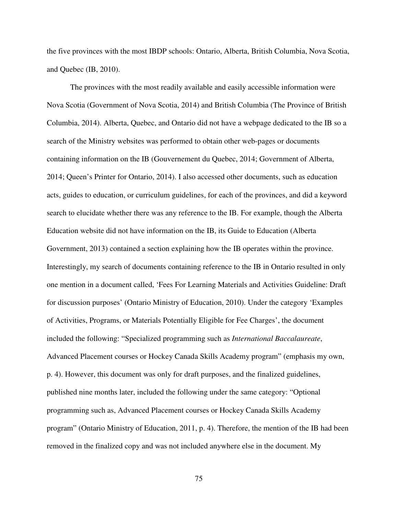the five provinces with the most IBDP schools: Ontario, Alberta, British Columbia, Nova Scotia, and Quebec (IB, 2010).

 The provinces with the most readily available and easily accessible information were Nova Scotia (Government of Nova Scotia, 2014) and British Columbia (The Province of British Columbia, 2014). Alberta, Quebec, and Ontario did not have a webpage dedicated to the IB so a search of the Ministry websites was performed to obtain other web-pages or documents containing information on the IB (Gouvernement du Quebec, 2014; Government of Alberta, 2014; Queen's Printer for Ontario, 2014). I also accessed other documents, such as education acts, guides to education, or curriculum guidelines, for each of the provinces, and did a keyword search to elucidate whether there was any reference to the IB. For example, though the Alberta Education website did not have information on the IB, its Guide to Education (Alberta Government, 2013) contained a section explaining how the IB operates within the province. Interestingly, my search of documents containing reference to the IB in Ontario resulted in only one mention in a document called, 'Fees For Learning Materials and Activities Guideline: Draft for discussion purposes' (Ontario Ministry of Education, 2010). Under the category 'Examples of Activities, Programs, or Materials Potentially Eligible for Fee Charges', the document included the following: "Specialized programming such as *International Baccalaureate*, Advanced Placement courses or Hockey Canada Skills Academy program" (emphasis my own, p. 4). However, this document was only for draft purposes, and the finalized guidelines, published nine months later, included the following under the same category: "Optional programming such as, Advanced Placement courses or Hockey Canada Skills Academy program" (Ontario Ministry of Education, 2011, p. 4). Therefore, the mention of the IB had been removed in the finalized copy and was not included anywhere else in the document. My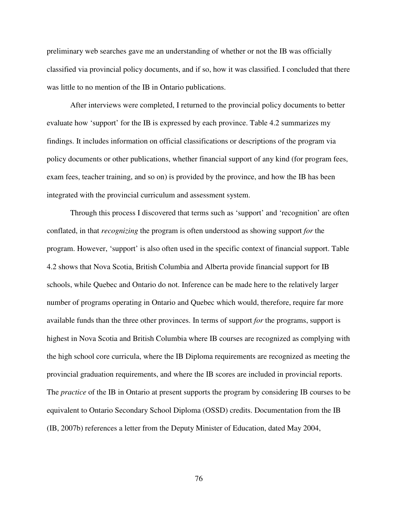preliminary web searches gave me an understanding of whether or not the IB was officially classified via provincial policy documents, and if so, how it was classified. I concluded that there was little to no mention of the IB in Ontario publications.

 After interviews were completed, I returned to the provincial policy documents to better evaluate how 'support' for the IB is expressed by each province. Table 4.2 summarizes my findings. It includes information on official classifications or descriptions of the program via policy documents or other publications, whether financial support of any kind (for program fees, exam fees, teacher training, and so on) is provided by the province, and how the IB has been integrated with the provincial curriculum and assessment system.

 Through this process I discovered that terms such as 'support' and 'recognition' are often conflated, in that *recognizing* the program is often understood as showing support *for* the program. However, 'support' is also often used in the specific context of financial support. Table 4.2 shows that Nova Scotia, British Columbia and Alberta provide financial support for IB schools, while Quebec and Ontario do not. Inference can be made here to the relatively larger number of programs operating in Ontario and Quebec which would, therefore, require far more available funds than the three other provinces. In terms of support *for* the programs, support is highest in Nova Scotia and British Columbia where IB courses are recognized as complying with the high school core curricula, where the IB Diploma requirements are recognized as meeting the provincial graduation requirements, and where the IB scores are included in provincial reports. The *practice* of the IB in Ontario at present supports the program by considering IB courses to be equivalent to Ontario Secondary School Diploma (OSSD) credits. Documentation from the IB (IB, 2007b) references a letter from the Deputy Minister of Education, dated May 2004,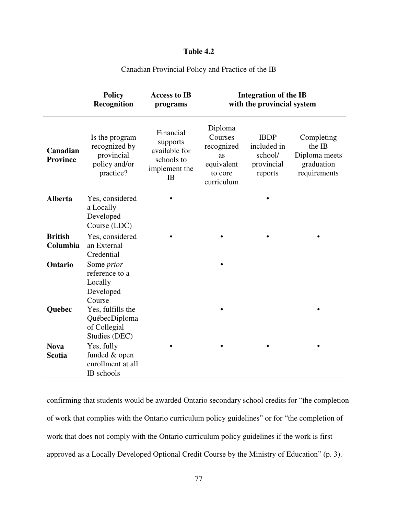# **Table 4.2**

|                              | <b>Policy</b><br>Recognition                                                | <b>Access to IB</b><br>programs                                             | <b>Integration of the IB</b><br>with the provincial system                    |                                                                |                                                                     |  |
|------------------------------|-----------------------------------------------------------------------------|-----------------------------------------------------------------------------|-------------------------------------------------------------------------------|----------------------------------------------------------------|---------------------------------------------------------------------|--|
| Canadian<br><b>Province</b>  | Is the program<br>recognized by<br>provincial<br>policy and/or<br>practice? | Financial<br>supports<br>available for<br>schools to<br>implement the<br>IB | Diploma<br>Courses<br>recognized<br>as<br>equivalent<br>to core<br>curriculum | <b>IBDP</b><br>included in<br>school/<br>provincial<br>reports | Completing<br>the IB<br>Diploma meets<br>graduation<br>requirements |  |
| <b>Alberta</b>               | Yes, considered<br>a Locally<br>Developed<br>Course (LDC)                   |                                                                             |                                                                               |                                                                |                                                                     |  |
| <b>British</b><br>Columbia   | Yes, considered<br>an External<br>Credential                                |                                                                             |                                                                               |                                                                |                                                                     |  |
| Ontario                      | Some <i>prior</i><br>reference to a<br>Locally<br>Developed<br>Course       |                                                                             |                                                                               |                                                                |                                                                     |  |
| Quebec                       | Yes, fulfills the<br>QuébecDiploma<br>of Collegial<br>Studies (DEC)         |                                                                             |                                                                               |                                                                |                                                                     |  |
| <b>Nova</b><br><b>Scotia</b> | Yes, fully<br>funded & open<br>enrollment at all<br>IB schools              |                                                                             |                                                                               |                                                                |                                                                     |  |

Canadian Provincial Policy and Practice of the IB

confirming that students would be awarded Ontario secondary school credits for "the completion of work that complies with the Ontario curriculum policy guidelines" or for "the completion of work that does not comply with the Ontario curriculum policy guidelines if the work is first approved as a Locally Developed Optional Credit Course by the Ministry of Education" (p. 3).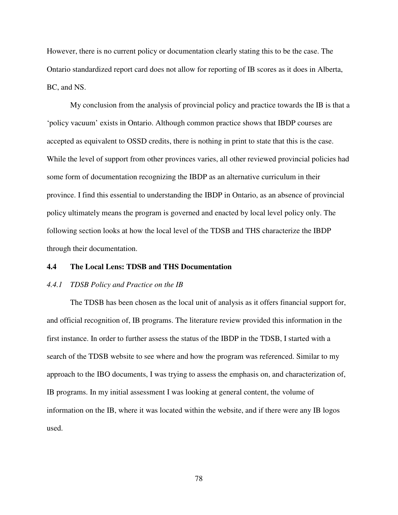However, there is no current policy or documentation clearly stating this to be the case. The Ontario standardized report card does not allow for reporting of IB scores as it does in Alberta, BC, and NS.

 My conclusion from the analysis of provincial policy and practice towards the IB is that a 'policy vacuum' exists in Ontario. Although common practice shows that IBDP courses are accepted as equivalent to OSSD credits, there is nothing in print to state that this is the case. While the level of support from other provinces varies, all other reviewed provincial policies had some form of documentation recognizing the IBDP as an alternative curriculum in their province. I find this essential to understanding the IBDP in Ontario, as an absence of provincial policy ultimately means the program is governed and enacted by local level policy only. The following section looks at how the local level of the TDSB and THS characterize the IBDP through their documentation.

## **4.4 The Local Lens: TDSB and THS Documentation**

#### *4.4.1 TDSB Policy and Practice on the IB*

 The TDSB has been chosen as the local unit of analysis as it offers financial support for, and official recognition of, IB programs. The literature review provided this information in the first instance. In order to further assess the status of the IBDP in the TDSB, I started with a search of the TDSB website to see where and how the program was referenced. Similar to my approach to the IBO documents, I was trying to assess the emphasis on, and characterization of, IB programs. In my initial assessment I was looking at general content, the volume of information on the IB, where it was located within the website, and if there were any IB logos used.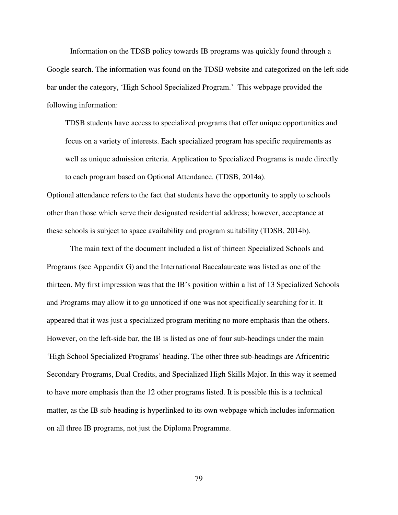Information on the TDSB policy towards IB programs was quickly found through a Google search. The information was found on the TDSB website and categorized on the left side bar under the category, 'High School Specialized Program.' This webpage provided the following information:

TDSB students have access to specialized programs that offer unique opportunities and focus on a variety of interests. Each specialized program has specific requirements as well as unique admission criteria. Application to Specialized Programs is made directly to each program based on Optional Attendance. (TDSB, 2014a).

Optional attendance refers to the fact that students have the opportunity to apply to schools other than those which serve their designated residential address; however, acceptance at these schools is subject to space availability and program suitability (TDSB, 2014b).

 The main text of the document included a list of thirteen Specialized Schools and Programs (see Appendix G) and the International Baccalaureate was listed as one of the thirteen. My first impression was that the IB's position within a list of 13 Specialized Schools and Programs may allow it to go unnoticed if one was not specifically searching for it. It appeared that it was just a specialized program meriting no more emphasis than the others. However, on the left-side bar, the IB is listed as one of four sub-headings under the main 'High School Specialized Programs' heading. The other three sub-headings are Africentric Secondary Programs, Dual Credits, and Specialized High Skills Major. In this way it seemed to have more emphasis than the 12 other programs listed. It is possible this is a technical matter, as the IB sub-heading is hyperlinked to its own webpage which includes information on all three IB programs, not just the Diploma Programme.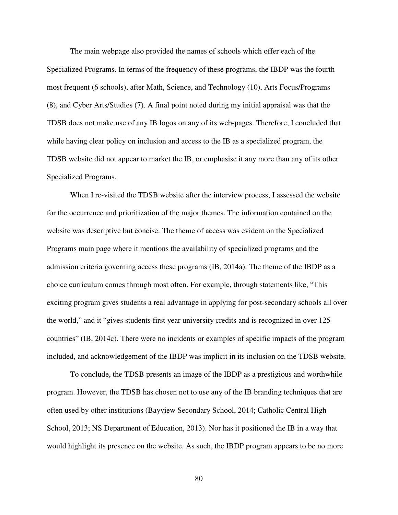The main webpage also provided the names of schools which offer each of the Specialized Programs. In terms of the frequency of these programs, the IBDP was the fourth most frequent (6 schools), after Math, Science, and Technology (10), Arts Focus/Programs (8), and Cyber Arts/Studies (7). A final point noted during my initial appraisal was that the TDSB does not make use of any IB logos on any of its web-pages. Therefore, I concluded that while having clear policy on inclusion and access to the IB as a specialized program, the TDSB website did not appear to market the IB, or emphasise it any more than any of its other Specialized Programs.

 When I re-visited the TDSB website after the interview process, I assessed the website for the occurrence and prioritization of the major themes. The information contained on the website was descriptive but concise. The theme of access was evident on the Specialized Programs main page where it mentions the availability of specialized programs and the admission criteria governing access these programs (IB, 2014a). The theme of the IBDP as a choice curriculum comes through most often. For example, through statements like, "This exciting program gives students a real advantage in applying for post-secondary schools all over the world," and it "gives students first year university credits and is recognized in over 125 countries" (IB, 2014c). There were no incidents or examples of specific impacts of the program included, and acknowledgement of the IBDP was implicit in its inclusion on the TDSB website.

 To conclude, the TDSB presents an image of the IBDP as a prestigious and worthwhile program. However, the TDSB has chosen not to use any of the IB branding techniques that are often used by other institutions (Bayview Secondary School, 2014; Catholic Central High School, 2013; NS Department of Education, 2013). Nor has it positioned the IB in a way that would highlight its presence on the website. As such, the IBDP program appears to be no more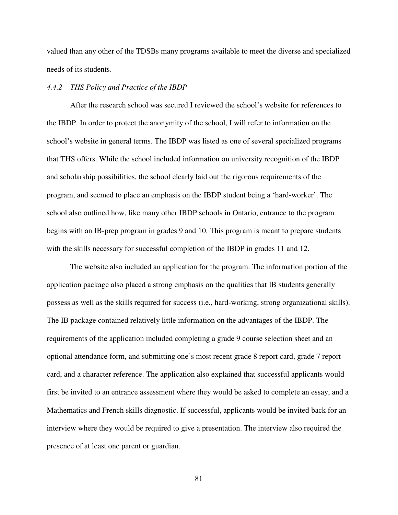valued than any other of the TDSBs many programs available to meet the diverse and specialized needs of its students.

## *4.4.2 THS Policy and Practice of the IBDP*

 After the research school was secured I reviewed the school's website for references to the IBDP. In order to protect the anonymity of the school, I will refer to information on the school's website in general terms. The IBDP was listed as one of several specialized programs that THS offers. While the school included information on university recognition of the IBDP and scholarship possibilities, the school clearly laid out the rigorous requirements of the program, and seemed to place an emphasis on the IBDP student being a 'hard-worker'. The school also outlined how, like many other IBDP schools in Ontario, entrance to the program begins with an IB-prep program in grades 9 and 10. This program is meant to prepare students with the skills necessary for successful completion of the IBDP in grades 11 and 12.

 The website also included an application for the program. The information portion of the application package also placed a strong emphasis on the qualities that IB students generally possess as well as the skills required for success (i.e., hard-working, strong organizational skills). The IB package contained relatively little information on the advantages of the IBDP. The requirements of the application included completing a grade 9 course selection sheet and an optional attendance form, and submitting one's most recent grade 8 report card, grade 7 report card, and a character reference. The application also explained that successful applicants would first be invited to an entrance assessment where they would be asked to complete an essay, and a Mathematics and French skills diagnostic. If successful, applicants would be invited back for an interview where they would be required to give a presentation. The interview also required the presence of at least one parent or guardian.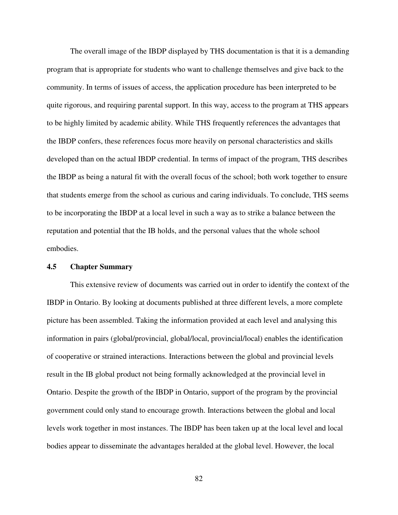The overall image of the IBDP displayed by THS documentation is that it is a demanding program that is appropriate for students who want to challenge themselves and give back to the community. In terms of issues of access, the application procedure has been interpreted to be quite rigorous, and requiring parental support. In this way, access to the program at THS appears to be highly limited by academic ability. While THS frequently references the advantages that the IBDP confers, these references focus more heavily on personal characteristics and skills developed than on the actual IBDP credential. In terms of impact of the program, THS describes the IBDP as being a natural fit with the overall focus of the school; both work together to ensure that students emerge from the school as curious and caring individuals. To conclude, THS seems to be incorporating the IBDP at a local level in such a way as to strike a balance between the reputation and potential that the IB holds, and the personal values that the whole school embodies.

## **4.5 Chapter Summary**

 This extensive review of documents was carried out in order to identify the context of the IBDP in Ontario. By looking at documents published at three different levels, a more complete picture has been assembled. Taking the information provided at each level and analysing this information in pairs (global/provincial, global/local, provincial/local) enables the identification of cooperative or strained interactions. Interactions between the global and provincial levels result in the IB global product not being formally acknowledged at the provincial level in Ontario. Despite the growth of the IBDP in Ontario, support of the program by the provincial government could only stand to encourage growth. Interactions between the global and local levels work together in most instances. The IBDP has been taken up at the local level and local bodies appear to disseminate the advantages heralded at the global level. However, the local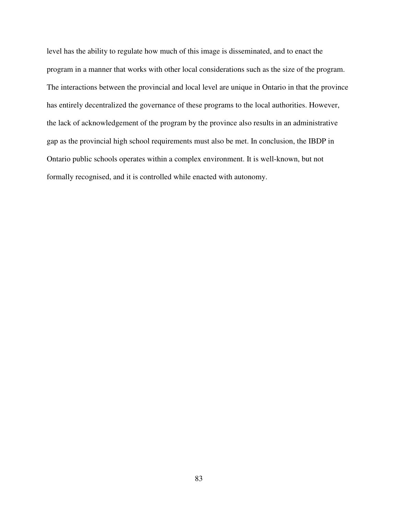level has the ability to regulate how much of this image is disseminated, and to enact the program in a manner that works with other local considerations such as the size of the program. The interactions between the provincial and local level are unique in Ontario in that the province has entirely decentralized the governance of these programs to the local authorities. However, the lack of acknowledgement of the program by the province also results in an administrative gap as the provincial high school requirements must also be met. In conclusion, the IBDP in Ontario public schools operates within a complex environment. It is well-known, but not formally recognised, and it is controlled while enacted with autonomy.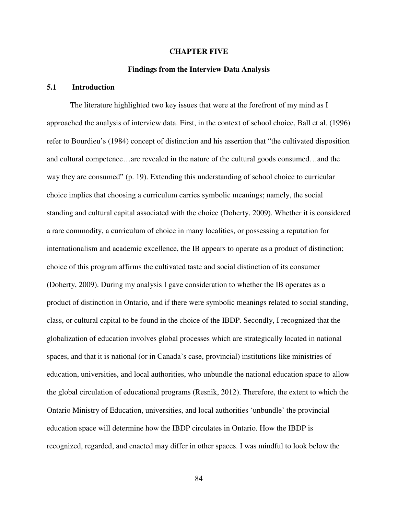#### **CHAPTER FIVE**

#### **Findings from the Interview Data Analysis**

## **5.1 Introduction**

 The literature highlighted two key issues that were at the forefront of my mind as I approached the analysis of interview data. First, in the context of school choice, Ball et al. (1996) refer to Bourdieu's (1984) concept of distinction and his assertion that "the cultivated disposition and cultural competence…are revealed in the nature of the cultural goods consumed…and the way they are consumed" (p. 19). Extending this understanding of school choice to curricular choice implies that choosing a curriculum carries symbolic meanings; namely, the social standing and cultural capital associated with the choice (Doherty, 2009). Whether it is considered a rare commodity, a curriculum of choice in many localities, or possessing a reputation for internationalism and academic excellence, the IB appears to operate as a product of distinction; choice of this program affirms the cultivated taste and social distinction of its consumer (Doherty, 2009). During my analysis I gave consideration to whether the IB operates as a product of distinction in Ontario, and if there were symbolic meanings related to social standing, class, or cultural capital to be found in the choice of the IBDP. Secondly, I recognized that the globalization of education involves global processes which are strategically located in national spaces, and that it is national (or in Canada's case, provincial) institutions like ministries of education, universities, and local authorities, who unbundle the national education space to allow the global circulation of educational programs (Resnik, 2012). Therefore, the extent to which the Ontario Ministry of Education, universities, and local authorities 'unbundle' the provincial education space will determine how the IBDP circulates in Ontario. How the IBDP is recognized, regarded, and enacted may differ in other spaces. I was mindful to look below the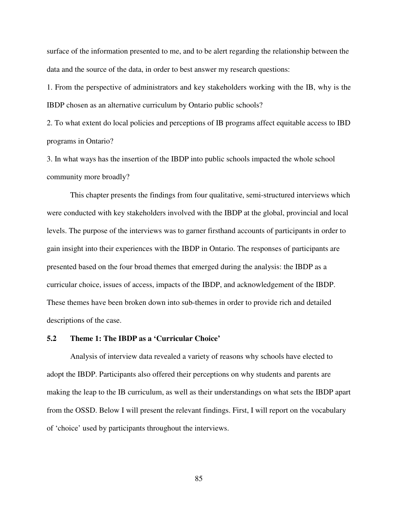surface of the information presented to me, and to be alert regarding the relationship between the data and the source of the data, in order to best answer my research questions:

1. From the perspective of administrators and key stakeholders working with the IB, why is the IBDP chosen as an alternative curriculum by Ontario public schools?

2. To what extent do local policies and perceptions of IB programs affect equitable access to IBD programs in Ontario?

3. In what ways has the insertion of the IBDP into public schools impacted the whole school community more broadly?

 This chapter presents the findings from four qualitative, semi-structured interviews which were conducted with key stakeholders involved with the IBDP at the global, provincial and local levels. The purpose of the interviews was to garner firsthand accounts of participants in order to gain insight into their experiences with the IBDP in Ontario. The responses of participants are presented based on the four broad themes that emerged during the analysis: the IBDP as a curricular choice, issues of access, impacts of the IBDP, and acknowledgement of the IBDP. These themes have been broken down into sub-themes in order to provide rich and detailed descriptions of the case.

## **5.2 Theme 1: The IBDP as a 'Curricular Choice'**

 Analysis of interview data revealed a variety of reasons why schools have elected to adopt the IBDP. Participants also offered their perceptions on why students and parents are making the leap to the IB curriculum, as well as their understandings on what sets the IBDP apart from the OSSD. Below I will present the relevant findings. First, I will report on the vocabulary of 'choice' used by participants throughout the interviews.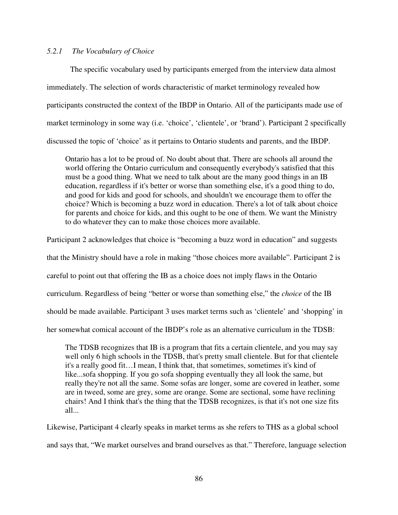# *5.2.1 The Vocabulary of Choice*

 The specific vocabulary used by participants emerged from the interview data almost immediately. The selection of words characteristic of market terminology revealed how participants constructed the context of the IBDP in Ontario. All of the participants made use of market terminology in some way (i.e. 'choice', 'clientele', or 'brand'). Participant 2 specifically discussed the topic of 'choice' as it pertains to Ontario students and parents, and the IBDP.

Ontario has a lot to be proud of. No doubt about that. There are schools all around the world offering the Ontario curriculum and consequently everybody's satisfied that this must be a good thing. What we need to talk about are the many good things in an IB education, regardless if it's better or worse than something else, it's a good thing to do, and good for kids and good for schools, and shouldn't we encourage them to offer the choice? Which is becoming a buzz word in education. There's a lot of talk about choice for parents and choice for kids, and this ought to be one of them. We want the Ministry to do whatever they can to make those choices more available.

Participant 2 acknowledges that choice is "becoming a buzz word in education" and suggests that the Ministry should have a role in making "those choices more available". Participant 2 is careful to point out that offering the IB as a choice does not imply flaws in the Ontario curriculum. Regardless of being "better or worse than something else," the *choice* of the IB should be made available. Participant 3 uses market terms such as 'clientele' and 'shopping' in

her somewhat comical account of the IBDP's role as an alternative curriculum in the TDSB:

The TDSB recognizes that IB is a program that fits a certain clientele, and you may say well only 6 high schools in the TDSB, that's pretty small clientele. But for that clientele it's a really good fit…I mean, I think that, that sometimes, sometimes it's kind of like...sofa shopping. If you go sofa shopping eventually they all look the same, but really they're not all the same. Some sofas are longer, some are covered in leather, some are in tweed, some are grey, some are orange. Some are sectional, some have reclining chairs! And I think that's the thing that the TDSB recognizes, is that it's not one size fits all...

Likewise, Participant 4 clearly speaks in market terms as she refers to THS as a global school and says that, "We market ourselves and brand ourselves as that." Therefore, language selection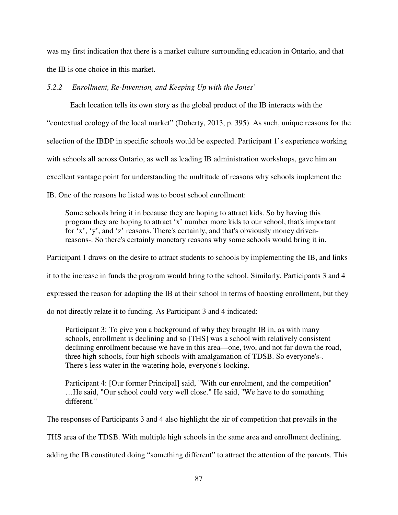was my first indication that there is a market culture surrounding education in Ontario, and that the IB is one choice in this market.

*5.2.2 Enrollment, Re-Invention, and Keeping Up with the Jones'* 

 Each location tells its own story as the global product of the IB interacts with the "contextual ecology of the local market" (Doherty, 2013, p. 395). As such, unique reasons for the selection of the IBDP in specific schools would be expected. Participant 1's experience working with schools all across Ontario, as well as leading IB administration workshops, gave him an excellent vantage point for understanding the multitude of reasons why schools implement the IB. One of the reasons he listed was to boost school enrollment:

Some schools bring it in because they are hoping to attract kids. So by having this program they are hoping to attract 'x' number more kids to our school, that's important for 'x', 'y', and 'z' reasons. There's certainly, and that's obviously money drivenreasons-. So there's certainly monetary reasons why some schools would bring it in.

Participant 1 draws on the desire to attract students to schools by implementing the IB, and links

it to the increase in funds the program would bring to the school. Similarly, Participants 3 and 4

expressed the reason for adopting the IB at their school in terms of boosting enrollment, but they

do not directly relate it to funding. As Participant 3 and 4 indicated:

Participant 3: To give you a background of why they brought IB in, as with many schools, enrollment is declining and so [THS] was a school with relatively consistent declining enrollment because we have in this area—one, two, and not far down the road, three high schools, four high schools with amalgamation of TDSB. So everyone's-. There's less water in the watering hole, everyone's looking.

Participant 4: [Our former Principal] said, "With our enrolment, and the competition" …He said, "Our school could very well close." He said, "We have to do something different."

The responses of Participants 3 and 4 also highlight the air of competition that prevails in the

THS area of the TDSB. With multiple high schools in the same area and enrollment declining,

adding the IB constituted doing "something different" to attract the attention of the parents. This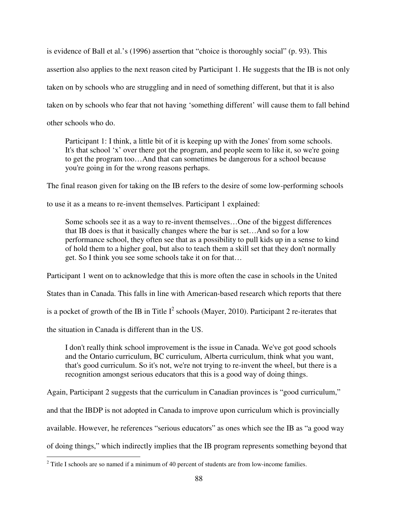is evidence of Ball et al.'s (1996) assertion that "choice is thoroughly social" (p. 93). This assertion also applies to the next reason cited by Participant 1. He suggests that the IB is not only taken on by schools who are struggling and in need of something different, but that it is also taken on by schools who fear that not having 'something different' will cause them to fall behind other schools who do.

Participant 1: I think, a little bit of it is keeping up with the Jones' from some schools. It's that school 'x' over there got the program, and people seem to like it, so we're going to get the program too…And that can sometimes be dangerous for a school because you're going in for the wrong reasons perhaps.

The final reason given for taking on the IB refers to the desire of some low-performing schools

to use it as a means to re-invent themselves. Participant 1 explained:

Some schools see it as a way to re-invent themselves…One of the biggest differences that IB does is that it basically changes where the bar is set…And so for a low performance school, they often see that as a possibility to pull kids up in a sense to kind of hold them to a higher goal, but also to teach them a skill set that they don't normally get. So I think you see some schools take it on for that…

Participant 1 went on to acknowledge that this is more often the case in schools in the United

States than in Canada. This falls in line with American-based research which reports that there

is a pocket of growth of the IB in Title  $I^2$  schools (Mayer, 2010). Participant 2 re-iterates that

the situation in Canada is different than in the US.

I don't really think school improvement is the issue in Canada. We've got good schools and the Ontario curriculum, BC curriculum, Alberta curriculum, think what you want, that's good curriculum. So it's not, we're not trying to re-invent the wheel, but there is a recognition amongst serious educators that this is a good way of doing things.

Again, Participant 2 suggests that the curriculum in Canadian provinces is "good curriculum,"

and that the IBDP is not adopted in Canada to improve upon curriculum which is provincially

available. However, he references "serious educators" as ones which see the IB as "a good way

of doing things," which indirectly implies that the IB program represents something beyond that

<sup>&</sup>lt;sup>2</sup> Title I schools are so named if a minimum of 40 percent of students are from low-income families.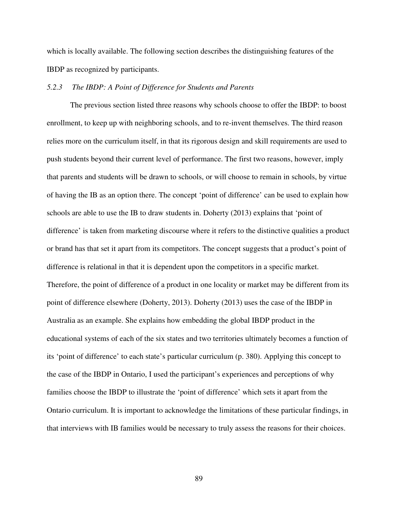which is locally available. The following section describes the distinguishing features of the IBDP as recognized by participants.

## *5.2.3 The IBDP: A Point of Difference for Students and Parents*

 The previous section listed three reasons why schools choose to offer the IBDP: to boost enrollment, to keep up with neighboring schools, and to re-invent themselves. The third reason relies more on the curriculum itself, in that its rigorous design and skill requirements are used to push students beyond their current level of performance. The first two reasons, however, imply that parents and students will be drawn to schools, or will choose to remain in schools, by virtue of having the IB as an option there. The concept 'point of difference' can be used to explain how schools are able to use the IB to draw students in. Doherty (2013) explains that 'point of difference' is taken from marketing discourse where it refers to the distinctive qualities a product or brand has that set it apart from its competitors. The concept suggests that a product's point of difference is relational in that it is dependent upon the competitors in a specific market. Therefore, the point of difference of a product in one locality or market may be different from its point of difference elsewhere (Doherty, 2013). Doherty (2013) uses the case of the IBDP in Australia as an example. She explains how embedding the global IBDP product in the educational systems of each of the six states and two territories ultimately becomes a function of its 'point of difference' to each state's particular curriculum (p. 380). Applying this concept to the case of the IBDP in Ontario, I used the participant's experiences and perceptions of why families choose the IBDP to illustrate the 'point of difference' which sets it apart from the Ontario curriculum. It is important to acknowledge the limitations of these particular findings, in that interviews with IB families would be necessary to truly assess the reasons for their choices.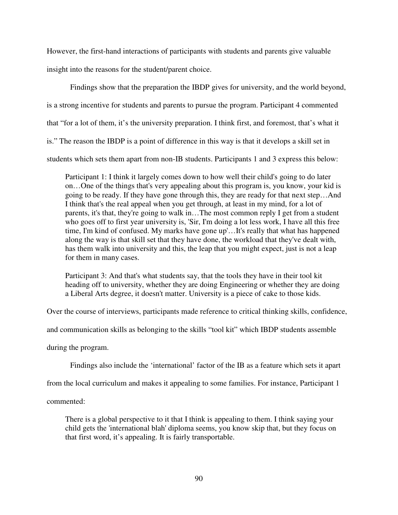However, the first-hand interactions of participants with students and parents give valuable insight into the reasons for the student/parent choice.

 Findings show that the preparation the IBDP gives for university, and the world beyond, is a strong incentive for students and parents to pursue the program. Participant 4 commented that "for a lot of them, it's the university preparation. I think first, and foremost, that's what it is." The reason the IBDP is a point of difference in this way is that it develops a skill set in students which sets them apart from non-IB students. Participants 1 and 3 express this below:

Participant 1: I think it largely comes down to how well their child's going to do later on…One of the things that's very appealing about this program is, you know, your kid is going to be ready. If they have gone through this, they are ready for that next step…And I think that's the real appeal when you get through, at least in my mind, for a lot of parents, it's that, they're going to walk in…The most common reply I get from a student who goes off to first year university is, 'Sir, I'm doing a lot less work, I have all this free time, I'm kind of confused. My marks have gone up'…It's really that what has happened along the way is that skill set that they have done, the workload that they've dealt with, has them walk into university and this, the leap that you might expect, just is not a leap for them in many cases.

Participant 3: And that's what students say, that the tools they have in their tool kit heading off to university, whether they are doing Engineering or whether they are doing a Liberal Arts degree, it doesn't matter. University is a piece of cake to those kids.

Over the course of interviews, participants made reference to critical thinking skills, confidence,

and communication skills as belonging to the skills "tool kit" which IBDP students assemble

during the program.

Findings also include the 'international' factor of the IB as a feature which sets it apart

from the local curriculum and makes it appealing to some families. For instance, Participant 1

commented:

There is a global perspective to it that I think is appealing to them. I think saying your child gets the 'international blah' diploma seems, you know skip that, but they focus on that first word, it's appealing. It is fairly transportable.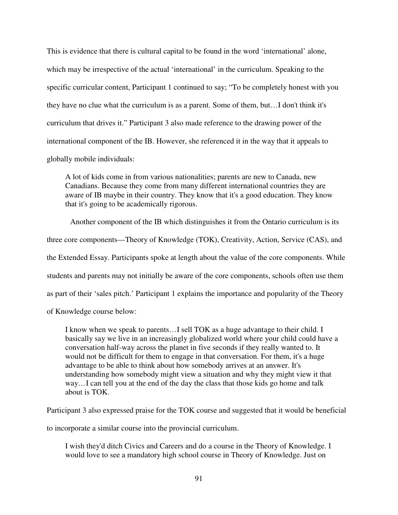This is evidence that there is cultural capital to be found in the word 'international' alone, which may be irrespective of the actual 'international' in the curriculum. Speaking to the specific curricular content, Participant 1 continued to say; "To be completely honest with you they have no clue what the curriculum is as a parent. Some of them, but…I don't think it's curriculum that drives it." Participant 3 also made reference to the drawing power of the international component of the IB. However, she referenced it in the way that it appeals to globally mobile individuals:

A lot of kids come in from various nationalities; parents are new to Canada, new Canadians. Because they come from many different international countries they are aware of IB maybe in their country. They know that it's a good education. They know that it's going to be academically rigorous.

 Another component of the IB which distinguishes it from the Ontario curriculum is its three core components—Theory of Knowledge (TOK), Creativity, Action, Service (CAS), and the Extended Essay. Participants spoke at length about the value of the core components. While students and parents may not initially be aware of the core components, schools often use them as part of their 'sales pitch.' Participant 1 explains the importance and popularity of the Theory of Knowledge course below:

I know when we speak to parents…I sell TOK as a huge advantage to their child. I basically say we live in an increasingly globalized world where your child could have a conversation half-way across the planet in five seconds if they really wanted to. It would not be difficult for them to engage in that conversation. For them, it's a huge advantage to be able to think about how somebody arrives at an answer. It's understanding how somebody might view a situation and why they might view it that way…I can tell you at the end of the day the class that those kids go home and talk about is TOK.

Participant 3 also expressed praise for the TOK course and suggested that it would be beneficial

to incorporate a similar course into the provincial curriculum.

I wish they'd ditch Civics and Careers and do a course in the Theory of Knowledge. I would love to see a mandatory high school course in Theory of Knowledge. Just on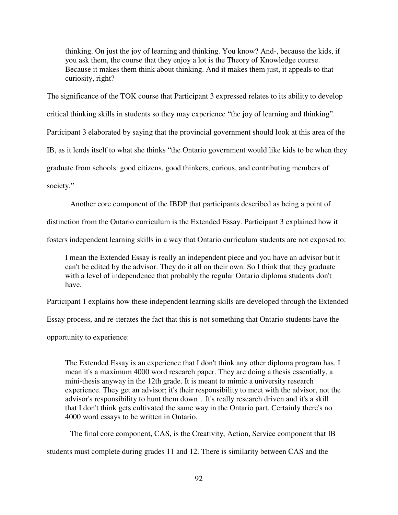thinking. On just the joy of learning and thinking. You know? And-, because the kids, if you ask them, the course that they enjoy a lot is the Theory of Knowledge course. Because it makes them think about thinking. And it makes them just, it appeals to that curiosity, right?

The significance of the TOK course that Participant 3 expressed relates to its ability to develop

critical thinking skills in students so they may experience "the joy of learning and thinking".

Participant 3 elaborated by saying that the provincial government should look at this area of the

IB, as it lends itself to what she thinks "the Ontario government would like kids to be when they

graduate from schools: good citizens, good thinkers, curious, and contributing members of

society."

Another core component of the IBDP that participants described as being a point of

distinction from the Ontario curriculum is the Extended Essay. Participant 3 explained how it

fosters independent learning skills in a way that Ontario curriculum students are not exposed to:

I mean the Extended Essay is really an independent piece and you have an advisor but it can't be edited by the advisor. They do it all on their own. So I think that they graduate with a level of independence that probably the regular Ontario diploma students don't have.

Participant 1 explains how these independent learning skills are developed through the Extended

Essay process, and re-iterates the fact that this is not something that Ontario students have the

opportunity to experience:

The Extended Essay is an experience that I don't think any other diploma program has. I mean it's a maximum 4000 word research paper. They are doing a thesis essentially, a mini-thesis anyway in the 12th grade. It is meant to mimic a university research experience. They get an advisor; it's their responsibility to meet with the advisor, not the advisor's responsibility to hunt them down…It's really research driven and it's a skill that I don't think gets cultivated the same way in the Ontario part. Certainly there's no 4000 word essays to be written in Ontario.

The final core component, CAS, is the Creativity, Action, Service component that IB

students must complete during grades 11 and 12. There is similarity between CAS and the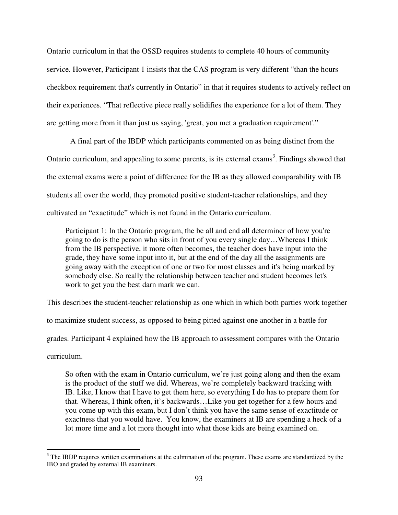Ontario curriculum in that the OSSD requires students to complete 40 hours of community service. However, Participant 1 insists that the CAS program is very different "than the hours checkbox requirement that's currently in Ontario" in that it requires students to actively reflect on their experiences. "That reflective piece really solidifies the experience for a lot of them. They are getting more from it than just us saying, 'great, you met a graduation requirement'."

 A final part of the IBDP which participants commented on as being distinct from the Ontario curriculum, and appealing to some parents, is its external exams<sup>3</sup>. Findings showed that the external exams were a point of difference for the IB as they allowed comparability with IB students all over the world, they promoted positive student-teacher relationships, and they cultivated an "exactitude" which is not found in the Ontario curriculum.

Participant 1: In the Ontario program, the be all and end all determiner of how you're going to do is the person who sits in front of you every single day…Whereas I think from the IB perspective, it more often becomes, the teacher does have input into the grade, they have some input into it, but at the end of the day all the assignments are going away with the exception of one or two for most classes and it's being marked by somebody else. So really the relationship between teacher and student becomes let's work to get you the best darn mark we can.

This describes the student-teacher relationship as one which in which both parties work together to maximize student success, as opposed to being pitted against one another in a battle for grades. Participant 4 explained how the IB approach to assessment compares with the Ontario curriculum.

So often with the exam in Ontario curriculum, we're just going along and then the exam is the product of the stuff we did. Whereas, we're completely backward tracking with IB. Like, I know that I have to get them here, so everything I do has to prepare them for that. Whereas, I think often, it's backwards…Like you get together for a few hours and you come up with this exam, but I don't think you have the same sense of exactitude or exactness that you would have. You know, the examiners at IB are spending a heck of a lot more time and a lot more thought into what those kids are being examined on.

<sup>&</sup>lt;sup>3</sup> The IBDP requires written examinations at the culmination of the program. These exams are standardized by the IBO and graded by external IB examiners.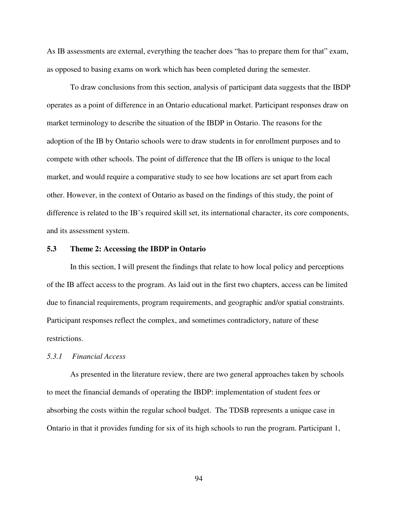As IB assessments are external, everything the teacher does "has to prepare them for that" exam, as opposed to basing exams on work which has been completed during the semester.

 To draw conclusions from this section, analysis of participant data suggests that the IBDP operates as a point of difference in an Ontario educational market. Participant responses draw on market terminology to describe the situation of the IBDP in Ontario. The reasons for the adoption of the IB by Ontario schools were to draw students in for enrollment purposes and to compete with other schools. The point of difference that the IB offers is unique to the local market, and would require a comparative study to see how locations are set apart from each other. However, in the context of Ontario as based on the findings of this study, the point of difference is related to the IB's required skill set, its international character, its core components, and its assessment system.

#### **5.3 Theme 2: Accessing the IBDP in Ontario**

 In this section, I will present the findings that relate to how local policy and perceptions of the IB affect access to the program. As laid out in the first two chapters, access can be limited due to financial requirements, program requirements, and geographic and/or spatial constraints. Participant responses reflect the complex, and sometimes contradictory, nature of these restrictions.

## *5.3.1 Financial Access*

 As presented in the literature review, there are two general approaches taken by schools to meet the financial demands of operating the IBDP: implementation of student fees or absorbing the costs within the regular school budget. The TDSB represents a unique case in Ontario in that it provides funding for six of its high schools to run the program. Participant 1,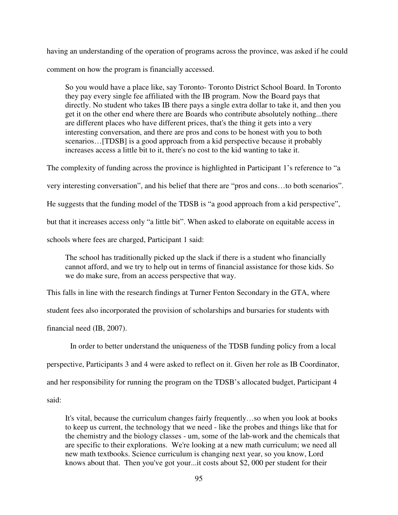having an understanding of the operation of programs across the province, was asked if he could comment on how the program is financially accessed.

So you would have a place like, say Toronto- Toronto District School Board. In Toronto they pay every single fee affiliated with the IB program. Now the Board pays that directly. No student who takes IB there pays a single extra dollar to take it, and then you get it on the other end where there are Boards who contribute absolutely nothing...there are different places who have different prices, that's the thing it gets into a very interesting conversation, and there are pros and cons to be honest with you to both scenarios...<sup>[TDSB]</sup> is a good approach from a kid perspective because it probably increases access a little bit to it, there's no cost to the kid wanting to take it.

The complexity of funding across the province is highlighted in Participant 1's reference to "a very interesting conversation", and his belief that there are "pros and cons…to both scenarios". He suggests that the funding model of the TDSB is "a good approach from a kid perspective", but that it increases access only "a little bit". When asked to elaborate on equitable access in schools where fees are charged, Participant 1 said:

The school has traditionally picked up the slack if there is a student who financially cannot afford, and we try to help out in terms of financial assistance for those kids. So we do make sure, from an access perspective that way.

This falls in line with the research findings at Turner Fenton Secondary in the GTA, where

student fees also incorporated the provision of scholarships and bursaries for students with

financial need (IB, 2007).

In order to better understand the uniqueness of the TDSB funding policy from a local

perspective, Participants 3 and 4 were asked to reflect on it. Given her role as IB Coordinator,

and her responsibility for running the program on the TDSB's allocated budget, Participant 4

said:

It's vital, because the curriculum changes fairly frequently…so when you look at books to keep us current, the technology that we need - like the probes and things like that for the chemistry and the biology classes - um, some of the lab-work and the chemicals that are specific to their explorations. We're looking at a new math curriculum; we need all new math textbooks. Science curriculum is changing next year, so you know, Lord knows about that. Then you've got your...it costs about \$2, 000 per student for their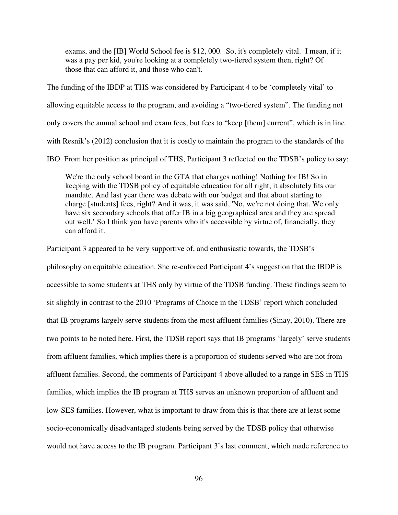exams, and the [IB] World School fee is \$12, 000. So, it's completely vital. I mean, if it was a pay per kid, you're looking at a completely two-tiered system then, right? Of those that can afford it, and those who can't.

The funding of the IBDP at THS was considered by Participant 4 to be 'completely vital' to allowing equitable access to the program, and avoiding a "two-tiered system". The funding not only covers the annual school and exam fees, but fees to "keep [them] current", which is in line with Resnik's (2012) conclusion that it is costly to maintain the program to the standards of the IBO. From her position as principal of THS, Participant 3 reflected on the TDSB's policy to say:

We're the only school board in the GTA that charges nothing! Nothing for IB! So in keeping with the TDSB policy of equitable education for all right, it absolutely fits our mandate. And last year there was debate with our budget and that about starting to charge [students] fees, right? And it was, it was said, 'No, we're not doing that. We only have six secondary schools that offer IB in a big geographical area and they are spread out well.' So I think you have parents who it's accessible by virtue of, financially, they can afford it.

Participant 3 appeared to be very supportive of, and enthusiastic towards, the TDSB's

philosophy on equitable education. She re-enforced Participant 4's suggestion that the IBDP is accessible to some students at THS only by virtue of the TDSB funding. These findings seem to sit slightly in contrast to the 2010 'Programs of Choice in the TDSB' report which concluded that IB programs largely serve students from the most affluent families (Sinay, 2010). There are two points to be noted here. First, the TDSB report says that IB programs 'largely' serve students from affluent families, which implies there is a proportion of students served who are not from affluent families. Second, the comments of Participant 4 above alluded to a range in SES in THS families, which implies the IB program at THS serves an unknown proportion of affluent and low-SES families. However, what is important to draw from this is that there are at least some socio-economically disadvantaged students being served by the TDSB policy that otherwise would not have access to the IB program. Participant 3's last comment, which made reference to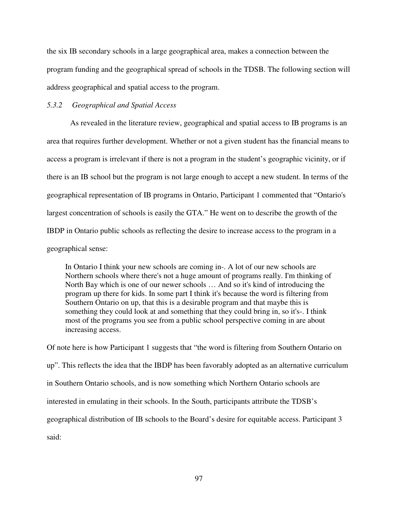the six IB secondary schools in a large geographical area, makes a connection between the program funding and the geographical spread of schools in the TDSB. The following section will address geographical and spatial access to the program.

## *5.3.2 Geographical and Spatial Access*

 As revealed in the literature review, geographical and spatial access to IB programs is an area that requires further development. Whether or not a given student has the financial means to access a program is irrelevant if there is not a program in the student's geographic vicinity, or if there is an IB school but the program is not large enough to accept a new student. In terms of the geographical representation of IB programs in Ontario, Participant 1 commented that "Ontario's largest concentration of schools is easily the GTA." He went on to describe the growth of the IBDP in Ontario public schools as reflecting the desire to increase access to the program in a geographical sense:

In Ontario I think your new schools are coming in-. A lot of our new schools are Northern schools where there's not a huge amount of programs really. I'm thinking of North Bay which is one of our newer schools … And so it's kind of introducing the program up there for kids. In some part I think it's because the word is filtering from Southern Ontario on up, that this is a desirable program and that maybe this is something they could look at and something that they could bring in, so it's-. I think most of the programs you see from a public school perspective coming in are about increasing access.

Of note here is how Participant 1 suggests that "the word is filtering from Southern Ontario on up". This reflects the idea that the IBDP has been favorably adopted as an alternative curriculum in Southern Ontario schools, and is now something which Northern Ontario schools are interested in emulating in their schools. In the South, participants attribute the TDSB's geographical distribution of IB schools to the Board's desire for equitable access. Participant 3 said: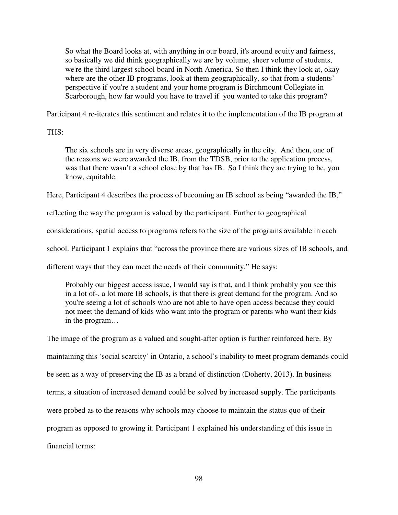So what the Board looks at, with anything in our board, it's around equity and fairness, so basically we did think geographically we are by volume, sheer volume of students, we're the third largest school board in North America. So then I think they look at, okay where are the other IB programs, look at them geographically, so that from a students' perspective if you're a student and your home program is Birchmount Collegiate in Scarborough, how far would you have to travel if you wanted to take this program?

Participant 4 re-iterates this sentiment and relates it to the implementation of the IB program at

THS:

The six schools are in very diverse areas, geographically in the city. And then, one of the reasons we were awarded the IB, from the TDSB, prior to the application process, was that there wasn't a school close by that has IB. So I think they are trying to be, you know, equitable.

Here, Participant 4 describes the process of becoming an IB school as being "awarded the IB,"

reflecting the way the program is valued by the participant. Further to geographical

considerations, spatial access to programs refers to the size of the programs available in each

school. Participant 1 explains that "across the province there are various sizes of IB schools, and

different ways that they can meet the needs of their community." He says:

Probably our biggest access issue, I would say is that, and I think probably you see this in a lot of-, a lot more IB schools, is that there is great demand for the program. And so you're seeing a lot of schools who are not able to have open access because they could not meet the demand of kids who want into the program or parents who want their kids in the program…

The image of the program as a valued and sought-after option is further reinforced here. By maintaining this 'social scarcity' in Ontario, a school's inability to meet program demands could be seen as a way of preserving the IB as a brand of distinction (Doherty, 2013). In business terms, a situation of increased demand could be solved by increased supply. The participants were probed as to the reasons why schools may choose to maintain the status quo of their program as opposed to growing it. Participant 1 explained his understanding of this issue in financial terms: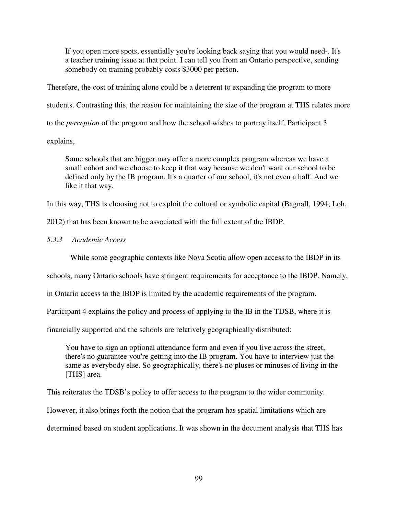If you open more spots, essentially you're looking back saying that you would need-. It's a teacher training issue at that point. I can tell you from an Ontario perspective, sending somebody on training probably costs \$3000 per person.

Therefore, the cost of training alone could be a deterrent to expanding the program to more

students. Contrasting this, the reason for maintaining the size of the program at THS relates more

to the *perception* of the program and how the school wishes to portray itself. Participant 3

explains,

Some schools that are bigger may offer a more complex program whereas we have a small cohort and we choose to keep it that way because we don't want our school to be defined only by the IB program. It's a quarter of our school, it's not even a half. And we like it that way.

In this way, THS is choosing not to exploit the cultural or symbolic capital (Bagnall, 1994; Loh,

2012) that has been known to be associated with the full extent of the IBDP.

*5.3.3 Academic Access* 

While some geographic contexts like Nova Scotia allow open access to the IBDP in its

schools, many Ontario schools have stringent requirements for acceptance to the IBDP. Namely,

in Ontario access to the IBDP is limited by the academic requirements of the program.

Participant 4 explains the policy and process of applying to the IB in the TDSB, where it is

financially supported and the schools are relatively geographically distributed:

You have to sign an optional attendance form and even if you live across the street, there's no guarantee you're getting into the IB program. You have to interview just the same as everybody else. So geographically, there's no pluses or minuses of living in the [THS] area.

This reiterates the TDSB's policy to offer access to the program to the wider community.

However, it also brings forth the notion that the program has spatial limitations which are

determined based on student applications. It was shown in the document analysis that THS has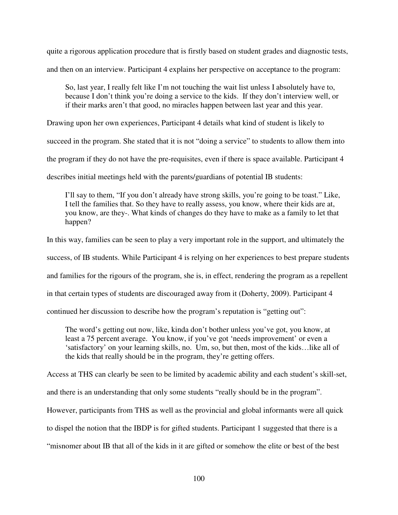quite a rigorous application procedure that is firstly based on student grades and diagnostic tests,

and then on an interview. Participant 4 explains her perspective on acceptance to the program:

So, last year, I really felt like I'm not touching the wait list unless I absolutely have to, because I don't think you're doing a service to the kids. If they don't interview well, or if their marks aren't that good, no miracles happen between last year and this year.

Drawing upon her own experiences, Participant 4 details what kind of student is likely to

succeed in the program. She stated that it is not "doing a service" to students to allow them into

the program if they do not have the pre-requisites, even if there is space available. Participant 4

describes initial meetings held with the parents/guardians of potential IB students:

I'll say to them, "If you don't already have strong skills, you're going to be toast." Like, I tell the families that. So they have to really assess, you know, where their kids are at, you know, are they-. What kinds of changes do they have to make as a family to let that happen?

In this way, families can be seen to play a very important role in the support, and ultimately the

success, of IB students. While Participant 4 is relying on her experiences to best prepare students

and families for the rigours of the program, she is, in effect, rendering the program as a repellent

in that certain types of students are discouraged away from it (Doherty, 2009). Participant 4

continued her discussion to describe how the program's reputation is "getting out":

The word's getting out now, like, kinda don't bother unless you've got, you know, at least a 75 percent average. You know, if you've got 'needs improvement' or even a 'satisfactory' on your learning skills, no. Um, so, but then, most of the kids…like all of the kids that really should be in the program, they're getting offers.

Access at THS can clearly be seen to be limited by academic ability and each student's skill-set,

and there is an understanding that only some students "really should be in the program".

However, participants from THS as well as the provincial and global informants were all quick

to dispel the notion that the IBDP is for gifted students. Participant 1 suggested that there is a

"misnomer about IB that all of the kids in it are gifted or somehow the elite or best of the best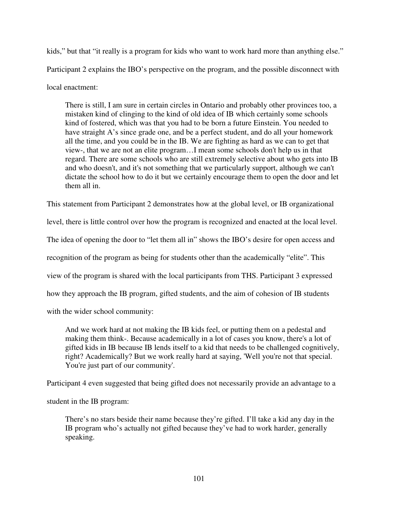kids," but that "it really is a program for kids who want to work hard more than anything else." Participant 2 explains the IBO's perspective on the program, and the possible disconnect with local enactment:

There is still, I am sure in certain circles in Ontario and probably other provinces too, a mistaken kind of clinging to the kind of old idea of IB which certainly some schools kind of fostered, which was that you had to be born a future Einstein. You needed to have straight A's since grade one, and be a perfect student, and do all your homework all the time, and you could be in the IB. We are fighting as hard as we can to get that view-, that we are not an elite program…I mean some schools don't help us in that regard. There are some schools who are still extremely selective about who gets into IB and who doesn't, and it's not something that we particularly support, although we can't dictate the school how to do it but we certainly encourage them to open the door and let them all in.

This statement from Participant 2 demonstrates how at the global level, or IB organizational

level, there is little control over how the program is recognized and enacted at the local level.

The idea of opening the door to "let them all in" shows the IBO's desire for open access and

recognition of the program as being for students other than the academically "elite". This

view of the program is shared with the local participants from THS. Participant 3 expressed

how they approach the IB program, gifted students, and the aim of cohesion of IB students

with the wider school community:

And we work hard at not making the IB kids feel, or putting them on a pedestal and making them think-. Because academically in a lot of cases you know, there's a lot of gifted kids in IB because IB lends itself to a kid that needs to be challenged cognitively, right? Academically? But we work really hard at saying, 'Well you're not that special. You're just part of our community'.

Participant 4 even suggested that being gifted does not necessarily provide an advantage to a

student in the IB program:

There's no stars beside their name because they're gifted. I'll take a kid any day in the IB program who's actually not gifted because they've had to work harder, generally speaking.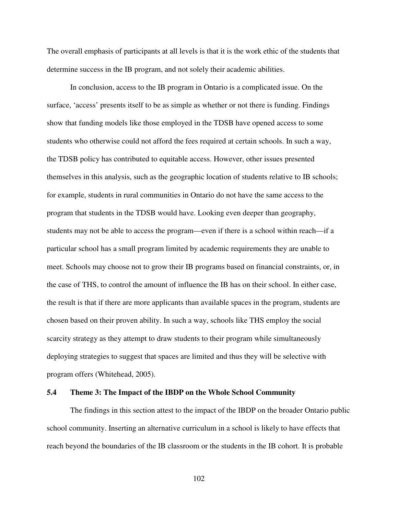The overall emphasis of participants at all levels is that it is the work ethic of the students that determine success in the IB program, and not solely their academic abilities.

 In conclusion, access to the IB program in Ontario is a complicated issue. On the surface, 'access' presents itself to be as simple as whether or not there is funding. Findings show that funding models like those employed in the TDSB have opened access to some students who otherwise could not afford the fees required at certain schools. In such a way, the TDSB policy has contributed to equitable access. However, other issues presented themselves in this analysis, such as the geographic location of students relative to IB schools; for example, students in rural communities in Ontario do not have the same access to the program that students in the TDSB would have. Looking even deeper than geography, students may not be able to access the program—even if there is a school within reach—if a particular school has a small program limited by academic requirements they are unable to meet. Schools may choose not to grow their IB programs based on financial constraints, or, in the case of THS, to control the amount of influence the IB has on their school. In either case, the result is that if there are more applicants than available spaces in the program, students are chosen based on their proven ability. In such a way, schools like THS employ the social scarcity strategy as they attempt to draw students to their program while simultaneously deploying strategies to suggest that spaces are limited and thus they will be selective with program offers (Whitehead, 2005).

## **5.4 Theme 3: The Impact of the IBDP on the Whole School Community**

 The findings in this section attest to the impact of the IBDP on the broader Ontario public school community. Inserting an alternative curriculum in a school is likely to have effects that reach beyond the boundaries of the IB classroom or the students in the IB cohort. It is probable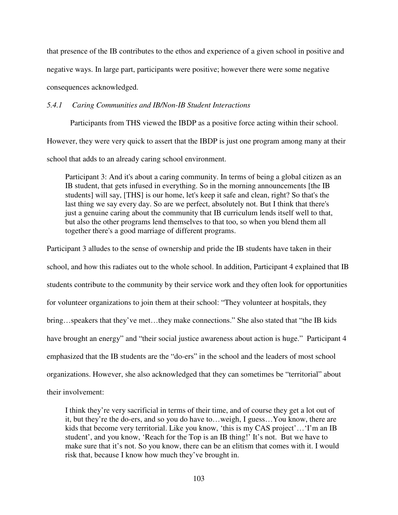that presence of the IB contributes to the ethos and experience of a given school in positive and

negative ways. In large part, participants were positive; however there were some negative

consequences acknowledged.

*5.4.1 Caring Communities and IB/Non-IB Student Interactions* 

 Participants from THS viewed the IBDP as a positive force acting within their school. However, they were very quick to assert that the IBDP is just one program among many at their

school that adds to an already caring school environment.

Participant 3: And it's about a caring community. In terms of being a global citizen as an IB student, that gets infused in everything. So in the morning announcements [the IB students] will say, [THS] is our home, let's keep it safe and clean, right? So that's the last thing we say every day. So are we perfect, absolutely not. But I think that there's just a genuine caring about the community that IB curriculum lends itself well to that, but also the other programs lend themselves to that too, so when you blend them all together there's a good marriage of different programs.

Participant 3 alludes to the sense of ownership and pride the IB students have taken in their school, and how this radiates out to the whole school. In addition, Participant 4 explained that IB students contribute to the community by their service work and they often look for opportunities for volunteer organizations to join them at their school: "They volunteer at hospitals, they bring…speakers that they've met…they make connections." She also stated that "the IB kids have brought an energy" and "their social justice awareness about action is huge." Participant 4 emphasized that the IB students are the "do-ers" in the school and the leaders of most school organizations. However, she also acknowledged that they can sometimes be "territorial" about their involvement:

I think they're very sacrificial in terms of their time, and of course they get a lot out of it, but they're the do-ers, and so you do have to…weigh, I guess…You know, there are kids that become very territorial. Like you know, 'this is my CAS project'…'I'm an IB student', and you know, 'Reach for the Top is an IB thing!' It's not. But we have to make sure that it's not. So you know, there can be an elitism that comes with it. I would risk that, because I know how much they've brought in.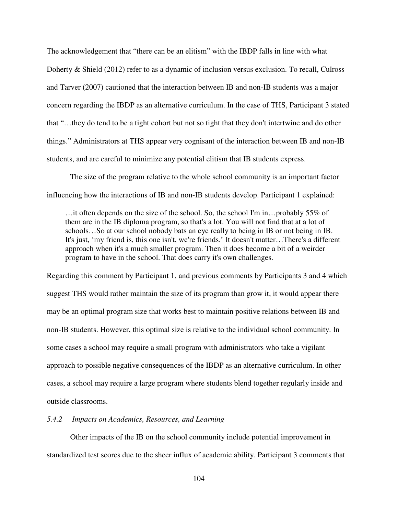The acknowledgement that "there can be an elitism" with the IBDP falls in line with what Doherty & Shield (2012) refer to as a dynamic of inclusion versus exclusion. To recall, Culross and Tarver (2007) cautioned that the interaction between IB and non-IB students was a major concern regarding the IBDP as an alternative curriculum. In the case of THS, Participant 3 stated that "…they do tend to be a tight cohort but not so tight that they don't intertwine and do other things." Administrators at THS appear very cognisant of the interaction between IB and non-IB students, and are careful to minimize any potential elitism that IB students express.

 The size of the program relative to the whole school community is an important factor influencing how the interactions of IB and non-IB students develop. Participant 1 explained:

…it often depends on the size of the school. So, the school I'm in…probably 55% of them are in the IB diploma program, so that's a lot. You will not find that at a lot of schools…So at our school nobody bats an eye really to being in IB or not being in IB. It's just, 'my friend is, this one isn't, we're friends.' It doesn't matter…There's a different approach when it's a much smaller program. Then it does become a bit of a weirder program to have in the school. That does carry it's own challenges.

Regarding this comment by Participant 1, and previous comments by Participants 3 and 4 which suggest THS would rather maintain the size of its program than grow it, it would appear there may be an optimal program size that works best to maintain positive relations between IB and non-IB students. However, this optimal size is relative to the individual school community. In some cases a school may require a small program with administrators who take a vigilant approach to possible negative consequences of the IBDP as an alternative curriculum. In other cases, a school may require a large program where students blend together regularly inside and outside classrooms.

# *5.4.2 Impacts on Academics, Resources, and Learning*

 Other impacts of the IB on the school community include potential improvement in standardized test scores due to the sheer influx of academic ability. Participant 3 comments that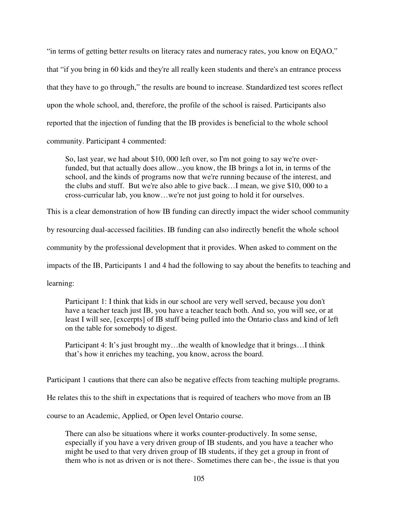"in terms of getting better results on literacy rates and numeracy rates, you know on EQAO," that "if you bring in 60 kids and they're all really keen students and there's an entrance process that they have to go through," the results are bound to increase. Standardized test scores reflect upon the whole school, and, therefore, the profile of the school is raised. Participants also reported that the injection of funding that the IB provides is beneficial to the whole school community. Participant 4 commented:

So, last year, we had about \$10, 000 left over, so I'm not going to say we're overfunded, but that actually does allow...you know, the IB brings a lot in, in terms of the school, and the kinds of programs now that we're running because of the interest, and the clubs and stuff. But we're also able to give back…I mean, we give \$10, 000 to a cross-curricular lab, you know…we're not just going to hold it for ourselves.

This is a clear demonstration of how IB funding can directly impact the wider school community

by resourcing dual-accessed facilities. IB funding can also indirectly benefit the whole school

community by the professional development that it provides. When asked to comment on the

impacts of the IB, Participants 1 and 4 had the following to say about the benefits to teaching and

learning:

Participant 1: I think that kids in our school are very well served, because you don't have a teacher teach just IB, you have a teacher teach both. And so, you will see, or at least I will see, [excerpts] of IB stuff being pulled into the Ontario class and kind of left on the table for somebody to digest.

Participant 4: It's just brought my...the wealth of knowledge that it brings...I think that's how it enriches my teaching, you know, across the board.

Participant 1 cautions that there can also be negative effects from teaching multiple programs.

He relates this to the shift in expectations that is required of teachers who move from an IB

course to an Academic, Applied, or Open level Ontario course.

There can also be situations where it works counter-productively. In some sense, especially if you have a very driven group of IB students, and you have a teacher who might be used to that very driven group of IB students, if they get a group in front of them who is not as driven or is not there-. Sometimes there can be-, the issue is that you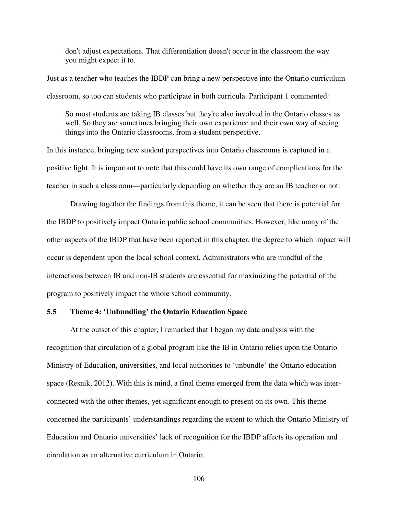don't adjust expectations. That differentiation doesn't occur in the classroom the way you might expect it to.

Just as a teacher who teaches the IBDP can bring a new perspective into the Ontario curriculum classroom, so too can students who participate in both curricula. Participant 1 commented:

So most students are taking IB classes but they're also involved in the Ontario classes as well. So they are sometimes bringing their own experience and their own way of seeing things into the Ontario classrooms, from a student perspective.

In this instance, bringing new student perspectives into Ontario classrooms is captured in a positive light. It is important to note that this could have its own range of complications for the teacher in such a classroom—particularly depending on whether they are an IB teacher or not.

 Drawing together the findings from this theme, it can be seen that there is potential for the IBDP to positively impact Ontario public school communities. However, like many of the other aspects of the IBDP that have been reported in this chapter, the degree to which impact will occur is dependent upon the local school context. Administrators who are mindful of the interactions between IB and non-IB students are essential for maximizing the potential of the program to positively impact the whole school community.

# **5.5 Theme 4: 'Unbundling' the Ontario Education Space**

 At the outset of this chapter, I remarked that I began my data analysis with the recognition that circulation of a global program like the IB in Ontario relies upon the Ontario Ministry of Education, universities, and local authorities to 'unbundle' the Ontario education space (Resnik, 2012). With this is mind, a final theme emerged from the data which was interconnected with the other themes, yet significant enough to present on its own. This theme concerned the participants' understandings regarding the extent to which the Ontario Ministry of Education and Ontario universities' lack of recognition for the IBDP affects its operation and circulation as an alternative curriculum in Ontario.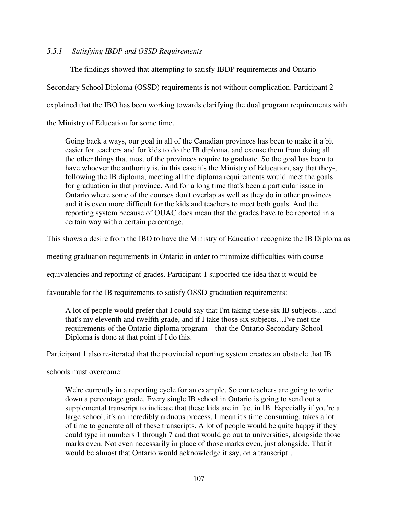# *5.5.1 Satisfying IBDP and OSSD Requirements*

The findings showed that attempting to satisfy IBDP requirements and Ontario

Secondary School Diploma (OSSD) requirements is not without complication. Participant 2

explained that the IBO has been working towards clarifying the dual program requirements with

the Ministry of Education for some time.

Going back a ways, our goal in all of the Canadian provinces has been to make it a bit easier for teachers and for kids to do the IB diploma, and excuse them from doing all the other things that most of the provinces require to graduate. So the goal has been to have whoever the authority is, in this case it's the Ministry of Education, say that they-, following the IB diploma, meeting all the diploma requirements would meet the goals for graduation in that province. And for a long time that's been a particular issue in Ontario where some of the courses don't overlap as well as they do in other provinces and it is even more difficult for the kids and teachers to meet both goals. And the reporting system because of OUAC does mean that the grades have to be reported in a certain way with a certain percentage.

This shows a desire from the IBO to have the Ministry of Education recognize the IB Diploma as

meeting graduation requirements in Ontario in order to minimize difficulties with course

equivalencies and reporting of grades. Participant 1 supported the idea that it would be

favourable for the IB requirements to satisfy OSSD graduation requirements:

A lot of people would prefer that I could say that I'm taking these six IB subjects…and that's my eleventh and twelfth grade, and if I take those six subjects…I've met the requirements of the Ontario diploma program—that the Ontario Secondary School Diploma is done at that point if I do this.

Participant 1 also re-iterated that the provincial reporting system creates an obstacle that IB

schools must overcome:

We're currently in a reporting cycle for an example. So our teachers are going to write down a percentage grade. Every single IB school in Ontario is going to send out a supplemental transcript to indicate that these kids are in fact in IB. Especially if you're a large school, it's an incredibly arduous process, I mean it's time consuming, takes a lot of time to generate all of these transcripts. A lot of people would be quite happy if they could type in numbers 1 through 7 and that would go out to universities, alongside those marks even. Not even necessarily in place of those marks even, just alongside. That it would be almost that Ontario would acknowledge it say, on a transcript…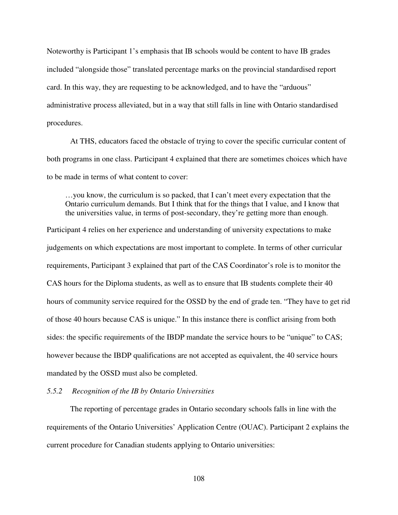Noteworthy is Participant 1's emphasis that IB schools would be content to have IB grades included "alongside those" translated percentage marks on the provincial standardised report card. In this way, they are requesting to be acknowledged, and to have the "arduous" administrative process alleviated, but in a way that still falls in line with Ontario standardised procedures.

 At THS, educators faced the obstacle of trying to cover the specific curricular content of both programs in one class. Participant 4 explained that there are sometimes choices which have to be made in terms of what content to cover:

…you know, the curriculum is so packed, that I can't meet every expectation that the Ontario curriculum demands. But I think that for the things that I value, and I know that the universities value, in terms of post-secondary, they're getting more than enough.

Participant 4 relies on her experience and understanding of university expectations to make judgements on which expectations are most important to complete. In terms of other curricular requirements, Participant 3 explained that part of the CAS Coordinator's role is to monitor the CAS hours for the Diploma students, as well as to ensure that IB students complete their 40 hours of community service required for the OSSD by the end of grade ten. "They have to get rid of those 40 hours because CAS is unique." In this instance there is conflict arising from both sides: the specific requirements of the IBDP mandate the service hours to be "unique" to CAS; however because the IBDP qualifications are not accepted as equivalent, the 40 service hours mandated by the OSSD must also be completed.

### *5.5.2 Recognition of the IB by Ontario Universities*

 The reporting of percentage grades in Ontario secondary schools falls in line with the requirements of the Ontario Universities' Application Centre (OUAC). Participant 2 explains the current procedure for Canadian students applying to Ontario universities: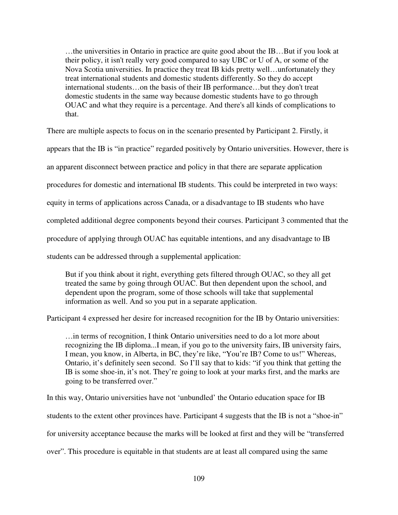…the universities in Ontario in practice are quite good about the IB…But if you look at their policy, it isn't really very good compared to say UBC or U of A, or some of the Nova Scotia universities. In practice they treat IB kids pretty well…unfortunately they treat international students and domestic students differently. So they do accept international students…on the basis of their IB performance…but they don't treat domestic students in the same way because domestic students have to go through OUAC and what they require is a percentage. And there's all kinds of complications to that.

There are multiple aspects to focus on in the scenario presented by Participant 2. Firstly, it

appears that the IB is "in practice" regarded positively by Ontario universities. However, there is

an apparent disconnect between practice and policy in that there are separate application

procedures for domestic and international IB students. This could be interpreted in two ways:

equity in terms of applications across Canada, or a disadvantage to IB students who have

completed additional degree components beyond their courses. Participant 3 commented that the

procedure of applying through OUAC has equitable intentions, and any disadvantage to IB

students can be addressed through a supplemental application:

But if you think about it right, everything gets filtered through OUAC, so they all get treated the same by going through OUAC. But then dependent upon the school, and dependent upon the program, some of those schools will take that supplemental information as well. And so you put in a separate application.

Participant 4 expressed her desire for increased recognition for the IB by Ontario universities:

…in terms of recognition, I think Ontario universities need to do a lot more about recognizing the IB diploma...I mean, if you go to the university fairs, IB university fairs, I mean, you know, in Alberta, in BC, they're like, "You're IB? Come to us!" Whereas, Ontario, it's definitely seen second. So I'll say that to kids: "if you think that getting the IB is some shoe-in, it's not. They're going to look at your marks first, and the marks are going to be transferred over."

In this way, Ontario universities have not 'unbundled' the Ontario education space for IB students to the extent other provinces have. Participant 4 suggests that the IB is not a "shoe-in" for university acceptance because the marks will be looked at first and they will be "transferred over". This procedure is equitable in that students are at least all compared using the same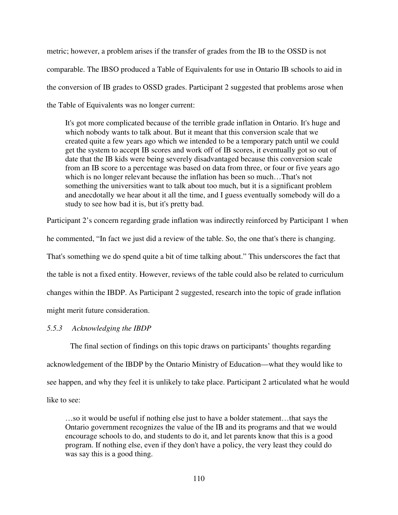metric; however, a problem arises if the transfer of grades from the IB to the OSSD is not comparable. The IBSO produced a Table of Equivalents for use in Ontario IB schools to aid in the conversion of IB grades to OSSD grades. Participant 2 suggested that problems arose when the Table of Equivalents was no longer current:

It's got more complicated because of the terrible grade inflation in Ontario. It's huge and which nobody wants to talk about. But it meant that this conversion scale that we created quite a few years ago which we intended to be a temporary patch until we could get the system to accept IB scores and work off of IB scores, it eventually got so out of date that the IB kids were being severely disadvantaged because this conversion scale from an IB score to a percentage was based on data from three, or four or five years ago which is no longer relevant because the inflation has been so much…That's not something the universities want to talk about too much, but it is a significant problem and anecdotally we hear about it all the time, and I guess eventually somebody will do a study to see how bad it is, but it's pretty bad.

Participant 2's concern regarding grade inflation was indirectly reinforced by Participant 1 when he commented, "In fact we just did a review of the table. So, the one that's there is changing. That's something we do spend quite a bit of time talking about." This underscores the fact that the table is not a fixed entity. However, reviews of the table could also be related to curriculum changes within the IBDP. As Participant 2 suggested, research into the topic of grade inflation might merit future consideration.

## *5.5.3 Acknowledging the IBDP*

The final section of findings on this topic draws on participants' thoughts regarding acknowledgement of the IBDP by the Ontario Ministry of Education—what they would like to see happen, and why they feel it is unlikely to take place. Participant 2 articulated what he would like to see:

…so it would be useful if nothing else just to have a bolder statement…that says the Ontario government recognizes the value of the IB and its programs and that we would encourage schools to do, and students to do it, and let parents know that this is a good program. If nothing else, even if they don't have a policy, the very least they could do was say this is a good thing.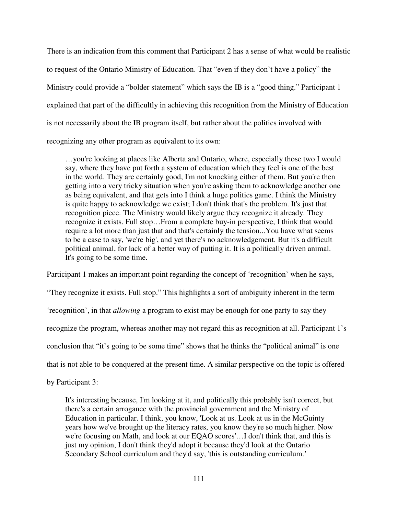There is an indication from this comment that Participant 2 has a sense of what would be realistic to request of the Ontario Ministry of Education. That "even if they don't have a policy" the Ministry could provide a "bolder statement" which says the IB is a "good thing." Participant 1 explained that part of the difficultly in achieving this recognition from the Ministry of Education is not necessarily about the IB program itself, but rather about the politics involved with recognizing any other program as equivalent to its own:

…you're looking at places like Alberta and Ontario, where, especially those two I would say, where they have put forth a system of education which they feel is one of the best in the world. They are certainly good, I'm not knocking either of them. But you're then getting into a very tricky situation when you're asking them to acknowledge another one as being equivalent, and that gets into I think a huge politics game. I think the Ministry is quite happy to acknowledge we exist; I don't think that's the problem. It's just that recognition piece. The Ministry would likely argue they recognize it already. They recognize it exists. Full stop…From a complete buy-in perspective, I think that would require a lot more than just that and that's certainly the tension...You have what seems to be a case to say, 'we're big', and yet there's no acknowledgement. But it's a difficult political animal, for lack of a better way of putting it. It is a politically driven animal. It's going to be some time.

Participant 1 makes an important point regarding the concept of 'recognition' when he says, "They recognize it exists. Full stop." This highlights a sort of ambiguity inherent in the term 'recognition', in that *allowing* a program to exist may be enough for one party to say they recognize the program, whereas another may not regard this as recognition at all. Participant 1's conclusion that "it's going to be some time" shows that he thinks the "political animal" is one that is not able to be conquered at the present time. A similar perspective on the topic is offered

by Participant 3:

It's interesting because, I'm looking at it, and politically this probably isn't correct, but there's a certain arrogance with the provincial government and the Ministry of Education in particular. I think, you know, 'Look at us. Look at us in the McGuinty years how we've brought up the literacy rates, you know they're so much higher. Now we're focusing on Math, and look at our EQAO scores'…I don't think that, and this is just my opinion, I don't think they'd adopt it because they'd look at the Ontario Secondary School curriculum and they'd say, 'this is outstanding curriculum.'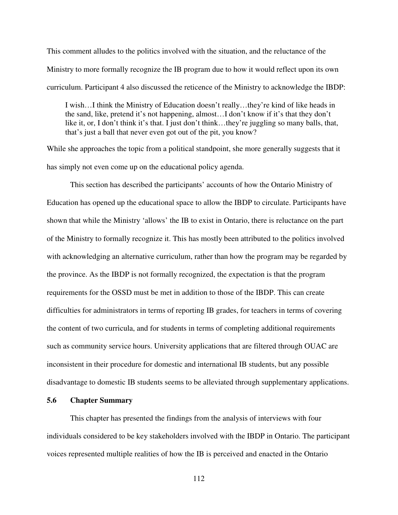This comment alludes to the politics involved with the situation, and the reluctance of the Ministry to more formally recognize the IB program due to how it would reflect upon its own curriculum. Participant 4 also discussed the reticence of the Ministry to acknowledge the IBDP:

I wish…I think the Ministry of Education doesn't really…they're kind of like heads in the sand, like, pretend it's not happening, almost…I don't know if it's that they don't like it, or, I don't think it's that. I just don't think…they're juggling so many balls, that, that's just a ball that never even got out of the pit, you know?

While she approaches the topic from a political standpoint, she more generally suggests that it has simply not even come up on the educational policy agenda.

 This section has described the participants' accounts of how the Ontario Ministry of Education has opened up the educational space to allow the IBDP to circulate. Participants have shown that while the Ministry 'allows' the IB to exist in Ontario, there is reluctance on the part of the Ministry to formally recognize it. This has mostly been attributed to the politics involved with acknowledging an alternative curriculum, rather than how the program may be regarded by the province. As the IBDP is not formally recognized, the expectation is that the program requirements for the OSSD must be met in addition to those of the IBDP. This can create difficulties for administrators in terms of reporting IB grades, for teachers in terms of covering the content of two curricula, and for students in terms of completing additional requirements such as community service hours. University applications that are filtered through OUAC are inconsistent in their procedure for domestic and international IB students, but any possible disadvantage to domestic IB students seems to be alleviated through supplementary applications.

# **5.6 Chapter Summary**

 This chapter has presented the findings from the analysis of interviews with four individuals considered to be key stakeholders involved with the IBDP in Ontario. The participant voices represented multiple realities of how the IB is perceived and enacted in the Ontario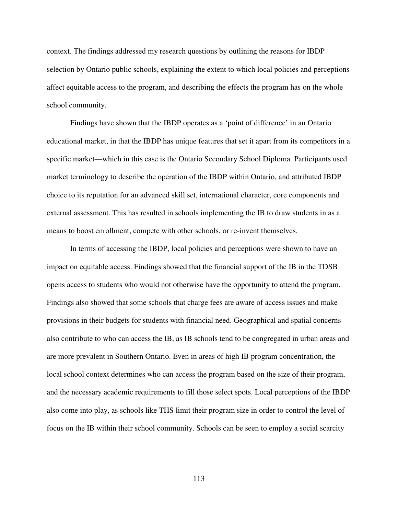context. The findings addressed my research questions by outlining the reasons for IBDP selection by Ontario public schools, explaining the extent to which local policies and perceptions affect equitable access to the program, and describing the effects the program has on the whole school community.

 Findings have shown that the IBDP operates as a 'point of difference' in an Ontario educational market, in that the IBDP has unique features that set it apart from its competitors in a specific market—which in this case is the Ontario Secondary School Diploma. Participants used market terminology to describe the operation of the IBDP within Ontario, and attributed IBDP choice to its reputation for an advanced skill set, international character, core components and external assessment. This has resulted in schools implementing the IB to draw students in as a means to boost enrollment, compete with other schools, or re-invent themselves.

 In terms of accessing the IBDP, local policies and perceptions were shown to have an impact on equitable access. Findings showed that the financial support of the IB in the TDSB opens access to students who would not otherwise have the opportunity to attend the program. Findings also showed that some schools that charge fees are aware of access issues and make provisions in their budgets for students with financial need. Geographical and spatial concerns also contribute to who can access the IB, as IB schools tend to be congregated in urban areas and are more prevalent in Southern Ontario. Even in areas of high IB program concentration, the local school context determines who can access the program based on the size of their program, and the necessary academic requirements to fill those select spots. Local perceptions of the IBDP also come into play, as schools like THS limit their program size in order to control the level of focus on the IB within their school community. Schools can be seen to employ a social scarcity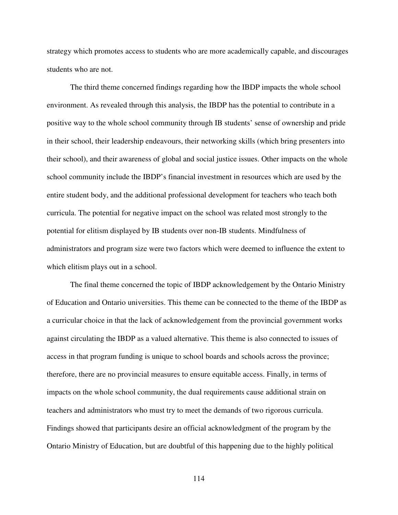strategy which promotes access to students who are more academically capable, and discourages students who are not.

 The third theme concerned findings regarding how the IBDP impacts the whole school environment. As revealed through this analysis, the IBDP has the potential to contribute in a positive way to the whole school community through IB students' sense of ownership and pride in their school, their leadership endeavours, their networking skills (which bring presenters into their school), and their awareness of global and social justice issues. Other impacts on the whole school community include the IBDP's financial investment in resources which are used by the entire student body, and the additional professional development for teachers who teach both curricula. The potential for negative impact on the school was related most strongly to the potential for elitism displayed by IB students over non-IB students. Mindfulness of administrators and program size were two factors which were deemed to influence the extent to which elitism plays out in a school.

 The final theme concerned the topic of IBDP acknowledgement by the Ontario Ministry of Education and Ontario universities. This theme can be connected to the theme of the IBDP as a curricular choice in that the lack of acknowledgement from the provincial government works against circulating the IBDP as a valued alternative. This theme is also connected to issues of access in that program funding is unique to school boards and schools across the province; therefore, there are no provincial measures to ensure equitable access. Finally, in terms of impacts on the whole school community, the dual requirements cause additional strain on teachers and administrators who must try to meet the demands of two rigorous curricula. Findings showed that participants desire an official acknowledgment of the program by the Ontario Ministry of Education, but are doubtful of this happening due to the highly political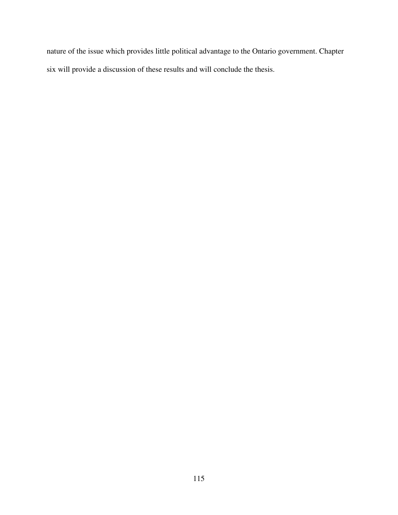nature of the issue which provides little political advantage to the Ontario government. Chapter six will provide a discussion of these results and will conclude the thesis.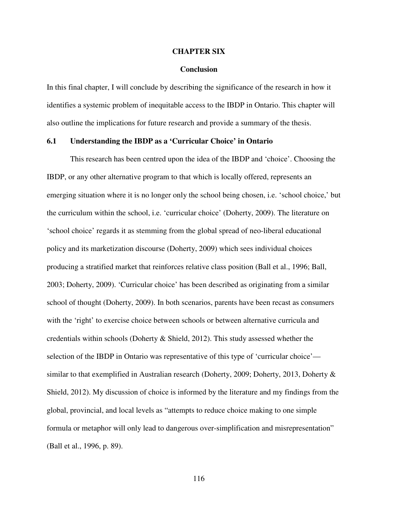#### **CHAPTER SIX**

#### **Conclusion**

In this final chapter, I will conclude by describing the significance of the research in how it identifies a systemic problem of inequitable access to the IBDP in Ontario. This chapter will also outline the implications for future research and provide a summary of the thesis.

### **6.1 Understanding the IBDP as a 'Curricular Choice' in Ontario**

 This research has been centred upon the idea of the IBDP and 'choice'. Choosing the IBDP, or any other alternative program to that which is locally offered, represents an emerging situation where it is no longer only the school being chosen, i.e. 'school choice,' but the curriculum within the school, i.e. 'curricular choice' (Doherty, 2009). The literature on 'school choice' regards it as stemming from the global spread of neo-liberal educational policy and its marketization discourse (Doherty, 2009) which sees individual choices producing a stratified market that reinforces relative class position (Ball et al., 1996; Ball, 2003; Doherty, 2009). 'Curricular choice' has been described as originating from a similar school of thought (Doherty, 2009). In both scenarios, parents have been recast as consumers with the 'right' to exercise choice between schools or between alternative curricula and credentials within schools (Doherty & Shield, 2012). This study assessed whether the selection of the IBDP in Ontario was representative of this type of 'curricular choice' similar to that exemplified in Australian research (Doherty, 2009; Doherty, 2013, Doherty & Shield, 2012). My discussion of choice is informed by the literature and my findings from the global, provincial, and local levels as "attempts to reduce choice making to one simple formula or metaphor will only lead to dangerous over-simplification and misrepresentation" (Ball et al., 1996, p. 89).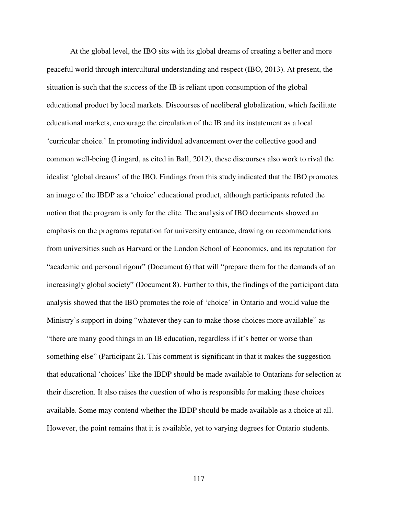At the global level, the IBO sits with its global dreams of creating a better and more peaceful world through intercultural understanding and respect (IBO, 2013). At present, the situation is such that the success of the IB is reliant upon consumption of the global educational product by local markets. Discourses of neoliberal globalization, which facilitate educational markets, encourage the circulation of the IB and its instatement as a local 'curricular choice.' In promoting individual advancement over the collective good and common well-being (Lingard, as cited in Ball, 2012), these discourses also work to rival the idealist 'global dreams' of the IBO. Findings from this study indicated that the IBO promotes an image of the IBDP as a 'choice' educational product, although participants refuted the notion that the program is only for the elite. The analysis of IBO documents showed an emphasis on the programs reputation for university entrance, drawing on recommendations from universities such as Harvard or the London School of Economics, and its reputation for "academic and personal rigour" (Document 6) that will "prepare them for the demands of an increasingly global society" (Document 8). Further to this, the findings of the participant data analysis showed that the IBO promotes the role of 'choice' in Ontario and would value the Ministry's support in doing "whatever they can to make those choices more available" as "there are many good things in an IB education, regardless if it's better or worse than something else" (Participant 2). This comment is significant in that it makes the suggestion that educational 'choices' like the IBDP should be made available to Ontarians for selection at their discretion. It also raises the question of who is responsible for making these choices available. Some may contend whether the IBDP should be made available as a choice at all. However, the point remains that it is available, yet to varying degrees for Ontario students.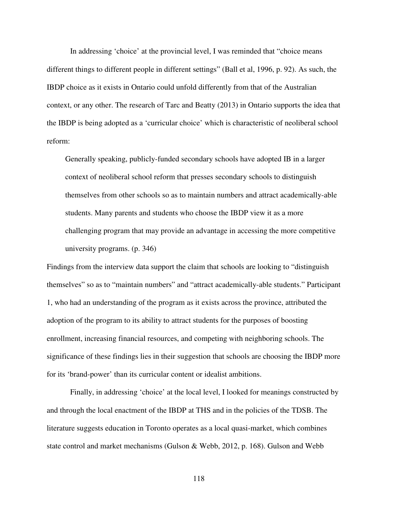In addressing 'choice' at the provincial level, I was reminded that "choice means different things to different people in different settings" (Ball et al, 1996, p. 92). As such, the IBDP choice as it exists in Ontario could unfold differently from that of the Australian context, or any other. The research of Tarc and Beatty (2013) in Ontario supports the idea that the IBDP is being adopted as a 'curricular choice' which is characteristic of neoliberal school reform:

Generally speaking, publicly-funded secondary schools have adopted IB in a larger context of neoliberal school reform that presses secondary schools to distinguish themselves from other schools so as to maintain numbers and attract academically-able students. Many parents and students who choose the IBDP view it as a more challenging program that may provide an advantage in accessing the more competitive university programs. (p. 346)

Findings from the interview data support the claim that schools are looking to "distinguish themselves" so as to "maintain numbers" and "attract academically-able students." Participant 1, who had an understanding of the program as it exists across the province, attributed the adoption of the program to its ability to attract students for the purposes of boosting enrollment, increasing financial resources, and competing with neighboring schools. The significance of these findings lies in their suggestion that schools are choosing the IBDP more for its 'brand-power' than its curricular content or idealist ambitions.

 Finally, in addressing 'choice' at the local level, I looked for meanings constructed by and through the local enactment of the IBDP at THS and in the policies of the TDSB. The literature suggests education in Toronto operates as a local quasi-market, which combines state control and market mechanisms (Gulson & Webb, 2012, p. 168). Gulson and Webb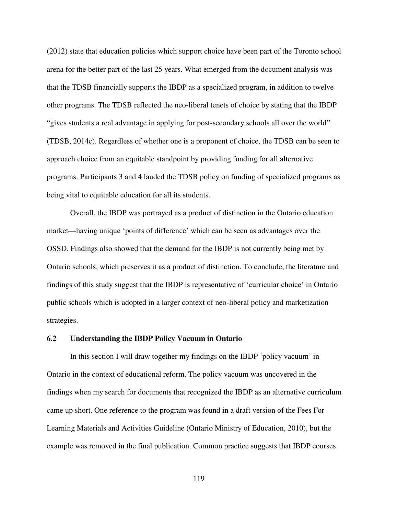(2012) state that education policies which support choice have been part of the Toronto school arena for the better part of the last 25 years. What emerged from the document analysis was that the TDSB financially supports the IBDP as a specialized program, in addition to twelve other programs. The TDSB reflected the neo-liberal tenets of choice by stating that the IBDP "gives students a real advantage in applying for post-secondary schools all over the world" (TDSB, 2014c). Regardless of whether one is a proponent of choice, the TDSB can be seen to approach choice from an equitable standpoint by providing funding for all alternative programs. Participants 3 and 4 lauded the TDSB policy on funding of specialized programs as being vital to equitable education for all its students.

 Overall, the IBDP was portrayed as a product of distinction in the Ontario education market—having unique 'points of difference' which can be seen as advantages over the OSSD. Findings also showed that the demand for the IBDP is not currently being met by Ontario schools, which preserves it as a product of distinction. To conclude, the literature and findings of this study suggest that the IBDP is representative of 'curricular choice' in Ontario public schools which is adopted in a larger context of neo-liberal policy and marketization strategies.

### **6.2 Understanding the IBDP Policy Vacuum in Ontario**

 In this section I will draw together my findings on the IBDP 'policy vacuum' in Ontario in the context of educational reform. The policy vacuum was uncovered in the findings when my search for documents that recognized the IBDP as an alternative curriculum came up short. One reference to the program was found in a draft version of the Fees For Learning Materials and Activities Guideline (Ontario Ministry of Education, 2010), but the example was removed in the final publication. Common practice suggests that IBDP courses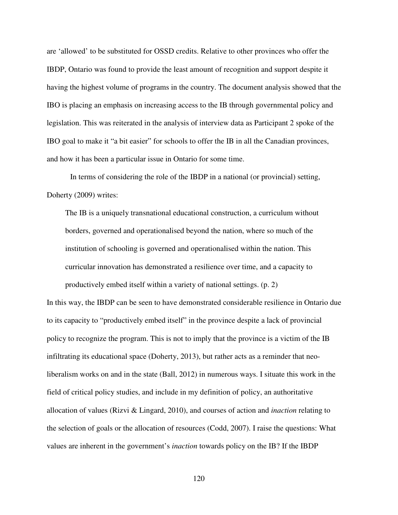are 'allowed' to be substituted for OSSD credits. Relative to other provinces who offer the IBDP, Ontario was found to provide the least amount of recognition and support despite it having the highest volume of programs in the country. The document analysis showed that the IBO is placing an emphasis on increasing access to the IB through governmental policy and legislation. This was reiterated in the analysis of interview data as Participant 2 spoke of the IBO goal to make it "a bit easier" for schools to offer the IB in all the Canadian provinces, and how it has been a particular issue in Ontario for some time.

 In terms of considering the role of the IBDP in a national (or provincial) setting, Doherty (2009) writes:

The IB is a uniquely transnational educational construction, a curriculum without borders, governed and operationalised beyond the nation, where so much of the institution of schooling is governed and operationalised within the nation. This curricular innovation has demonstrated a resilience over time, and a capacity to productively embed itself within a variety of national settings. (p. 2)

In this way, the IBDP can be seen to have demonstrated considerable resilience in Ontario due to its capacity to "productively embed itself" in the province despite a lack of provincial policy to recognize the program. This is not to imply that the province is a victim of the IB infiltrating its educational space (Doherty, 2013), but rather acts as a reminder that neoliberalism works on and in the state (Ball, 2012) in numerous ways. I situate this work in the field of critical policy studies, and include in my definition of policy, an authoritative allocation of values (Rizvi & Lingard, 2010), and courses of action and *inaction* relating to the selection of goals or the allocation of resources (Codd, 2007). I raise the questions: What values are inherent in the government's *inaction* towards policy on the IB? If the IBDP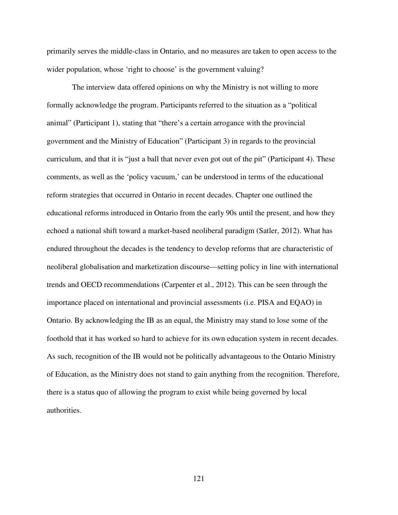primarily serves the middle-class in Ontario, and no measures are taken to open access to the wider population, whose 'right to choose' is the government valuing?

 The interview data offered opinions on why the Ministry is not willing to more formally acknowledge the program. Participants referred to the situation as a "political animal" (Participant 1), stating that "there's a certain arrogance with the provincial government and the Ministry of Education" (Participant 3) in regards to the provincial curriculum, and that it is "just a ball that never even got out of the pit" (Participant 4). These comments, as well as the 'policy vacuum,' can be understood in terms of the educational reform strategies that occurred in Ontario in recent decades. Chapter one outlined the educational reforms introduced in Ontario from the early 90s until the present, and how they echoed a national shift toward a market-based neoliberal paradigm (Satler, 2012). What has endured throughout the decades is the tendency to develop reforms that are characteristic of neoliberal globalisation and marketization discourse—setting policy in line with international trends and OECD recommendations (Carpenter et al., 2012). This can be seen through the importance placed on international and provincial assessments (i.e. PISA and EQAO) in Ontario. By acknowledging the IB as an equal, the Ministry may stand to lose some of the foothold that it has worked so hard to achieve for its own education system in recent decades. As such, recognition of the IB would not be politically advantageous to the Ontario Ministry of Education, as the Ministry does not stand to gain anything from the recognition. Therefore, there is a status quo of allowing the program to exist while being governed by local authorities.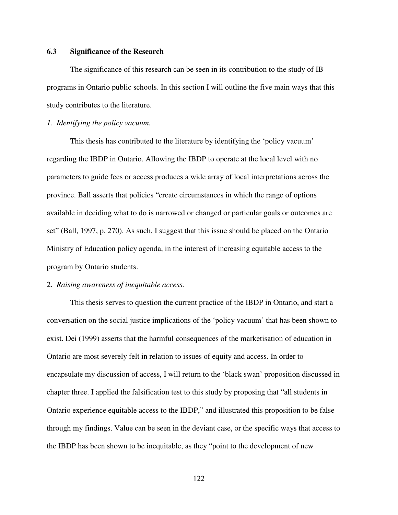# **6.3 Significance of the Research**

The significance of this research can be seen in its contribution to the study of IB programs in Ontario public schools. In this section I will outline the five main ways that this study contributes to the literature.

## *1. Identifying the policy vacuum.*

This thesis has contributed to the literature by identifying the 'policy vacuum' regarding the IBDP in Ontario. Allowing the IBDP to operate at the local level with no parameters to guide fees or access produces a wide array of local interpretations across the province. Ball asserts that policies "create circumstances in which the range of options available in deciding what to do is narrowed or changed or particular goals or outcomes are set" (Ball, 1997, p. 270). As such, I suggest that this issue should be placed on the Ontario Ministry of Education policy agenda, in the interest of increasing equitable access to the program by Ontario students.

#### 2. *Raising awareness of inequitable access.*

 This thesis serves to question the current practice of the IBDP in Ontario, and start a conversation on the social justice implications of the 'policy vacuum' that has been shown to exist. Dei (1999) asserts that the harmful consequences of the marketisation of education in Ontario are most severely felt in relation to issues of equity and access. In order to encapsulate my discussion of access, I will return to the 'black swan' proposition discussed in chapter three. I applied the falsification test to this study by proposing that "all students in Ontario experience equitable access to the IBDP," and illustrated this proposition to be false through my findings. Value can be seen in the deviant case, or the specific ways that access to the IBDP has been shown to be inequitable, as they "point to the development of new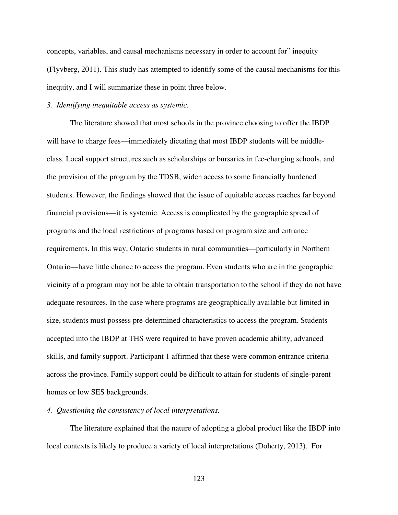concepts, variables, and causal mechanisms necessary in order to account for" inequity (Flyvberg, 2011). This study has attempted to identify some of the causal mechanisms for this inequity, and I will summarize these in point three below.

# *3. Identifying inequitable access as systemic.*

 The literature showed that most schools in the province choosing to offer the IBDP will have to charge fees—immediately dictating that most IBDP students will be middleclass. Local support structures such as scholarships or bursaries in fee-charging schools, and the provision of the program by the TDSB, widen access to some financially burdened students. However, the findings showed that the issue of equitable access reaches far beyond financial provisions—it is systemic. Access is complicated by the geographic spread of programs and the local restrictions of programs based on program size and entrance requirements. In this way, Ontario students in rural communities—particularly in Northern Ontario—have little chance to access the program. Even students who are in the geographic vicinity of a program may not be able to obtain transportation to the school if they do not have adequate resources. In the case where programs are geographically available but limited in size, students must possess pre-determined characteristics to access the program. Students accepted into the IBDP at THS were required to have proven academic ability, advanced skills, and family support. Participant 1 affirmed that these were common entrance criteria across the province. Family support could be difficult to attain for students of single-parent homes or low SES backgrounds.

#### *4. Questioning the consistency of local interpretations.*

 The literature explained that the nature of adopting a global product like the IBDP into local contexts is likely to produce a variety of local interpretations (Doherty, 2013). For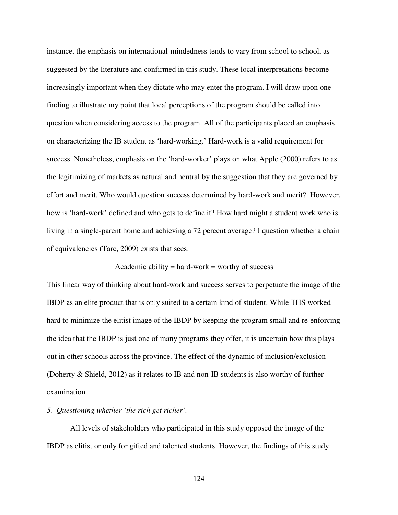instance, the emphasis on international-mindedness tends to vary from school to school, as suggested by the literature and confirmed in this study. These local interpretations become increasingly important when they dictate who may enter the program. I will draw upon one finding to illustrate my point that local perceptions of the program should be called into question when considering access to the program. All of the participants placed an emphasis on characterizing the IB student as 'hard-working.' Hard-work is a valid requirement for success. Nonetheless, emphasis on the 'hard-worker' plays on what Apple (2000) refers to as the legitimizing of markets as natural and neutral by the suggestion that they are governed by effort and merit. Who would question success determined by hard-work and merit? However, how is 'hard-work' defined and who gets to define it? How hard might a student work who is living in a single-parent home and achieving a 72 percent average? I question whether a chain of equivalencies (Tarc, 2009) exists that sees:

# Academic ability  $=$  hard-work  $=$  worthy of success

This linear way of thinking about hard-work and success serves to perpetuate the image of the IBDP as an elite product that is only suited to a certain kind of student. While THS worked hard to minimize the elitist image of the IBDP by keeping the program small and re-enforcing the idea that the IBDP is just one of many programs they offer, it is uncertain how this plays out in other schools across the province. The effect of the dynamic of inclusion/exclusion (Doherty & Shield, 2012) as it relates to IB and non-IB students is also worthy of further examination.

#### *5. Questioning whether 'the rich get richer'.*

 All levels of stakeholders who participated in this study opposed the image of the IBDP as elitist or only for gifted and talented students. However, the findings of this study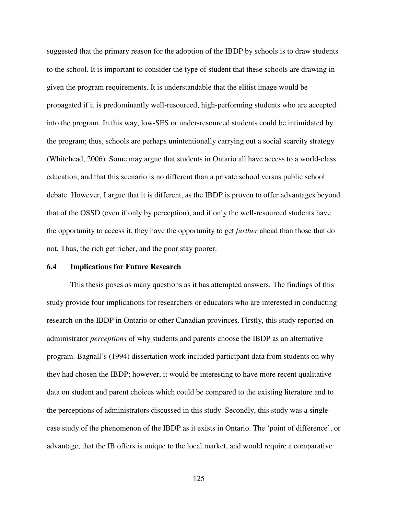suggested that the primary reason for the adoption of the IBDP by schools is to draw students to the school. It is important to consider the type of student that these schools are drawing in given the program requirements. It is understandable that the elitist image would be propagated if it is predominantly well-resourced, high-performing students who are accepted into the program. In this way, low-SES or under-resourced students could be intimidated by the program; thus, schools are perhaps unintentionally carrying out a social scarcity strategy (Whitehead, 2006). Some may argue that students in Ontario all have access to a world-class education, and that this scenario is no different than a private school versus public school debate. However, I argue that it is different, as the IBDP is proven to offer advantages beyond that of the OSSD (even if only by perception), and if only the well-resourced students have the opportunity to access it, they have the opportunity to get *further* ahead than those that do not. Thus, the rich get richer, and the poor stay poorer.

### **6.4 Implications for Future Research**

 This thesis poses as many questions as it has attempted answers. The findings of this study provide four implications for researchers or educators who are interested in conducting research on the IBDP in Ontario or other Canadian provinces. Firstly, this study reported on administrator *perceptions* of why students and parents choose the IBDP as an alternative program. Bagnall's (1994) dissertation work included participant data from students on why they had chosen the IBDP; however, it would be interesting to have more recent qualitative data on student and parent choices which could be compared to the existing literature and to the perceptions of administrators discussed in this study. Secondly, this study was a singlecase study of the phenomenon of the IBDP as it exists in Ontario. The 'point of difference', or advantage, that the IB offers is unique to the local market, and would require a comparative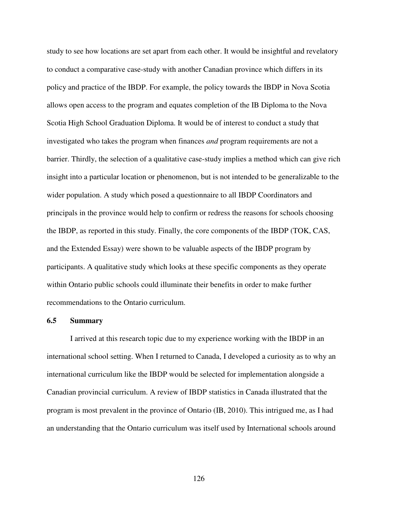study to see how locations are set apart from each other. It would be insightful and revelatory to conduct a comparative case-study with another Canadian province which differs in its policy and practice of the IBDP. For example, the policy towards the IBDP in Nova Scotia allows open access to the program and equates completion of the IB Diploma to the Nova Scotia High School Graduation Diploma. It would be of interest to conduct a study that investigated who takes the program when finances *and* program requirements are not a barrier. Thirdly, the selection of a qualitative case-study implies a method which can give rich insight into a particular location or phenomenon, but is not intended to be generalizable to the wider population. A study which posed a questionnaire to all IBDP Coordinators and principals in the province would help to confirm or redress the reasons for schools choosing the IBDP, as reported in this study. Finally, the core components of the IBDP (TOK, CAS, and the Extended Essay) were shown to be valuable aspects of the IBDP program by participants. A qualitative study which looks at these specific components as they operate within Ontario public schools could illuminate their benefits in order to make further recommendations to the Ontario curriculum.

### **6.5 Summary**

 I arrived at this research topic due to my experience working with the IBDP in an international school setting. When I returned to Canada, I developed a curiosity as to why an international curriculum like the IBDP would be selected for implementation alongside a Canadian provincial curriculum. A review of IBDP statistics in Canada illustrated that the program is most prevalent in the province of Ontario (IB, 2010). This intrigued me, as I had an understanding that the Ontario curriculum was itself used by International schools around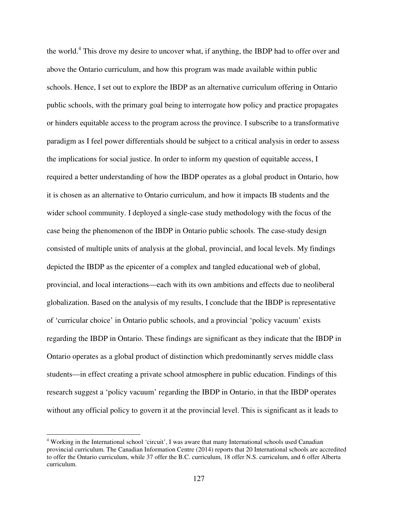the world.<sup>4</sup> This drove my desire to uncover what, if anything, the IBDP had to offer over and above the Ontario curriculum, and how this program was made available within public schools. Hence, I set out to explore the IBDP as an alternative curriculum offering in Ontario public schools, with the primary goal being to interrogate how policy and practice propagates or hinders equitable access to the program across the province. I subscribe to a transformative paradigm as I feel power differentials should be subject to a critical analysis in order to assess the implications for social justice. In order to inform my question of equitable access, I required a better understanding of how the IBDP operates as a global product in Ontario, how it is chosen as an alternative to Ontario curriculum, and how it impacts IB students and the wider school community. I deployed a single-case study methodology with the focus of the case being the phenomenon of the IBDP in Ontario public schools. The case-study design consisted of multiple units of analysis at the global, provincial, and local levels. My findings depicted the IBDP as the epicenter of a complex and tangled educational web of global, provincial, and local interactions—each with its own ambitions and effects due to neoliberal globalization. Based on the analysis of my results, I conclude that the IBDP is representative of 'curricular choice' in Ontario public schools, and a provincial 'policy vacuum' exists regarding the IBDP in Ontario. These findings are significant as they indicate that the IBDP in Ontario operates as a global product of distinction which predominantly serves middle class students—in effect creating a private school atmosphere in public education. Findings of this research suggest a 'policy vacuum' regarding the IBDP in Ontario, in that the IBDP operates without any official policy to govern it at the provincial level. This is significant as it leads to

 $\overline{a}$ 

<sup>&</sup>lt;sup>4</sup> Working in the International school 'circuit', I was aware that many International schools used Canadian provincial curriculum. The Canadian Information Centre (2014) reports that 20 International schools are accredited to offer the Ontario curriculum, while 37 offer the B.C. curriculum, 18 offer N.S. curriculum, and 6 offer Alberta curriculum.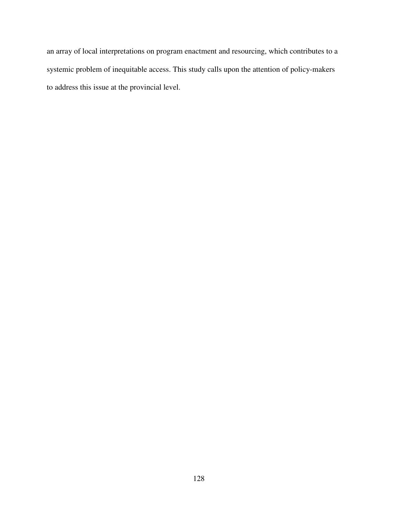an array of local interpretations on program enactment and resourcing, which contributes to a systemic problem of inequitable access. This study calls upon the attention of policy-makers to address this issue at the provincial level.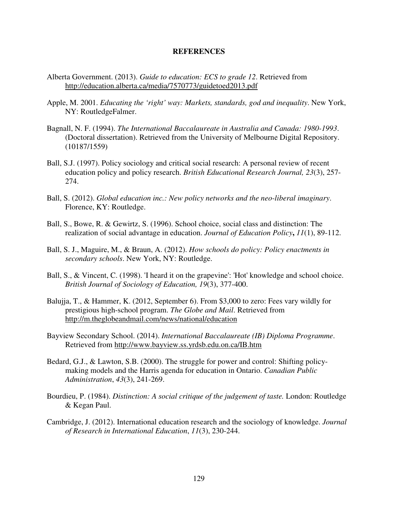### **REFERENCES**

- Alberta Government. (2013). *Guide to education: ECS to grade 12*. Retrieved from http://education.alberta.ca/media/7570773/guidetoed2013.pdf
- Apple, M. 2001. *Educating the 'right' way: Markets, standards, god and inequality*. New York, NY: RoutledgeFalmer.
- Bagnall, N. F. (1994). *The International Baccalaureate in Australia and Canada: 1980-1993*. (Doctoral dissertation). Retrieved from the University of Melbourne Digital Repository. (10187/1559)
- Ball, S.J. (1997). Policy sociology and critical social research: A personal review of recent education policy and policy research. *British Educational Research Journal, 23*(3), 257- 274.
- Ball, S. (2012). *Global education inc.: New policy networks and the neo-liberal imaginary*. Florence, KY: Routledge.
- Ball, S., Bowe, R. & Gewirtz, S. (1996). School choice, social class and distinction: The realization of social advantage in education. *Journal of Education Policy***,** *11*(1), 89-112.
- Ball, S. J., Maguire, M., & Braun, A. (2012). *How schools do policy: Policy enactments in secondary schools*. New York, NY: Routledge.
- Ball, S., & Vincent, C. (1998). 'I heard it on the grapevine': 'Hot' knowledge and school choice. *British Journal of Sociology of Education, 19*(3), 377-400.
- Balujja, T., & Hammer, K. (2012, September 6). From \$3,000 to zero: Fees vary wildly for prestigious high-school program. *The Globe and Mail*. Retrieved from http://m.theglobeandmail.com/news/national/education
- Bayview Secondary School. (2014). *International Baccalaureate (IB) Diploma Programme*. Retrieved from http://www.bayview.ss.yrdsb.edu.on.ca/IB.htm
- Bedard, G.J., & Lawton, S.B. (2000). The struggle for power and control: Shifting policymaking models and the Harris agenda for education in Ontario. *Canadian Public Administration*, *43*(3), 241-269.
- Bourdieu, P. (1984). *Distinction: A social critique of the judgement of taste.* London: Routledge & Kegan Paul.
- Cambridge, J. (2012). International education research and the sociology of knowledge. *Journal of Research in International Education*, *11*(3), 230-244.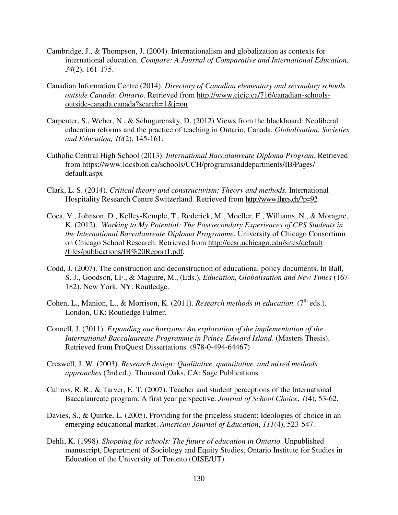- Cambridge, J., & Thompson, J. (2004). Internationalism and globalization as contexts for international education. *Compare: A Journal of Comparative and International Education, 34*(2), 161-175.
- Canadian Information Centre (2014). *Directory of Canadian elementary and secondary schools outside Canada: Ontario*. Retrieved from http://www.cicic.ca/716/canadian-schoolsoutside-canada.canada?search=1&j=on
- Carpenter, S., Weber, N., & Schugurensky, D. (2012) Views from the blackboard: Neoliberal education reforms and the practice of teaching in Ontario, Canada. *Globalisation*, *Societies and Education, 10*(2), 145-161.
- Catholic Central High School (2013). *International Baccalaureate Diploma Program*. Retrieved from https://www.ldcsb.on.ca/schools/CCH/programsanddepartments/IB/Pages/ default.aspx
- Clark, L. S. (2014). *Critical theory and constructivism: Theory and methods.* International Hospitality Research Centre Switzerland. Retrieved from http://www.ihrcs.ch/?p=92.
- Coca, V., Johnson, D., Kelley-Kemple, T., Roderick, M., Moeller, E., Williams, N., & Moragne, K. (2012). *Working to My Potential: The Postsecondary Experiences of CPS Students in the International Baccalaureate Diploma Programme*. University of Chicago Consortium on Chicago School Research. Retrieved from http://ccsr.uchicago.edu/sites/default /files/publications/IB%20Report1.pdf.
- Codd, J. (2007). The construction and deconstruction of educational policy documents. In Ball, S. J., Goodson, I.F., & Maguire, M., (Eds.), *Education, Globalisation and New Times* (167- 182). New York, NY: Routledge.
- Cohen, L., Manion, L., & Morrison, K. (2011). *Research methods in education*. (7<sup>th</sup> eds.). London, UK: Routledge Falmer.
- Connell, J. (2011). *Expanding our horizons: An exploration of the implementation of the International Baccalaureate Programme in Prince Edward Island*. (Masters Thesis). Retrieved from ProQuest Dissertations. (978-0-494-64467)
- Creswell, J. W. (2003). *Research design: Qualitative, quantitative, and mixed methods approaches* (2nd ed.). Thousand Oaks, CA: Sage Publications.
- Culross, R. R., & Tarver, E. T. (2007). Teacher and student perceptions of the International Baccalaureate program: A first year perspective. *Journal of School Choice*, *1*(4), 53-62.
- Davies, S., & Quirke, L. (2005). Providing for the priceless student: Ideologies of choice in an emerging educational market. *American Journal of Education*, *111*(4), 523-547.
- Dehli, K. (1998). *Shopping for schools: The future of education in Ontario.* Unpublished manuscript, Department of Sociology and Equity Studies, Ontario Institute for Studies in Education of the University of Toronto (OISE/UT).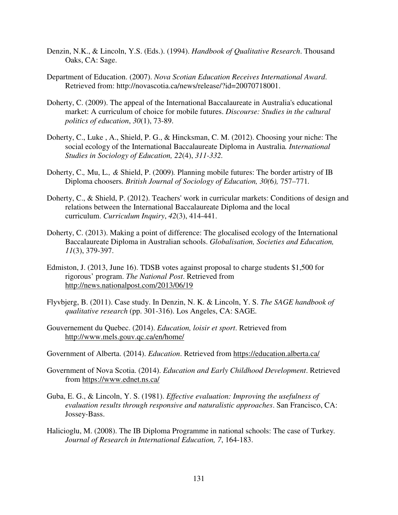- Denzin, N.K., & Lincoln, Y.S. (Eds.). (1994). *Handbook of Qualitative Research*. Thousand Oaks, CA: Sage.
- Department of Education. (2007). *Nova Scotian Education Receives International Award*. Retrieved from: http://novascotia.ca/news/release/?id=20070718001.
- Doherty, C. (2009). The appeal of the International Baccalaureate in Australia's educational market: A curriculum of choice for mobile futures. *Discourse: Studies in the cultural politics of education*, *30*(1), 73-89.
- Doherty, C., Luke , A., Shield, P. G., & Hincksman, C. M. (2012). Choosing your niche: The social ecology of the International Baccalaureate Diploma in Australia*. International Studies in Sociology of Education, 22*(4), *311-332.*
- Doherty, C.*,* Mu, L.*, &* Shield, P. (2009)*.* Planning mobile futures: The border artistry of IB Diploma choosers*. British Journal of Sociology of Education, 30(*6*),* 757*–*771*.*
- Doherty, C., & Shield, P. (2012). Teachers' work in curricular markets: Conditions of design and relations between the International Baccalaureate Diploma and the local curriculum. *Curriculum Inquiry*, *42*(3), 414-441.
- Doherty, C. (2013). Making a point of difference: The glocalised ecology of the International Baccalaureate Diploma in Australian schools. *Globalisation, Societies and Education, 11*(3), 379-397.
- Edmiston, J. (2013, June 16). TDSB votes against proposal to charge students \$1,500 for rigorous' program. *The National Post*. Retrieved from http://news.nationalpost.com/2013/06/19
- Flyvbjerg, B. (2011). Case study. In Denzin, N. K. & Lincoln, Y. S. *The SAGE handbook of qualitative research* (pp. 301-316). Los Angeles, CA: SAGE.
- Gouvernement du Quebec. (2014). *Education, loisir et sport*. Retrieved from http://www.mels.gouv.qc.ca/en/home/
- Government of Alberta. (2014). *Education*. Retrieved from https://education.alberta.ca/
- Government of Nova Scotia. (2014). *Education and Early Childhood Development*. Retrieved from https://www.ednet.ns.ca/
- Guba, E. G., & Lincoln, Y. S. (1981). *Effective evaluation: Improving the usefulness of evaluation results through responsive and naturalistic approaches*. San Francisco, CA: Jossey-Bass.
- Halicioglu, M. (2008). The IB Diploma Programme in national schools: The case of Turkey*. Journal of Research in International Education, 7*, 164-183.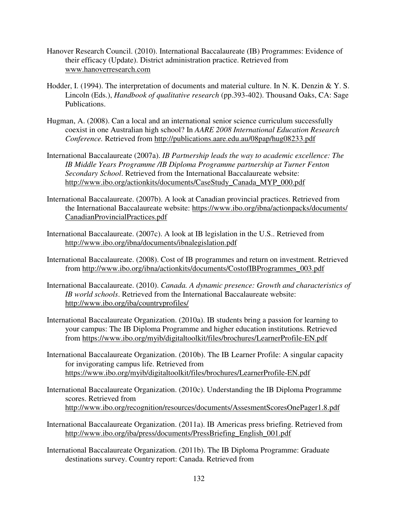- Hanover Research Council. (2010). International Baccalaureate (IB) Programmes: Evidence of their efficacy (Update). District administration practice. Retrieved from www.hanoverresearch.com
- Hodder, I. (1994). The interpretation of documents and material culture. In N. K. Denzin & Y. S. Lincoln (Eds.), *Handbook of qualitative research* (pp.393-402). Thousand Oaks, CA: Sage Publications.
- Hugman, A. (2008). Can a local and an international senior science curriculum successfully coexist in one Australian high school? In *AARE 2008 International Education Research Conference.* Retrieved from http://publications.aare.edu.au/08pap/hug08233.pdf
- International Baccalaureate (2007a). *IB Partnership leads the way to academic excellence: The IB Middle Years Programme /IB Diploma Programme partnership at Turner Fenton Secondary School*. Retrieved from the International Baccalaureate website: http://www.ibo.org/actionkits/documents/CaseStudy\_Canada\_MYP\_000.pdf
- International Baccalaureate. (2007b). A look at Canadian provincial practices. Retrieved from the International Baccalaureate website: https://www.ibo.org/ibna/actionpacks/documents/ CanadianProvincialPractices.pdf
- International Baccalaureate. (2007c). A look at IB legislation in the U.S.. Retrieved from http://www.ibo.org/ibna/documents/ibnalegislation.pdf
- International Baccalaureate. (2008). Cost of IB programmes and return on investment. Retrieved from http://www.ibo.org/ibna/actionkits/documents/CostofIBProgrammes\_003.pdf
- International Baccalaureate. (2010). *Canada. A dynamic presence: Growth and characteristics of IB world schools*. Retrieved from the International Baccalaureate website: http://www.ibo.org/iba/countryprofiles/
- International Baccalaureate Organization. (2010a). IB students bring a passion for learning to your campus: The IB Diploma Programme and higher education institutions. Retrieved from https://www.ibo.org/myib/digitaltoolkit/files/brochures/LearnerProfile-EN.pdf
- International Baccalaureate Organization. (2010b). The IB Learner Profile: A singular capacity for invigorating campus life. Retrieved from https://www.ibo.org/myib/digitaltoolkit/files/brochures/LearnerProfile-EN.pdf
- International Baccalaureate Organization. (2010c). Understanding the IB Diploma Programme scores. Retrieved from http://www.ibo.org/recognition/resources/documents/AssesmentScoresOnePager1.8.pdf
- International Baccalaureate Organization. (2011a). IB Americas press briefing. Retrieved from http://www.ibo.org/iba/press/documents/PressBriefing\_English\_001.pdf
- International Baccalaureate Organization. (2011b). The IB Diploma Programme: Graduate destinations survey. Country report: Canada. Retrieved from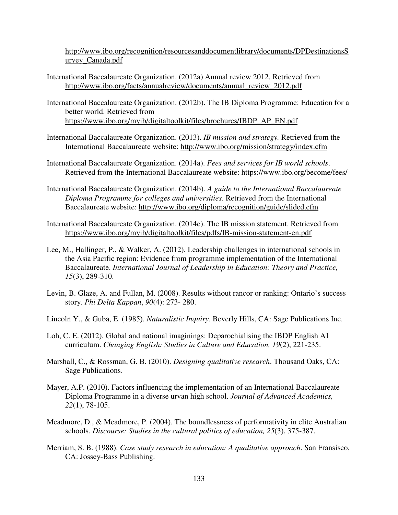http://www.ibo.org/recognition/resourcesanddocumentlibrary/documents/DPDestinationsS urvey\_Canada.pdf

- International Baccalaureate Organization. (2012a) Annual review 2012. Retrieved from http://www.ibo.org/facts/annualreview/documents/annual\_review\_2012.pdf
- International Baccalaureate Organization. (2012b). The IB Diploma Programme: Education for a better world. Retrieved from https://www.ibo.org/myib/digitaltoolkit/files/brochures/IBDP\_AP\_EN.pdf
- International Baccalaureate Organization. (2013). *IB mission and strategy.* Retrieved from the International Baccalaureate website: http://www.ibo.org/mission/strategy/index.cfm
- International Baccalaureate Organization. (2014a). *Fees and services for IB world schools*. Retrieved from the International Baccalaureate website: https://www.ibo.org/become/fees/
- International Baccalaureate Organization. (2014b). *A guide to the International Baccalaureate Diploma Programme for colleges and universities*. Retrieved from the International Baccalaureate website: http://www.ibo.org/diploma/recognition/guide/slided.cfm
- International Baccalaureate Organization. (2014c). The IB mission statement. Retrieved from https://www.ibo.org/myib/digitaltoolkit/files/pdfs/IB-mission-statement-en.pdf
- Lee, M., Hallinger, P., & Walker, A. (2012). Leadership challenges in international schools in the Asia Pacific region: Evidence from programme implementation of the International Baccalaureate. *International Journal of Leadership in Education: Theory and Practice, 15*(3), 289-310.
- Levin, B. Glaze, A. and Fullan, M. (2008). Results without rancor or ranking: Ontario's success story*. Phi Delta Kappan*, *90*(4): 273- 280.
- Lincoln Y., & Guba, E. (1985). *Naturalistic Inquiry*. Beverly Hills, CA: Sage Publications Inc.
- Loh, C. E. (2012). Global and national imaginings: Deparochialising the IBDP English A1 curriculum. *Changing English: Studies in Culture and Education, 19*(2), 221-235.
- Marshall, C., & Rossman, G. B. (2010). *Designing qualitative research*. Thousand Oaks, CA: Sage Publications.
- Mayer, A.P. (2010). Factors influencing the implementation of an International Baccalaureate Diploma Programme in a diverse urvan high school. *Journal of Advanced Academics, 22*(1), 78-105.
- Meadmore, D., & Meadmore, P. (2004). The boundlessness of performativity in elite Australian schools. *Discourse: Studies in the cultural politics of education, 25*(3), 375-387.
- Merriam, S. B. (1988). *Case study research in education: A qualitative approach*. San Fransisco, CA: Jossey-Bass Publishing.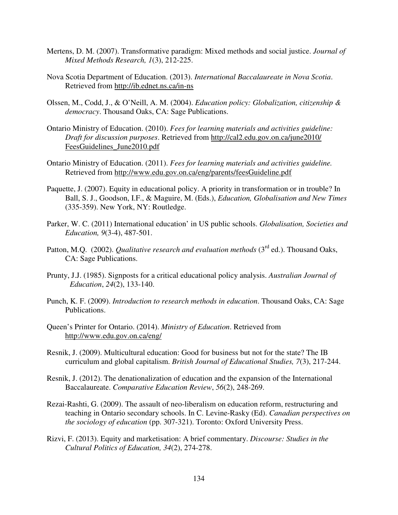- Mertens, D. M. (2007). Transformative paradigm: Mixed methods and social justice. *Journal of Mixed Methods Research, 1*(3), 212-225.
- Nova Scotia Department of Education. (2013). *International Baccalaureate in Nova Scotia*. Retrieved from http://ib.ednet.ns.ca/in-ns
- Olssen, M., Codd, J., & O'Neill, A. M. (2004). *Education policy: Globalization, citizenship & democracy*. Thousand Oaks, CA: Sage Publications.
- Ontario Ministry of Education. (2010). *Fees for learning materials and activities guideline: Draft for discussion purposes*. Retrieved from http://cal2.edu.gov.on.ca/june2010/ FeesGuidelines\_June2010.pdf
- Ontario Ministry of Education. (2011). *Fees for learning materials and activities guideline.* Retrieved from http://www.edu.gov.on.ca/eng/parents/feesGuideline.pdf
- Paquette, J. (2007). Equity in educational policy. A priority in transformation or in trouble? In Ball, S. J., Goodson, I.F., & Maguire, M. (Eds.), *Education, Globalisation and New Times* (335-359). New York, NY: Routledge.
- Parker, W. C. (2011) International education' in US public schools. *Globalisation, Societies and Education, 9*(3-4), 487-501.
- Patton, M.Q. (2002). *Qualitative research and evaluation methods* (3<sup>rd</sup> ed.). Thousand Oaks, CA: Sage Publications.
- Prunty, J.J. (1985). Signposts for a critical educational policy analysis. *Australian Journal of Education*, *24*(2), 133-140.
- Punch, K. F. (2009). *Introduction to research methods in education*. Thousand Oaks, CA: Sage Publications.
- Queen's Printer for Ontario. (2014). *Ministry of Education*. Retrieved from http://www.edu.gov.on.ca/eng/
- Resnik, J. (2009). Multicultural education: Good for business but not for the state? The IB curriculum and global capitalism. *British Journal of Educational Studies, 7*(3), 217-244.
- Resnik, J. (2012). The denationalization of education and the expansion of the International Baccalaureate. *Comparative Education Review*, *56*(2), 248-269.
- Rezai-Rashti, G. (2009). The assault of neo-liberalism on education reform, restructuring and teaching in Ontario secondary schools. In C. Levine-Rasky (Ed). *Canadian perspectives on the sociology of education* (pp. 307-321). Toronto: Oxford University Press.
- Rizvi, F. (2013). Equity and marketisation: A brief commentary. *Discourse: Studies in the Cultural Politics of Education, 34*(2), 274-278.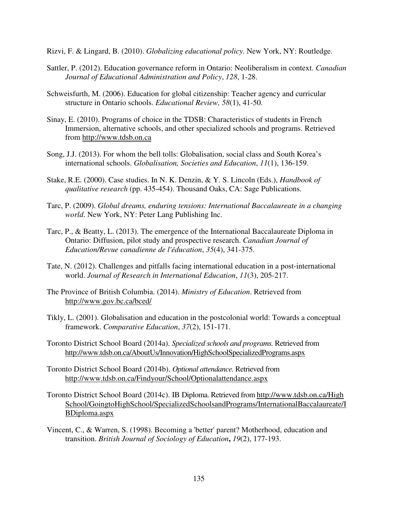Rizvi, F. & Lingard, B. (2010). *Globalizing educational policy*. New York, NY: Routledge.

- Sattler, P. (2012). Education governance reform in Ontario: Neoliberalism in context. *Canadian Journal of Educational Administration and Policy*, *128*, 1-28.
- Schweisfurth, M. (2006). Education for global citizenship: Teacher agency and curricular structure in Ontario schools. *Educational Review, 58*(1), 41-50.
- Sinay, E. (2010). Programs of choice in the TDSB: Characteristics of students in French Immersion, alternative schools, and other specialized schools and programs. Retrieved from http://www.tdsb.on.ca
- Song, J.J. (2013). For whom the bell tolls: Globalisation, social class and South Korea's international schools. *Globalisation, Societies and Education*, *11*(1), 136-159.
- Stake, R.E. (2000). Case studies. In N. K. Denzin, & Y. S. Lincoln (Eds.), *Handbook of qualitative research* (pp. 435-454). Thousand Oaks, CA: Sage Publications.
- Tarc, P. (2009). *Global dreams, enduring tensions: International Baccalaureate in a changing world*. New York, NY: Peter Lang Publishing Inc.
- Tarc, P., & Beatty, L. (2013). The emergence of the International Baccalaureate Diploma in Ontario: Diffusion, pilot study and prospective research. *Canadian Journal of Education/Revue canadienne de l'éducation*, *35*(4), 341-375.
- Tate, N. (2012). Challenges and pitfalls facing international education in a post-international world. *Journal of Research in International Education*, *11*(3), 205-217.
- The Province of British Columbia. (2014). *Ministry of Education*. Retrieved from http://www.gov.bc.ca/bced/
- Tikly, L. (2001). Globalisation and education in the postcolonial world: Towards a conceptual framework. *Comparative Education*, *37*(2), 151-171.
- Toronto District School Board (2014a). *Specialized schools and programs.* Retrieved from http://www.tdsb.on.ca/AboutUs/Innovation/HighSchoolSpecializedPrograms.aspx
- Toronto District School Board (2014b). *Optional attendance.* Retrieved from http://www.tdsb.on.ca/Findyour/School/Optionalattendance.aspx
- Toronto District School Board (2014c). IB Diploma. Retrieved from http://www.tdsb.on.ca/High School/GoingtoHighSchool/SpecializedSchoolsandPrograms/InternationalBaccalaureate/I BDiploma.aspx
- Vincent, C., & Warren, S. (1998). Becoming a 'better' parent? Motherhood, education and transition. *British Journal of Sociology of Education***,** *19*(2), 177-193.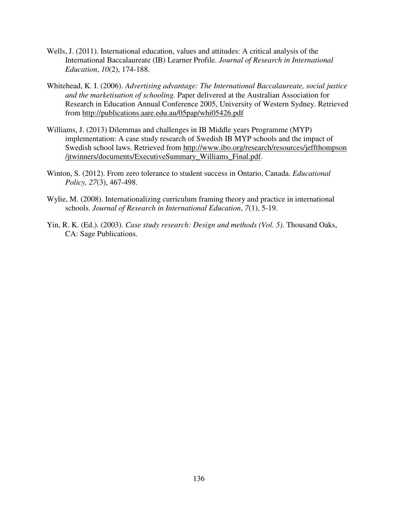- Wells, J. (2011). International education, values and attitudes: A critical analysis of the International Baccalaureate (IB) Learner Profile. *Journal of Research in International Education*, *10*(2), 174-188.
- Whitehead, K. I. (2006). *Advertising advantage: The International Baccalaureate, social justice and the marketisation of schooling.* Paper delivered at the Australian Association for Research in Education Annual Conference 2005, University of Western Sydney. Retrieved from http://publications.aare.edu.au/05pap/whi05426.pdf
- Williams, J. (2013) Dilemmas and challenges in IB Middle years Programme (MYP) implementation: A case study research of Swedish IB MYP schools and the impact of Swedish school laws. Retrieved from http://www.ibo.org/research/resources/jeffthompson /jtwinners/documents/ExecutiveSummary\_Williams\_Final.pdf.
- Winton, S. (2012). From zero tolerance to student success in Ontario, Canada. *Educational Policy, 27*(3), 467-498.
- Wylie, M. (2008). Internationalizing curriculum framing theory and practice in international schools. *Journal of Research in International Education*, *7*(1), 5-19.
- Yin, R. K. (Ed.). (2003). *Case study research: Design and methods (Vol. 5)*. Thousand Oaks, CA: Sage Publications.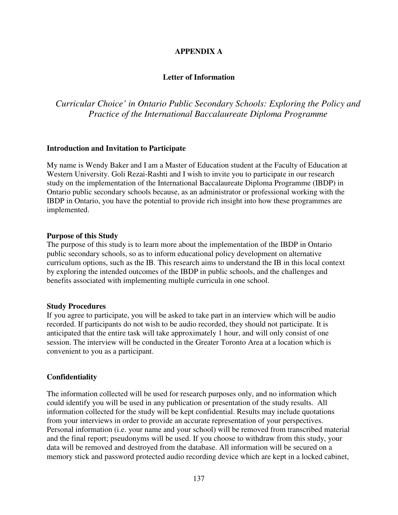#### **APPENDIX A**

#### **Letter of Information**

# *Curricular Choice' in Ontario Public Secondary Schools: Exploring the Policy and Practice of the International Baccalaureate Diploma Programme*

#### **Introduction and Invitation to Participate**

My name is Wendy Baker and I am a Master of Education student at the Faculty of Education at Western University. Goli Rezai-Rashti and I wish to invite you to participate in our research study on the implementation of the International Baccalaureate Diploma Programme (IBDP) in Ontario public secondary schools because, as an administrator or professional working with the IBDP in Ontario, you have the potential to provide rich insight into how these programmes are implemented.

#### **Purpose of this Study**

The purpose of this study is to learn more about the implementation of the IBDP in Ontario public secondary schools, so as to inform educational policy development on alternative curriculum options, such as the IB. This research aims to understand the IB in this local context by exploring the intended outcomes of the IBDP in public schools, and the challenges and benefits associated with implementing multiple curricula in one school.

#### **Study Procedures**

If you agree to participate, you will be asked to take part in an interview which will be audio recorded. If participants do not wish to be audio recorded, they should not participate. It is anticipated that the entire task will take approximately 1 hour, and will only consist of one session. The interview will be conducted in the Greater Toronto Area at a location which is convenient to you as a participant.

#### **Confidentiality**

The information collected will be used for research purposes only, and no information which could identify you will be used in any publication or presentation of the study results. All information collected for the study will be kept confidential. Results may include quotations from your interviews in order to provide an accurate representation of your perspectives. Personal information (i.e. your name and your school) will be removed from transcribed material and the final report; pseudonyms will be used. If you choose to withdraw from this study, your data will be removed and destroyed from the database. All information will be secured on a memory stick and password protected audio recording device which are kept in a locked cabinet,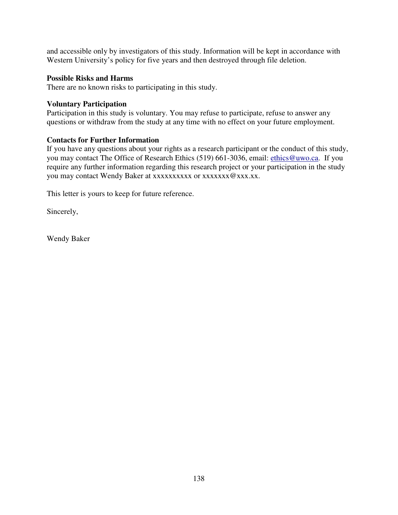and accessible only by investigators of this study. Information will be kept in accordance with Western University's policy for five years and then destroyed through file deletion.

#### **Possible Risks and Harms**

There are no known risks to participating in this study.

#### **Voluntary Participation**

Participation in this study is voluntary. You may refuse to participate, refuse to answer any questions or withdraw from the study at any time with no effect on your future employment.

#### **Contacts for Further Information**

If you have any questions about your rights as a research participant or the conduct of this study, you may contact The Office of Research Ethics (519) 661-3036, email: ethics@uwo.ca. If you require any further information regarding this research project or your participation in the study you may contact Wendy Baker at xxxxxxxxxx or xxxxxxx @xxx.xx.

This letter is yours to keep for future reference.

Sincerely,

Wendy Baker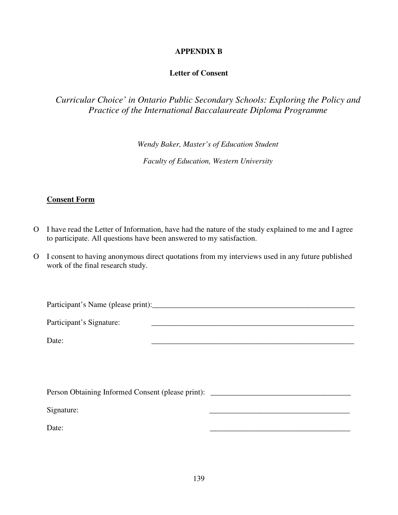### **APPENDIX B**

#### **Letter of Consent**

# *Curricular Choice' in Ontario Public Secondary Schools: Exploring the Policy and Practice of the International Baccalaureate Diploma Programme*

*Wendy Baker, Master's of Education Student* 

*Faculty of Education, Western University* 

#### **Consent Form**

- O I have read the Letter of Information, have had the nature of the study explained to me and I agree to participate. All questions have been answered to my satisfaction.
- O I consent to having anonymous direct quotations from my interviews used in any future published work of the final research study.

| Participant's Name (please print): |  |
|------------------------------------|--|
| Participant's Signature:           |  |
| Date:                              |  |
|                                    |  |

| Person Obtaining Informed Consent (please print): |  |
|---------------------------------------------------|--|
| Signature:                                        |  |
| Date:                                             |  |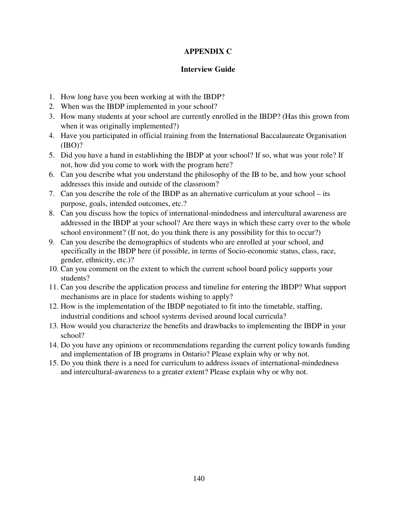## **APPENDIX C**

#### **Interview Guide**

- 1. How long have you been working at with the IBDP?
- 2. When was the IBDP implemented in your school?
- 3. How many students at your school are currently enrolled in the IBDP? (Has this grown from when it was originally implemented?)
- 4. Have you participated in official training from the International Baccalaureate Organisation (IBO)?
- 5. Did you have a hand in establishing the IBDP at your school? If so, what was your role? If not, how did you come to work with the program here?
- 6. Can you describe what you understand the philosophy of the IB to be, and how your school addresses this inside and outside of the classroom?
- 7. Can you describe the role of the IBDP as an alternative curriculum at your school its purpose, goals, intended outcomes, etc.?
- 8. Can you discuss how the topics of international-mindedness and intercultural awareness are addressed in the IBDP at your school? Are there ways in which these carry over to the whole school environment? (If not, do you think there is any possibility for this to occur?)
- 9. Can you describe the demographics of students who are enrolled at your school, and specifically in the IBDP here (if possible, in terms of Socio-economic status, class, race, gender, ethnicity, etc.)?
- 10. Can you comment on the extent to which the current school board policy supports your students?
- 11. Can you describe the application process and timeline for entering the IBDP? What support mechanisms are in place for students wishing to apply?
- 12. How is the implementation of the IBDP negotiated to fit into the timetable, staffing, industrial conditions and school systems devised around local curricula?
- 13. How would you characterize the benefits and drawbacks to implementing the IBDP in your school?
- 14. Do you have any opinions or recommendations regarding the current policy towards funding and implementation of IB programs in Ontario? Please explain why or why not.
- 15. Do you think there is a need for curriculum to address issues of international-mindedness and intercultural-awareness to a greater extent? Please explain why or why not.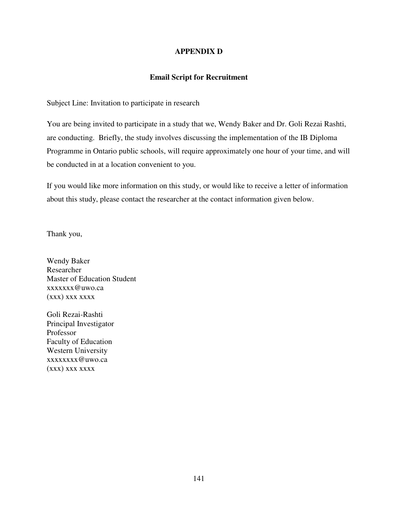#### **APPENDIX D**

#### **Email Script for Recruitment**

Subject Line: Invitation to participate in research

You are being invited to participate in a study that we, Wendy Baker and Dr. Goli Rezai Rashti, are conducting. Briefly, the study involves discussing the implementation of the IB Diploma Programme in Ontario public schools, will require approximately one hour of your time, and will be conducted in at a location convenient to you.

If you would like more information on this study, or would like to receive a letter of information about this study, please contact the researcher at the contact information given below.

Thank you,

Wendy Baker Researcher Master of Education Student xxxxxxx@uwo.ca (xxx) xxx xxxx

Goli Rezai-Rashti Principal Investigator Professor Faculty of Education Western University xxxxxxxx@uwo.ca (xxx) xxx xxxx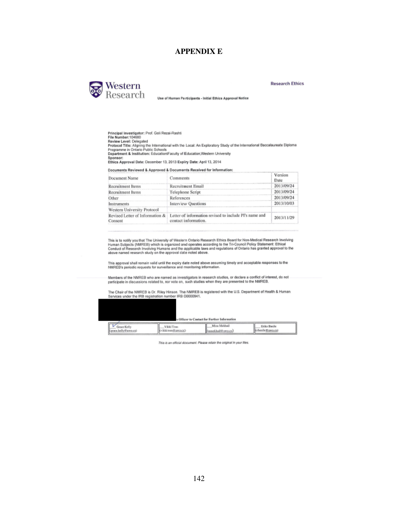#### **APPENDIX E**



Use of Human Participants - Initial Ethics Approval Notice

**Research Ethics** 

2013/11/29

Principal Investigator: Prof. Goli Rezai-Rashti<br>File Number:104680<br>Review Level: Delegated never were a transported international with the Local: An Exploratory Study of the International Baccalaureate Diploma<br>Programme in Ontario Public Schools<br>Department & Institution: Education/Faculty of Education,Western Un Sponsor: Ethics Approval Date: December 13, 2013 Expliry Date: April 13, 2014 Documents Reviewed & Approved & Documents Received for Information: Version Document Name Comments Date 2013/09/24 Recruitment Email **Recruitment Items** Recruitment Items Telephone Script 2013/09/24 2013/09/24 Other References 2013/10/03 **Interview Questions** Instruments

Consent

Western University Protocol

This is to notify you that The University of Western Ontario Research Ethics Board for Non-Medical Research Involving<br>Human Subjects (NMREB) which is organized and operates according to the Tri-Council Policy Statement: Et

Revised Letter of Information & Letter of information revised to include Pl's name and

contact information.

This approval shall remain valid until the expiry date noted above assuming timely and acceptable responses to the<br>NMREB's periodic requests for surveillance and menitoring information.

Members of the NMREB who are named as investigators in research studies, or declare a conflict of interest, do not<br>participate in discussions related to, nor vote on, such studies when they are presented to the NMREB.

The Chair of the NMREB is Dr. Riley Hinson. The NMREB is registered with the U.S. Department of Health & Human<br>Services under the IRB registration number IRB 00000941.

| v<br>Grace Kelly<br>ance, kelly@arro.cu) | Vikki Tran<br>Cyikki.tran@uwo.caD | s Officer to Contact for Further Information<br>Mira Mekhail<br>(mmckhaibli uwo.cn) | Frika Basile<br>Cebasile Euwo.ca) |
|------------------------------------------|-----------------------------------|-------------------------------------------------------------------------------------|-----------------------------------|

This is an official decument. Please ratain the original in your files.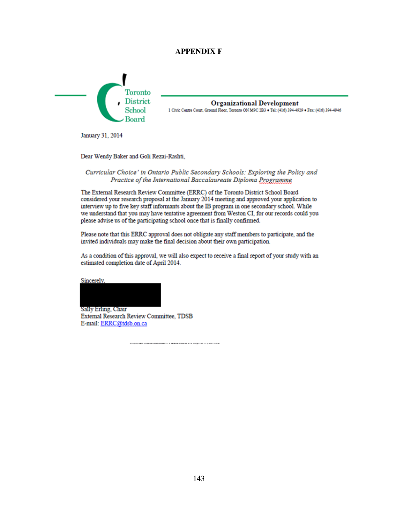#### **APPENDIX F**



**Organizational Development** 1 Civic Centre Court, Ground Floor, Toronto ON M9C 2B3 . Tel: (416) 394-4929 . Fax: (416) 394-4946

January 31, 2014

Dear Wendy Baker and Goli Rezai-Rashti,

#### Curricular Choice' in Ontario Public Secondary Schools: Exploring the Policy and Practice of the International Baccalaureate Diploma Programme

The External Research Review Committee (ERRC) of the Toronto District School Board considered your research proposal at the January 2014 meeting and approved your application to interview up to five key staff informants about the IB program in one secondary school. While we understand that you may have tentative agreement from Weston CI, for our records could you please advise us of the participating school once that is finally confirmed.

Please note that this ERRC approval does not obligate any staff members to participate, and the invited individuals may make the final decision about their own participation.

As a condition of this approval, we will also expect to receive a final report of your study with an estimated completion date of April 2014.

Sincerely.

Sally Erling, Chair **External Research Review Committee, TDSB** E-mail: ERRC@tdsb.on.ca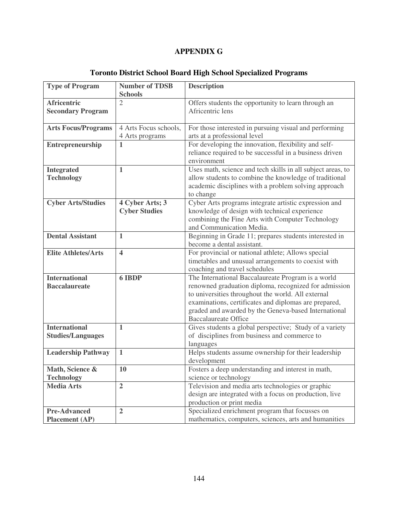# **APPENDIX G**

| <b>Type of Program</b>     | <b>Number of TDSB</b>            | <b>Description</b>                                                                  |
|----------------------------|----------------------------------|-------------------------------------------------------------------------------------|
| <b>Africentric</b>         | <b>Schools</b><br>$\overline{2}$ | Offers students the opportunity to learn through an                                 |
| <b>Secondary Program</b>   |                                  | Africentric lens                                                                    |
|                            |                                  |                                                                                     |
| <b>Arts Focus/Programs</b> | 4 Arts Focus schools,            | For those interested in pursuing visual and performing                              |
|                            | 4 Arts programs                  | arts at a professional level                                                        |
| <b>Entrepreneurship</b>    | $\mathbf{1}$                     | For developing the innovation, flexibility and self-                                |
|                            |                                  | reliance required to be successful in a business driven                             |
|                            |                                  | environment                                                                         |
| <b>Integrated</b>          | $\mathbf{1}$                     | Uses math, science and tech skills in all subject areas, to                         |
| <b>Technology</b>          |                                  | allow students to combine the knowledge of traditional                              |
|                            |                                  | academic disciplines with a problem solving approach<br>to change                   |
| <b>Cyber Arts/Studies</b>  | 4 Cyber Arts; 3                  | Cyber Arts programs integrate artistic expression and                               |
|                            | <b>Cyber Studies</b>             | knowledge of design with technical experience                                       |
|                            |                                  | combining the Fine Arts with Computer Technology                                    |
|                            |                                  | and Communication Media.                                                            |
| <b>Dental Assistant</b>    | $\mathbf{1}$                     | Beginning in Grade 11; prepares students interested in                              |
|                            |                                  | become a dental assistant.                                                          |
| <b>Elite Athletes/Arts</b> | $\overline{\mathbf{4}}$          | For provincial or national athlete; Allows special                                  |
|                            |                                  | timetables and unusual arrangements to coexist with                                 |
|                            |                                  | coaching and travel schedules                                                       |
| <b>International</b>       | 6 IBDP                           | The International Baccalaureate Program is a world                                  |
| <b>Baccalaureate</b>       |                                  | renowned graduation diploma, recognized for admission                               |
|                            |                                  | to universities throughout the world. All external                                  |
|                            |                                  | examinations, certificates and diplomas are prepared,                               |
|                            |                                  | graded and awarded by the Geneva-based International<br><b>Baccalaureate Office</b> |
| <b>International</b>       | $\mathbf{1}$                     | Gives students a global perspective; Study of a variety                             |
| <b>Studies/Languages</b>   |                                  | of disciplines from business and commerce to                                        |
|                            |                                  | languages                                                                           |
| <b>Leadership Pathway</b>  | $\mathbf{1}$                     | Helps students assume ownership for their leadership                                |
|                            |                                  | development                                                                         |
| Math, Science &            | 10                               | Fosters a deep understanding and interest in math,                                  |
| <b>Technology</b>          |                                  | science or technology                                                               |
| <b>Media Arts</b>          | $\overline{2}$                   | Television and media arts technologies or graphic                                   |
|                            |                                  | design are integrated with a focus on production, live                              |
|                            |                                  | production or print media                                                           |
| <b>Pre-Advanced</b>        | $\overline{2}$                   | Specialized enrichment program that focusses on                                     |
| <b>Placement</b> (AP)      |                                  | mathematics, computers, sciences, arts and humanities                               |

# **Toronto District School Board High School Specialized Programs**